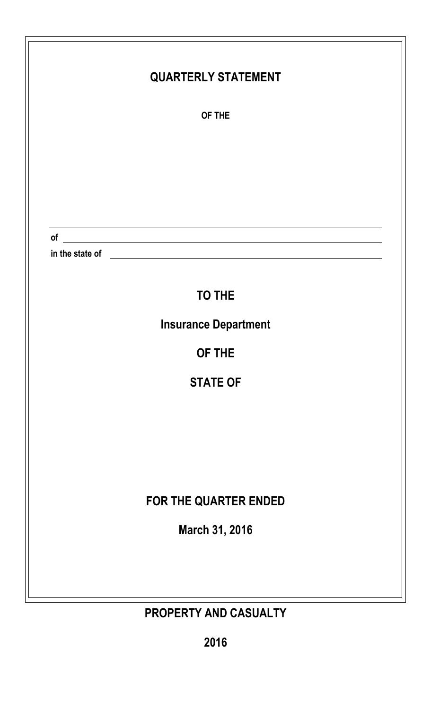| <b>QUARTERLY STATEMENT</b>                                                                                                                                                                                                                                            |
|-----------------------------------------------------------------------------------------------------------------------------------------------------------------------------------------------------------------------------------------------------------------------|
| OF THE                                                                                                                                                                                                                                                                |
|                                                                                                                                                                                                                                                                       |
|                                                                                                                                                                                                                                                                       |
|                                                                                                                                                                                                                                                                       |
|                                                                                                                                                                                                                                                                       |
| $of$ $\overline{\phantom{a}}$<br>in the state of <u>example and the state of example and the state of example and the state of example and the state of example and the state of example and the state of example and the state of example and the state of examp</u> |
|                                                                                                                                                                                                                                                                       |
| <b>TO THE</b>                                                                                                                                                                                                                                                         |
| <b>Insurance Department</b>                                                                                                                                                                                                                                           |
| OF THE                                                                                                                                                                                                                                                                |
| <b>STATE OF</b>                                                                                                                                                                                                                                                       |
|                                                                                                                                                                                                                                                                       |
|                                                                                                                                                                                                                                                                       |
|                                                                                                                                                                                                                                                                       |
| FOR THE QUARTER ENDED                                                                                                                                                                                                                                                 |
| March 31, 2016                                                                                                                                                                                                                                                        |
|                                                                                                                                                                                                                                                                       |
|                                                                                                                                                                                                                                                                       |
| PROPERTY AND CASUALTY                                                                                                                                                                                                                                                 |

**2016**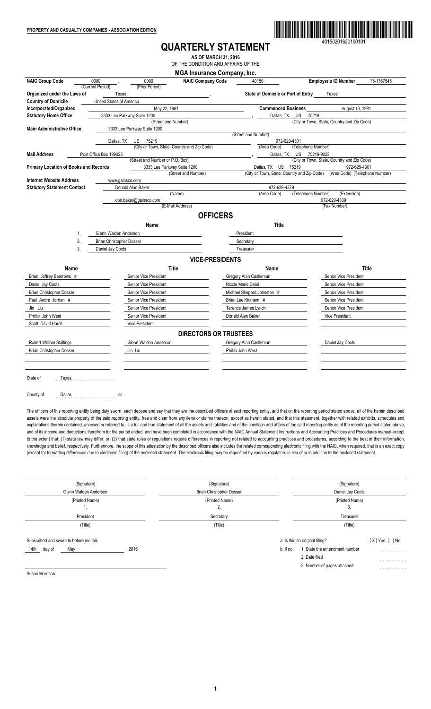

40150201620100101

## **QUARTERLY STATEMENT**

**AS OF MARCH 31, 2016** OF THE CONDITION AND AFFAIRS OF THE

**MGA Insurance Company, Inc.**<br>NAIC Company Code 40 NAIC Group Code 0000 **6** 0000 **1** 0000 **1** 0000 **NAIC Company Code** 40150 **Employer's ID Number** 75-1767545 (Prior Period) **Corganized under the Laws of** Texas **Texas (Texas )**<br> **Country of Domicile Country of Domicile** (United States of America **United States of America** Incorporated/Organized<br> **Incorporated/Organized** May 2333 Lee Parkway Suite 1200<br> **Statutory Home Office** 3333 Lee Parkway Suite 1200 **Statutory Suite 1200**<br>**Street and Number** (City or Town, State, Country and Zip Code) **Main Administrative Office** 3333 Lee Parkway Suite 1200 (Street and Number) Dallas, TX US 75219<br>
(City or Town, State, Country and Zip Code) (Area Code) (Telephone Number) (City or Town, State, Country and Zip Code) (Area Code) (Telephone Number)<br>
, Dallas, TX US 75219-9023 **Mail Address** Post Office Box 199023 <br>
Street and Number or P O Box) **Dallas**, TX and Number or P.O. Box)<br>
3333 Lee Parkway Suite 1200 Dallas, TX US 75219 972-629-430<br>
(Street and Number) (City or Town, State, Country and Zip Code) (Area Code) (Telepho Primary Location of Books and Records **3333** Lee Parkway Suite 1200 Dallas, TX US 75219 972-629-4301 972-629-4301<br>City or Town, State, Country and Zip Code) (Area Code) (Telephone Dallas, TX US 75219<br>(City or Town, State, Country and Zip Code) **Internet Website Address** www.gainsco.com **Statutory Statement Contact** Donald Alan Baker 1972-629-4379<br>
Donald Alan Baker (Name) (Area Code) (Area Code) (Telephone Number) (Extension) don.baker@gainsco.com 972-629-4339 (E-Mail Address) (Fax Number) **OFFICERS Name Title** 1. Glenn Walden Anderson President 2. Brian Christopher Dosser Secretary Secretary 3. Daniel Jay Coots Treasurer **VICE-PRESIDENTS Name Title Name Title** Brian Jeffrey Bearrows # Senior Vice President Senior Vice President Gregory Alan Castleman Senior Vice President Daniel Jay Coots **Senior Vice President** Senior Vice President Nicole Marie Dalal Senior Vice President Brian Christopher Dosser Senior Vice President Shepard Johnston # Senior Vice President Shepard Johnston # Senior Vice President Paul Andre Jordan # Senior Vice President Senior Vice President Brian Lee Kirkham # Senior Vice President Jin Liu Senior Vice President Terence James Lynch Senior Vice President Phillip John West Vice President Senior Vice President Donald Alan Baker Vice President Vice President Scott David Harris Vice President **DIRECTORS OR TRUSTEES** Robert William Stallings **GREET COOLS COOLS COOLS COOLS COOLS COOLS COOLS COOLS COOLS COOLS COOLS COOLS COOLS COOLS**  Brian Christopher Dosser Jin Liu Phillip John West State of Texas County of Dallas .....................

The officers of this reporting entity being duly sworn, each depose and say that they are the described officers of said reporting entity, and that on the reporting period stated above, all of the herein described assets were the absolute property of the said reporting entity, free and clear from any liens or claims thereon, except as herein stated, and that this statement, together with related exhibits, schedules and explanations therein contained, annexed or referred to, is a full and true statement of all the assets and liabilities and of the condition and affairs of the said reporting entity as of the reporting period stated above, and of its income and deductions therefrom for the period ended, and have been completed in accordance with the NAIC Annual Statement Instructions and Accounting Practices and Procedures manual except to the extent that: (1) state law may differ; or, (2) that state rules or regulations require differences in reporting not related to accounting practices and procedures, according to the best of their information, knowledge and belief, respectively. Furthermore, the scope of this attestation by the described officers also includes the related corresponding electronic filing with the NAIC, when required, that is an exact copy (except for formatting differences due to electronic filing) of the enclosed statement. The electronic filing may be requested by various regulators in lieu of or in addition to the enclosed statement.

| (Signature)<br>Glenn Walden Anderson                                    | (Signature)<br><b>Brian Christopher Dosser</b> | (Signature)<br>Daniel Jay Coots                                                                                                                                                                                       |
|-------------------------------------------------------------------------|------------------------------------------------|-----------------------------------------------------------------------------------------------------------------------------------------------------------------------------------------------------------------------|
| (Printed Name)<br>ι.                                                    | (Printed Name)<br>2.                           | (Printed Name)<br>3.                                                                                                                                                                                                  |
| President                                                               | Secretary                                      | Treasurer                                                                                                                                                                                                             |
| (Title)                                                                 | (Title)                                        | (Title)                                                                                                                                                                                                               |
| Subscribed and sworn to before me this<br>2016<br>14th<br>day of<br>May |                                                | a. Is this an original filing?<br>$[X]$ Yes $[$ $]$ No<br>1. State the amendment number<br>$b.$ If no:<br>and the second control of<br>2. Date filed<br>.<br>3. Number of pages attached<br>and the second control of |

Susan Morrison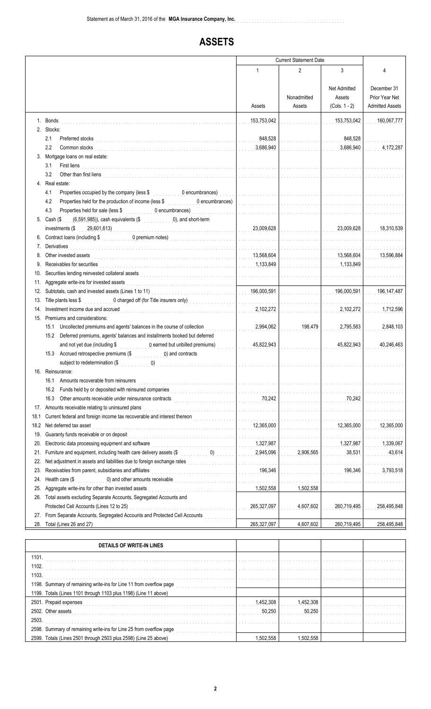# **ASSETS**

|            |                                                                                                                                                                                                                                                                                                             | <b>Current Statement Date</b>                       |                         |                                           |                                                         |
|------------|-------------------------------------------------------------------------------------------------------------------------------------------------------------------------------------------------------------------------------------------------------------------------------------------------------------|-----------------------------------------------------|-------------------------|-------------------------------------------|---------------------------------------------------------|
|            |                                                                                                                                                                                                                                                                                                             | 1                                                   | $\overline{2}$          | 3                                         | 4                                                       |
|            |                                                                                                                                                                                                                                                                                                             | Assets                                              | Nonadmitted<br>Assets   | Net Admitted<br>Assets<br>$(Cols. 1 - 2)$ | December 31<br>Prior Year Net<br><b>Admitted Assets</b> |
|            | 1. Bonds<br>2. Stocks:                                                                                                                                                                                                                                                                                      | 153,753,042                                         |                         | 153,753,042                               | 160,067,777                                             |
|            | 2.1<br>Preferred stocks                                                                                                                                                                                                                                                                                     | 848,528                                             |                         | 848,528                                   |                                                         |
|            | 2.2<br>Common stocks                                                                                                                                                                                                                                                                                        | 3,686,940                                           |                         | 3,686,940                                 | 4,172,287                                               |
|            | 3. Mortgage loans on real estate:                                                                                                                                                                                                                                                                           |                                                     |                         |                                           |                                                         |
|            | 3.1<br>First liens                                                                                                                                                                                                                                                                                          | .                                                   |                         |                                           |                                                         |
|            | 3.2<br>Other than first liens                                                                                                                                                                                                                                                                               |                                                     |                         |                                           |                                                         |
|            | 4. Real estate:                                                                                                                                                                                                                                                                                             |                                                     |                         |                                           |                                                         |
|            | 4.1<br>Properties occupied by the company (less \$ 0.000 0.000 0.000 0.000 0.000 0.000 0.000 0.000 0.000 0.000 0.000 0.000 0.000 0.000 0.000 0.000 0.000 0.000 0.000 0.000 0.000 0.000 0.000 0.000 0.000 0.000 0.000 0.000 0.000 0.000                                                                      | .                                                   | and a straightful and a | and a straight and a straight             | .                                                       |
|            | Properties held for the production of income (less \$<br>4.2<br>0 encumbrances)                                                                                                                                                                                                                             |                                                     |                         |                                           |                                                         |
|            | 4.3<br>Properties held for sale (less \$ 0 encumbrances)                                                                                                                                                                                                                                                    |                                                     |                         |                                           |                                                         |
|            | 5. Cash $(\$$ $(6,591,985))$ , cash equivalents $(\$$ 0), and short-term                                                                                                                                                                                                                                    |                                                     |                         |                                           |                                                         |
|            | investments $(\frac{29}{10}, \frac{29}{10}, \frac{61}{10})$                                                                                                                                                                                                                                                 | 23,009,628                                          |                         | 23,009,628                                | 18,310,539                                              |
|            |                                                                                                                                                                                                                                                                                                             | .<br>Bara da da da da da da                         |                         |                                           |                                                         |
| 7.         | Derivatives<br>Other invested assets                                                                                                                                                                                                                                                                        | a característica de la característica<br>13,568,604 |                         | 13,568,604                                | 13,596,884                                              |
|            | Receivables for securities                                                                                                                                                                                                                                                                                  | 1,133,849                                           |                         | 1,133,849                                 |                                                         |
| 10.        |                                                                                                                                                                                                                                                                                                             |                                                     |                         |                                           |                                                         |
| 11.        | Aggregate write-ins for invested assets                                                                                                                                                                                                                                                                     | .                                                   |                         |                                           |                                                         |
| 12.        |                                                                                                                                                                                                                                                                                                             | 196,000,591                                         |                         | 196,000,591                               | 196, 147, 487                                           |
| 13.        | 0 charged off (for Title insurers only)<br>Title plants less \$                                                                                                                                                                                                                                             | .                                                   |                         |                                           |                                                         |
| 14.        | Investment income due and accrued                                                                                                                                                                                                                                                                           | 2,102,272                                           |                         | 2,102,272                                 | 1,712,596                                               |
|            | 15. Premiums and considerations:                                                                                                                                                                                                                                                                            |                                                     |                         |                                           |                                                         |
|            | Uncollected premiums and agents' balances in the course of collection<br>15.1                                                                                                                                                                                                                               | 2,994,062                                           | 198,479                 | 2,795,583                                 | 2,848,103                                               |
|            | 15.2<br>Deferred premiums, agents' balances and installments booked but deferred                                                                                                                                                                                                                            |                                                     |                         |                                           |                                                         |
|            | and not yet due (including \$<br>0 earned but unbilled premiums)                                                                                                                                                                                                                                            | 45,822,943                                          |                         | 45,822,943                                | 40.246.463                                              |
|            | Accrued retrospective premiums (\$ 0) and contracts<br>15.3<br>subject to redetermination (\$                                                                                                                                                                                                               | a a a a a a a a a a a a a                           |                         |                                           |                                                         |
| 10.        | Reinsurance:                                                                                                                                                                                                                                                                                                |                                                     |                         |                                           |                                                         |
|            | 16.1<br>Amounts recoverable from reinsurers                                                                                                                                                                                                                                                                 | a da da da da da da da d                            |                         |                                           |                                                         |
|            | 16.2<br>Funds held by or deposited with reinsured companies                                                                                                                                                                                                                                                 | <u>. </u>                                           |                         |                                           |                                                         |
|            | 16.3<br>Other amounts receivable under reinsurance contracts<br>interactional contracts                                                                                                                                                                                                                     | 70,242                                              |                         | 70,242                                    |                                                         |
|            | 17. Amounts receivable relating to uninsured plans                                                                                                                                                                                                                                                          | a dia anala anala anala a                           |                         | .                                         |                                                         |
| 18.1       | Current federal and foreign income tax recoverable and interest thereon                                                                                                                                                                                                                                     | .                                                   |                         |                                           |                                                         |
| 18.2       | Net deferred tax asset                                                                                                                                                                                                                                                                                      | 12.365.000                                          |                         | 12,365,000                                | 12,365,000                                              |
| 19.        | Guaranty funds receivable or on deposit                                                                                                                                                                                                                                                                     | a dia ang pangangan                                 |                         |                                           |                                                         |
| 20.        | Electronic data processing equipment and software                                                                                                                                                                                                                                                           | 1,327,987                                           |                         | 1,327,987                                 | 1,339,067                                               |
| 21.        | Furniture and equipment, including health care delivery assets (\$<br>$\begin{pmatrix} 0 \end{pmatrix}$                                                                                                                                                                                                     | 2,945,096                                           | 2,906,565               | 38,531                                    | 43,614                                                  |
| 22.        | Net adjustment in assets and liabilities due to foreign exchange rates                                                                                                                                                                                                                                      | .                                                   |                         |                                           |                                                         |
| 23.<br>24. | Receivables from parent, subsidiaries and affiliates<br>Health care (\$<br>0) and other amounts receivable<br>interview and the contract of the contract of the contract of the contract of the contract of the contract of the contract of the contract of the contract of the contract of the contract of | 196,346<br>a a a a a a a                            |                         | 196,346                                   | 3,793,518                                               |
| 25.        | Aggregate write-ins for other than invested assets                                                                                                                                                                                                                                                          | .<br>1,502,558                                      | 1,502,558               |                                           |                                                         |
| 26.        | Total assets excluding Separate Accounts, Segregated Accounts and                                                                                                                                                                                                                                           |                                                     |                         |                                           |                                                         |
|            | Protected Cell Accounts (Lines 12 to 25)                                                                                                                                                                                                                                                                    | 265,327,097                                         | 4,607,602               | 260,719,495                               | 258,495,848                                             |
| 27.        | From Separate Accounts, Segregated Accounts and Protected Cell Accounts                                                                                                                                                                                                                                     |                                                     |                         |                                           |                                                         |
| 28.        | Total (Lines 26 and 27)                                                                                                                                                                                                                                                                                     | 265,327,097                                         | 4,607,602               | 260,719,495                               | 258,495,848                                             |
|            |                                                                                                                                                                                                                                                                                                             |                                                     |                         |                                           |                                                         |

| DETAILS OF WRITE-IN LINES                                           |           |           |  |
|---------------------------------------------------------------------|-----------|-----------|--|
| 1101.                                                               |           |           |  |
| 1102.                                                               |           |           |  |
| 1103.                                                               |           |           |  |
| 1198. Summary of remaining write-ins for Line 11 from overflow page |           |           |  |
| 1199. Totals (Lines 1101 through 1103 plus 1198) (Line 11 above)    |           |           |  |
| 2501. Prepaid expenses                                              | 1.452.308 | 1.452.308 |  |
| 2502. Other assets                                                  | 50.250    | 50,250    |  |
| 2503.                                                               |           |           |  |
| 2598. Summary of remaining write-ins for Line 25 from overflow page |           |           |  |
| 2599. Totals (Lines 2501 through 2503 plus 2598) (Line 25 above)    | .502.558  | 1.502.558 |  |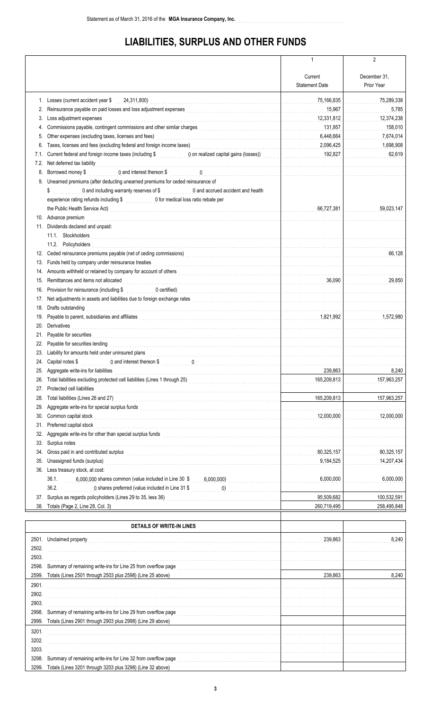# **LIABILITIES, SURPLUS AND OTHER FUNDS**

|            |                                                                                                                                                                                                                                                                               | 1                                  | $\overline{2}$                         |
|------------|-------------------------------------------------------------------------------------------------------------------------------------------------------------------------------------------------------------------------------------------------------------------------------|------------------------------------|----------------------------------------|
|            |                                                                                                                                                                                                                                                                               |                                    |                                        |
|            |                                                                                                                                                                                                                                                                               | Current                            | December 31,                           |
|            |                                                                                                                                                                                                                                                                               | <b>Statement Date</b>              | Prior Year                             |
|            | 1. Losses (current accident year \$24,311,800)                                                                                                                                                                                                                                | 75,166,835<br>.                    | 75,289,338                             |
| 2.         | Reinsurance payable on paid losses and loss adjustment expenses                                                                                                                                                                                                               | 15,967<br>a para para para para la | 5,785                                  |
| 3.         | Loss adjustment expenses                                                                                                                                                                                                                                                      | 12,331,812<br>.                    | 12,374,238                             |
| 4.         | Commissions payable, contingent commissions and other similar charges<br><br>The continuation of the continuation of the continuation of the continuation of the continuation of the continuation of the continuation of the conti                                            | 131,957                            | 158,010                                |
| 5.         | Other expenses (excluding taxes, licenses and fees)                                                                                                                                                                                                                           | 6,448,664<br>and a complete the    | 7,674,014                              |
| 6.         | Taxes, licenses and fees (excluding federal and foreign income taxes)<br>Taxes, licenses and fees (excluding federal and foreign income taxes)                                                                                                                                | 2,096,425<br>.                     | 1,698,908                              |
| 7.1.       | Current federal and foreign income taxes (including \$ 0 on realized capital gains (losses))                                                                                                                                                                                  | 192,827                            | 62,619                                 |
| 7.2.       | Net deferred tax liability                                                                                                                                                                                                                                                    | .                                  |                                        |
| 8.         |                                                                                                                                                                                                                                                                               | .                                  |                                        |
|            | 9. Unearned premiums (after deducting unearned premiums for ceded reinsurance of                                                                                                                                                                                              |                                    |                                        |
|            | 0 and including warranty reserves of \$ 0 and accrued accident and health<br>\$                                                                                                                                                                                               |                                    |                                        |
|            | experience rating refunds including \$ 0 for medical loss ratio rebate per                                                                                                                                                                                                    |                                    |                                        |
|            |                                                                                                                                                                                                                                                                               | 66.727.381<br>.                    | 59,023,147                             |
|            | 10. Advance premium                                                                                                                                                                                                                                                           |                                    |                                        |
|            | 11. Dividends declared and unpaid:                                                                                                                                                                                                                                            |                                    |                                        |
|            | 11.1. Stockholders                                                                                                                                                                                                                                                            |                                    |                                        |
|            | 11.2. Policyholders                                                                                                                                                                                                                                                           |                                    |                                        |
| 12.        | Ceded reinsurance premiums payable (net of ceding commissions)<br>Ceded reinsurance premiums payable (net of ceding commissions)<br><br>1990 -  1990 -  1990 -  1990 -  1990 -  1990 -  1990 -  1990 -  1990 -  1990 -  1990 -  1990                                          |                                    |                                        |
| 13.        | Funds held by company under reinsurance treaties                                                                                                                                                                                                                              |                                    |                                        |
| 14.        |                                                                                                                                                                                                                                                                               |                                    | and a construction of the construction |
| 15.        | Remittances and items not allocated                                                                                                                                                                                                                                           | 36,090                             | 29.850                                 |
| 16.        | Provision for reinsurance (including \$<br><b>Ocertified) Continued by the contract of the contract of the contract of the contract of the contract of the contract of the contract of the contract of the contract of the contract of the contract of the contract of th</b> | .                                  |                                        |
| 17.        | Net adjustments in assets and liabilities due to foreign exchange rates                                                                                                                                                                                                       |                                    |                                        |
| 18.        | Drafts outstanding                                                                                                                                                                                                                                                            |                                    |                                        |
| 19.        | Payable to parent, subsidiaries and affiliates exceptional control of the control of the control of the control of the control of the control of the control of the control of the control of the control of the control of th                                                |                                    | 1,572,980                              |
| 20.        | Derivatives                                                                                                                                                                                                                                                                   |                                    |                                        |
| 21.        | Payable for securities                                                                                                                                                                                                                                                        |                                    |                                        |
| 22.        |                                                                                                                                                                                                                                                                               |                                    |                                        |
| 23.        | Liability for amounts held under uninsured plans                                                                                                                                                                                                                              |                                    |                                        |
|            | 24. Capital notes \$<br>0 and interest thereon \$ 1.1 and 1.1 and 1.1 and 1.1 and 1.1 and 1.1 and 1.1 and 1.1 and 1.1 and 1.1 and 1.1 and 1.1 and 1.1 and 1.1 and 1.1 and 1.1 and 1.1 and 1.1 and 1.1 and 1.1 and 1.1 and 1.1 and 1.1 and 1.1 and 1.1 a                       |                                    | .                                      |
| 25.        | Aggregate write-ins for liabilities                                                                                                                                                                                                                                           | 239,863                            | 8,240                                  |
| 26.        | Total liabilities excluding protected cell liabilities (Lines 1 through 25)<br>The manufacturer and the contract of the contract of the contract of the billion of the contract of the contract of the contract of the contract                                               | 165,209,813<br>.                   | 157,963,257                            |
| 27.        | Protected cell liabilities                                                                                                                                                                                                                                                    |                                    |                                        |
| 28.        | Total liabilities (Lines 26 and 27)                                                                                                                                                                                                                                           | 165,209,813                        | 157,963,257                            |
| 29.        | Aggregate write-ins for special surplus funds<br>[[[COLORER LIGATION   CONDUCTION   CONDUCTION   CONDUCTS   CONDUCTS   CONDUCTS   CONDUCTS   CONDUCTS   CONDUCTS   CONDUCTS   CONDUCTS   CONDUCTS   CONDUCTS   CONDUCTS   CONDUC                                              | .                                  |                                        |
| 30.        | Common capital stock                                                                                                                                                                                                                                                          | 12,000,000<br>a a a a a an an Co   | 12,000,000                             |
| 31.        | Preferred capital stock                                                                                                                                                                                                                                                       | .                                  |                                        |
| 32.        |                                                                                                                                                                                                                                                                               |                                    |                                        |
| 33.        | Surplus notes<br>Gross paid in and contributed surplus                                                                                                                                                                                                                        | .<br>80,325,157                    | 80,325,157                             |
| 34.        |                                                                                                                                                                                                                                                                               | .                                  |                                        |
| 35.<br>36. | Unassigned funds (surplus)                                                                                                                                                                                                                                                    | 9,184,525                          | 14,207,434                             |
|            | Less treasury stock, at cost:<br>36.1.                                                                                                                                                                                                                                        | 6,000,000                          | 6,000,000                              |
|            | 6,000,000 shares common (value included in Line 30 \$ 6,000,000)<br>36.2.                                                                                                                                                                                                     | .                                  |                                        |
| 37.        | Surplus as regards policyholders (Lines 29 to 35, less 36)                                                                                                                                                                                                                    | 95,509,682                         | 100,532,591                            |
| 38.        | Totals (Page 2, Line 28, Col. 3)                                                                                                                                                                                                                                              | 260,719,495                        | 258,495,848                            |
|            |                                                                                                                                                                                                                                                                               |                                    |                                        |
|            |                                                                                                                                                                                                                                                                               |                                    |                                        |
|            | <b>DETAILS OF WRITE-IN LINES</b>                                                                                                                                                                                                                                              |                                    |                                        |
| 2501.      | Unclaimed property                                                                                                                                                                                                                                                            | 239,863                            | 8,240                                  |
| 2502.      |                                                                                                                                                                                                                                                                               |                                    |                                        |
| 2503.      |                                                                                                                                                                                                                                                                               |                                    |                                        |

| 2503. |                                                               |         |       |
|-------|---------------------------------------------------------------|---------|-------|
| 2598. | Summary of remaining write-ins for Line 25 from overflow page |         |       |
| 2599. | Totals (Lines 2501 through 2503 plus 2598) (Line 25 above)    | 239,863 | 8.240 |
| 2901. |                                                               |         |       |
| 2902. |                                                               |         |       |
| 2903. |                                                               |         |       |
| 2998. | Summary of remaining write-ins for Line 29 from overflow page |         |       |
| 2999. | Totals (Lines 2901 through 2903 plus 2998) (Line 29 above)    |         |       |
| 3201. |                                                               |         |       |
| 3202. |                                                               |         |       |
| 3203. |                                                               |         |       |
| 3298. | Summary of remaining write-ins for Line 32 from overflow page |         |       |
| 3299. | Totals (Lines 3201 through 3203 plus 3298) (Line 32 above)    |         |       |
|       |                                                               |         |       |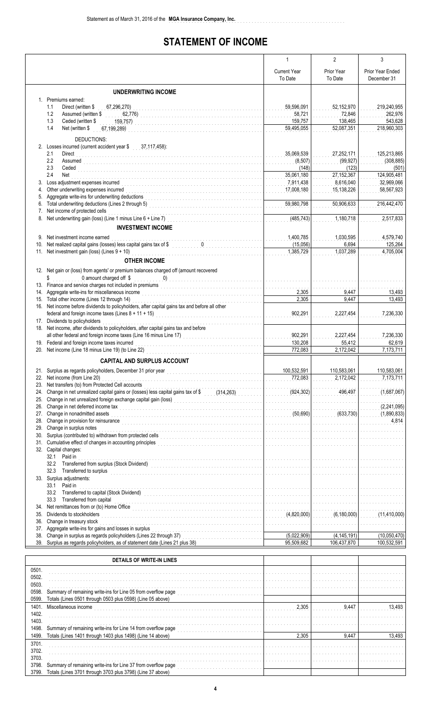## **STATEMENT OF INCOME**

|            |                                                                                                                                                                                                                                    | $\mathbf{1}$                                                    | $\overline{2}$                   | 3                         |
|------------|------------------------------------------------------------------------------------------------------------------------------------------------------------------------------------------------------------------------------------|-----------------------------------------------------------------|----------------------------------|---------------------------|
|            |                                                                                                                                                                                                                                    | <b>Current Year</b>                                             | Prior Year                       | Prior Year Ended          |
|            |                                                                                                                                                                                                                                    | To Date                                                         | To Date                          | December 31               |
|            | <b>UNDERWRITING INCOME</b>                                                                                                                                                                                                         |                                                                 |                                  |                           |
|            | 1. Premiums earned:                                                                                                                                                                                                                |                                                                 |                                  |                           |
|            | 1.1<br>Direct (written \$<br>67,296,270)                                                                                                                                                                                           | 59,596,091                                                      | 52,152,970                       | 219,240,955               |
|            | 1.2<br>Assumed (written \$<br>62,776)                                                                                                                                                                                              | 58,721                                                          | 72,846                           | 262.976                   |
|            | 1.3<br>Ceded (written \$<br>159,757)                                                                                                                                                                                               | 159,757                                                         | 138,465                          | 543,628                   |
|            | 1.4<br>Net (written \$<br>67,199,289)                                                                                                                                                                                              | 59,495,055                                                      | 52,087,351                       | 218,960,303               |
|            | DEDUCTIONS:                                                                                                                                                                                                                        |                                                                 |                                  |                           |
|            | 2. Losses incurred (current accident year \$ 37,117,458):                                                                                                                                                                          |                                                                 |                                  |                           |
|            | 2.1<br>Direct<br>2.2                                                                                                                                                                                                               | 35,069,539<br>(8, 507)                                          | 27,252,171<br>(99, 927)          | 125,213,865<br>(308, 885) |
|            | <b>Assumed</b><br>2.3<br>Ceded <b>Ceded Ceded Ceded Ceded Ceded Ceded Ceded Ceded Ceded Ceded Ceded Ceded Ceded Ceded Ceded Ceded Ceded Ceded Ceded Ceded •Ceded •Ceded •Ceded •Ceded •Ceded •Ceded •Ceded •Ceded •</b>            | (148)                                                           | (123)                            | (501)                     |
|            | 2.4<br>Net                                                                                                                                                                                                                         | 35,061,180                                                      | 27,152,367                       | 124,905,481               |
| 3.         | Loss adjustment expenses incurred                                                                                                                                                                                                  | 7,911,438                                                       | 8,616,040                        | 32,969,066                |
| 4.         |                                                                                                                                                                                                                                    | 17,008,180                                                      | 15,138,226                       | 58,567,923                |
| 5.<br>6.   | Aggregate write-ins for underwriting deductions                                                                                                                                                                                    | 59,980,798                                                      | 50,906,633                       | 216,442,470               |
| 7.         | Net income of protected cells                                                                                                                                                                                                      |                                                                 |                                  |                           |
| 8.         | Net income of protected cells<br>Net underwriting gain (loss) (Line 1 minus Line 6 + Line 7)                                                                                                                                       | (485, 743)<br>.                                                 | 1,180,718                        | 2,517,833                 |
|            | <b>INVESTMENT INCOME</b>                                                                                                                                                                                                           |                                                                 |                                  |                           |
| 9.         | Net investment income earned                                                                                                                                                                                                       | 1,400,785                                                       | 1,030,595                        | 4,579,740                 |
| 10.        | Net realized capital gains (losses) less capital gains tax of \$ 0                                                                                                                                                                 | 1.1.1.1.1<br>(15,056)                                           | 6,694                            | 125,264                   |
|            | 11. Net investment gain (loss) (Lines $9 + 10$ )                                                                                                                                                                                   | 1,385,729                                                       | 1,037,289                        | 4,705,004                 |
|            | <b>OTHER INCOME</b>                                                                                                                                                                                                                |                                                                 |                                  |                           |
|            | 12. Net gain or (loss) from agents' or premium balances charged off (amount recovered                                                                                                                                              |                                                                 |                                  |                           |
|            | 0 amount charged off \$<br>\$                                                                                                                                                                                                      | .                                                               | .                                |                           |
|            | 13. Finance and service charges not included in premiums<br>intervenies and service charges not included in premiums<br>intervenies and an architecture and architecture and architecture and architecture and architecture and ar | .                                                               |                                  |                           |
|            | 14. Aggregate write-ins for miscellaneous income                                                                                                                                                                                   | 2,305                                                           | 9,447                            | 13,493                    |
| 16.        | 15. Total other income (Lines 12 through 14)<br>Net income before dividends to policyholders, after capital gains tax and before all other                                                                                         | 2,305                                                           | 9,447                            | 13,493                    |
|            | federal and foreign income taxes (Lines $8 + 11 + 15$ )                                                                                                                                                                            | 902,291                                                         | 2,227,454                        | 7,236,330                 |
|            | 17. Dividends to policyholders                                                                                                                                                                                                     |                                                                 |                                  |                           |
|            | 18. Net income, after dividends to policyholders, after capital gains tax and before                                                                                                                                               |                                                                 |                                  |                           |
|            | all other federal and foreign income taxes (Line 16 minus Line 17)<br>all other federal and foreign income taxes (Line 16 minus Line 17)                                                                                           | 902,291                                                         | 2,227,454                        | 7,236,330                 |
|            | 19. Federal and foreign income taxes incurred<br>20. Net income (Line 18 minus Line 19) (to Line 22)                                                                                                                               | 130,208<br>772,083                                              | 55,412<br>2,172,042              | 62,619<br>7,173,711       |
|            |                                                                                                                                                                                                                                    |                                                                 |                                  |                           |
|            | <b>CAPITAL AND SURPLUS ACCOUNT</b>                                                                                                                                                                                                 |                                                                 |                                  |                           |
|            | 21. Surplus as regards policyholders, December 31 prior year                                                                                                                                                                       | 100,532,591                                                     | 110,583,061                      | 110,583,061               |
| 22.<br>23. | Net income (from Line 20)<br>Net transfers (to) from Protected Cell accounts                                                                                                                                                       | 772,083                                                         | 2,172,042                        | 7,173,711                 |
| 24.        | Change in net unrealized capital gains or (losses) less capital gains tax of \$ (314,263)                                                                                                                                          | (924,302)                                                       | 496.497                          | (1,687,067)               |
| 25.        | Change in net unrealized foreign exchange capital gain (loss)<br>[[[[[[[[[[[[[]]]]                                                                                                                                                 | .                                                               |                                  |                           |
| 26.        | Change in net deferred income tax                                                                                                                                                                                                  | <u>.</u>                                                        |                                  | (2,241,095)               |
| 27.        | Change in nonadmitted assets                                                                                                                                                                                                       | (50,690)                                                        | (633, 730)                       | (1,890,833)               |
| 28.<br>29. | Change in provision for reinsurance<br>Change in surplus notes                                                                                                                                                                     | .                                                               |                                  | 4,814                     |
| 30.        | Change in surplus notes<br>Surplus (contributed to) withdrawn from protected cells                                                                                                                                                 | and a construction of the con-<br>a dia anala anala anala anala | a a a a a a a a a a a shekara    | a a shekarar a shekara    |
| 31.        | Cumulative effect of changes in accounting principles<br><br>The material contains a construction of the container of the container and container and container and containing the containing of the containing of the containing  |                                                                 |                                  |                           |
|            | 32. Capital changes:                                                                                                                                                                                                               |                                                                 |                                  |                           |
|            | Paid in<br>32.1                                                                                                                                                                                                                    | a da da da da da da da da da                                    | a dia 1920 nombre 1920           |                           |
|            | 32.2<br>32.3<br>Transferred to surplus                                                                                                                                                                                             | .                                                               |                                  |                           |
|            | 33. Surplus adjustments:                                                                                                                                                                                                           |                                                                 |                                  |                           |
|            | Paid in<br>33.1                                                                                                                                                                                                                    | a da da da da da da da da d                                     |                                  |                           |
|            | 33.2                                                                                                                                                                                                                               | . 1                                                             | a da da da da da da da da da     |                           |
|            | 33.3<br>Transferred from capital                                                                                                                                                                                                   | and a contract of the state of                                  | and a straightful and a straight |                           |
| 34.<br>35. | Dividends to stockholders                                                                                                                                                                                                          | <u>.</u><br>(4,820,000)                                         | (6, 180, 000)                    | (11, 410, 000)            |
| 36.        | Change in treasury stock                                                                                                                                                                                                           | and a contract of the contract of                               |                                  |                           |
| 37.        | Aggregate write-ins for gains and losses in surplus                                                                                                                                                                                |                                                                 |                                  |                           |
| 38.        | Change in surplus as regards policyholders (Lines 22 through 37)                                                                                                                                                                   | (5,022,909)                                                     | (4, 145, 191)                    | (10,050,470)              |
|            | 39. Surplus as regards policyholders, as of statement date (Lines 21 plus 38)                                                                                                                                                      | 95,509,682                                                      | 106,437,870                      | 100,532,591               |
|            |                                                                                                                                                                                                                                    |                                                                 |                                  |                           |

|       | DETAILS OF WRITE IN LINES                                     |       |       |        |
|-------|---------------------------------------------------------------|-------|-------|--------|
| 0501  |                                                               |       |       |        |
| 0502. |                                                               |       |       |        |
| 0503. |                                                               |       |       |        |
| 0598  | Summary of remaining write-ins for Line 05 from overflow page |       |       |        |
| 0599  | Totals (Lines 0501 through 0503 plus 0598) (Line 05 above)    |       |       |        |
| 1401. | Miscellaneous income                                          | 2.305 | 9.447 | 13 493 |
| 1402. |                                                               |       |       |        |
| 1403. |                                                               |       |       |        |
| 1498. | Summary of remaining write-ins for Line 14 from overflow page |       |       |        |
| 1499. | Totals (Lines 1401 through 1403 plus 1498) (Line 14 above)    | 2.305 | 9.447 | 13.493 |
| 3701. |                                                               |       |       |        |
| 3702. |                                                               |       |       |        |
| 3703. |                                                               |       |       |        |
| 3798  | Summary of remaining write-ins for Line 37 from overflow page |       |       |        |
| 3799  | Totals (Lines 3701 through 3703 plus 3798) (Line 37 above)    |       |       |        |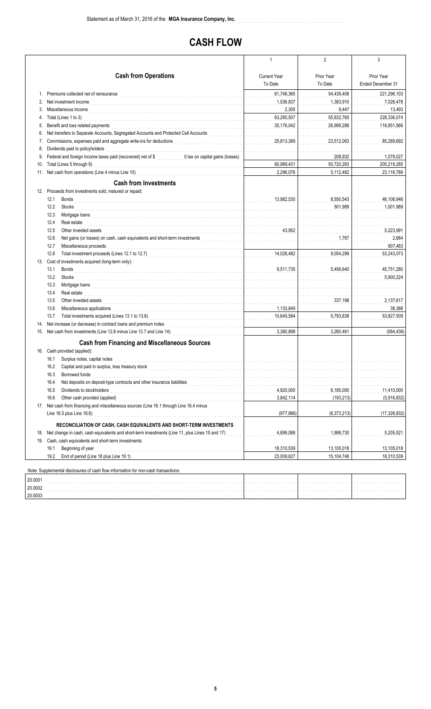## **CASH FLOW**

|     |                                                                                                                                                                                                                                        | 1                             | 2           | 3                 |
|-----|----------------------------------------------------------------------------------------------------------------------------------------------------------------------------------------------------------------------------------------|-------------------------------|-------------|-------------------|
|     | <b>Cash from Operations</b>                                                                                                                                                                                                            |                               |             |                   |
|     |                                                                                                                                                                                                                                        | <b>Current Year</b>           | Prior Year  | Prior Year        |
|     |                                                                                                                                                                                                                                        | To Date                       | To Date     | Ended December 31 |
| 1.  | Premiums collected net of reinsurance                                                                                                                                                                                                  | 61,746,365                    | 54,439,408  | 221,296,103       |
|     | Net investment income                                                                                                                                                                                                                  | 1,536,837                     | 1,383,910   | 7,026,478         |
| 3.  | Miscellaneous income                                                                                                                                                                                                                   | 2,305                         | 9,447       | 13,493            |
| 4.  | Total (Lines 1 to 3)                                                                                                                                                                                                                   | 63,285,507                    | 55,832,765  | 228,336,074       |
| 5.  | Benefit and loss related payments                                                                                                                                                                                                      | 35,176,042                    | 26,999,288  | 118.851.566       |
| 6.  | Net transfers to Separate Accounts, Segregated Accounts and Protected Cell Accounts                                                                                                                                                    |                               |             |                   |
| 7.  | Commissions, expenses paid and aggregate write-ins for deductions<br>The continuum of the contract of the contract of the contract of the contract of the contract of the contract of the contract of the contract of the contra       | 25,813,389                    | 23,512,063  | 85,289,692        |
| 8.  | Dividends paid to policyholders                                                                                                                                                                                                        |                               |             |                   |
| 9.  | Federal and foreign income taxes paid (recovered) net of \$ 0 tax on capital gains (losses)                                                                                                                                            |                               | 208,932     | 1,078,027         |
| 10. | Total (Lines 5 through 9)                                                                                                                                                                                                              | 60,989,431                    | 50,720,283  | 205,219,285       |
| 11. | Net cash from operations (Line 4 minus Line 10)                                                                                                                                                                                        | 2,296,076                     | 5,112,482   | 23,116,789        |
|     | <b>Cash from Investments</b>                                                                                                                                                                                                           |                               |             |                   |
|     | 12. Proceeds from investments sold, matured or repaid:                                                                                                                                                                                 |                               |             |                   |
|     | 12.1<br><b>Bonds</b>                                                                                                                                                                                                                   | 13,982,530                    | 8,550,543   | 46,106,946        |
|     | 12.2<br>Stocks                                                                                                                                                                                                                         |                               | 501,989     | 1,001,989         |
|     | 12.3                                                                                                                                                                                                                                   |                               |             | and a state       |
|     | 12.4<br>Real estate                                                                                                                                                                                                                    |                               |             |                   |
|     | 12.5<br>Other invested assets                                                                                                                                                                                                          | 43,952                        |             | 5,223,991         |
|     | Net gains (or losses) on cash, cash equivalents and short-term investments<br>12.6<br>a dia 40.000 metatra. Ny fisiana ara-daharampehintany ary ara-daharanjarahasin'ilay kaominina dia 4.                                             | .                             | 1,767       | 2,664             |
|     | 12.7<br>Miscellaneous proceeds                                                                                                                                                                                                         |                               |             | 907,483           |
|     | 12.8                                                                                                                                                                                                                                   | 14,026,482                    | 9,054,299   | 53,243,073        |
|     | 13. Cost of investments acquired (long-term only):                                                                                                                                                                                     |                               |             |                   |
|     | 13.1<br><b>Bonds</b>                                                                                                                                                                                                                   | 9.511.735                     | 5.456.640   | 45,751,280        |
|     | 13.2<br>Stocks                                                                                                                                                                                                                         |                               |             | 5,900,224         |
|     | 13.3<br>Mortgage loans with a state of the contract of the contract of the contract of the contract of the contract of the contract of the contract of the contract of the contract of the contract of the contract of the contract of |                               |             |                   |
|     | 13.4<br>Real estate                                                                                                                                                                                                                    |                               |             |                   |
|     | 13.5<br>Other invested assets                                                                                                                                                                                                          | .                             | 337,198     | 2,137,617         |
|     | 13.6<br>Miscellaneous applications                                                                                                                                                                                                     | 1,133,849                     |             | 38,388            |
|     | 13.7<br>Total investments acquired (Lines 13.1 to 13.6)                                                                                                                                                                                | 10,645,584                    | 5,793,838   | 53,827,509        |
| 14. | Net increase (or decrease) in contract loans and premium notes                                                                                                                                                                         |                               |             |                   |
|     | 15. Net cash from investments (Line 12.8 minus Line 13.7 and Line 14)<br>15. Net cash from investments (Line 12.8 minus Line 13.7 and Line 14)                                                                                         | 3.380.898                     | 3,260,461   | (584, 436)        |
|     |                                                                                                                                                                                                                                        |                               |             |                   |
|     | <b>Cash from Financing and Miscellaneous Sources</b>                                                                                                                                                                                   |                               |             |                   |
|     | 16. Cash provided (applied):                                                                                                                                                                                                           |                               |             |                   |
|     | 16.1<br>Surplus notes, capital notes                                                                                                                                                                                                   | .                             | .           |                   |
|     | 16.2 Capital and paid in surplus, less treasury stock                                                                                                                                                                                  | and a straight and a straight |             |                   |
|     | 16.3<br>Borrowed funds                                                                                                                                                                                                                 |                               |             |                   |
|     | Net deposits on deposit-type contracts and other insurance liabilities<br>16.4                                                                                                                                                         |                               |             |                   |
|     | Dividends to stockholders<br>16.5                                                                                                                                                                                                      | 4,820,000                     | 6,180,000   | 11,410,000        |
|     | 16.6<br>Other cash provided (applied)                                                                                                                                                                                                  | 3,842,114                     | (193, 213)  | (5,916,832)       |
|     | 17. Net cash from financing and miscellaneous sources (Line 16.1 through Line 16.4 minus                                                                                                                                               |                               |             |                   |
|     | Line 16.5 plus Line 16.6)                                                                                                                                                                                                              | (977, 886)                    | (6,373,213) | (17, 326, 832)    |
|     | RECONCILIATION OF CASH, CASH EQUIVALENTS AND SHORT-TERM INVESTMENTS                                                                                                                                                                    |                               |             |                   |
|     | 18. Net change in cash, cash equivalents and short-term investments (Line 11, plus Lines 15 and 17)                                                                                                                                    | 4,699,088                     | 1,999,730   | 5,205,521         |
|     | 19. Cash, cash equivalents and short-term investments:                                                                                                                                                                                 |                               |             |                   |
|     | 19.1<br>Beginning of year                                                                                                                                                                                                              | 18,310,539                    | 13,105,018  | 13,105,018        |
|     | 19.2<br>End of period (Line 18 plus Line 19.1)                                                                                                                                                                                         | 23,009,627                    | 15,104,748  | 18,310,539        |
|     |                                                                                                                                                                                                                                        |                               |             |                   |
|     | Note: Supplemental disclosures of cash flow information for non-cash transactions:                                                                                                                                                     |                               |             |                   |

| 20.0001 |  |  |
|---------|--|--|
| 20.0002 |  |  |
| 20.0003 |  |  |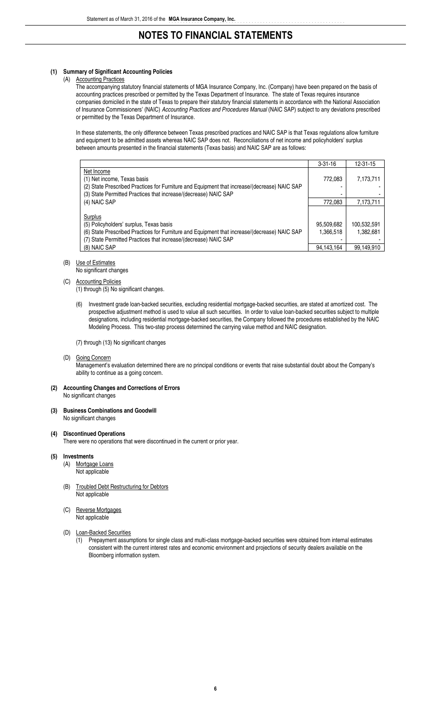#### **(1) Summary of Significant Accounting Policies**

#### (A) Accounting Practices

The accompanying statutory financial statements of MGA Insurance Company, Inc. (Company) have been prepared on the basis of accounting practices prescribed or permitted by the Texas Department of Insurance. The state of Texas requires insurance companies domiciled in the state of Texas to prepare their statutory financial statements in accordance with the National Association of Insurance Commissioners' (NAIC) *Accounting Practices and Procedures Manual* (NAIC SAP) subject to any deviations prescribed or permitted by the Texas Department of Insurance.

In these statements, the only difference between Texas prescribed practices and NAIC SAP is that Texas regulations allow furniture and equipment to be admitted assets whereas NAIC SAP does not. Reconciliations of net income and policyholders' surplus between amounts presented in the financial statements (Texas basis) and NAIC SAP are as follows:

|                                                                                                                                                                                                                                       | $3 - 31 - 16$                         | $12 - 31 - 15$                         |
|---------------------------------------------------------------------------------------------------------------------------------------------------------------------------------------------------------------------------------------|---------------------------------------|----------------------------------------|
| Net Income<br>(1) Net income, Texas basis                                                                                                                                                                                             | 772,083                               | 7,173,711                              |
| (2) State Prescribed Practices for Furniture and Equipment that increase/(decrease) NAIC SAP<br>(3) State Permitted Practices that increase/(decrease) NAIC SAP                                                                       |                                       |                                        |
| (4) NAIC SAP                                                                                                                                                                                                                          | 772.083                               | 7,173,711                              |
| Surplus<br>(5) Policyholders' surplus, Texas basis<br>(6) State Prescribed Practices for Furniture and Equipment that increase/(decrease) NAIC SAP<br>(7) State Permitted Practices that increase/(decrease) NAIC SAP<br>(8) NAIC SAP | 95,509,682<br>1,366,518<br>94.143.164 | 100,532,591<br>1.382.681<br>99.149.910 |

#### (B) Use of Estimates

No significant changes

(C) Accounting Policies

(1) through (5) No significant changes.

(6) Investment grade loan-backed securities, excluding residential mortgage-backed securities, are stated at amortized cost. The prospective adjustment method is used to value all such securities. In order to value loan-backed securities subject to multiple designations, including residential mortgage-backed securities, the Company followed the procedures established by the NAIC Modeling Process. This two-step process determined the carrying value method and NAIC designation.

(7) through (13) No significant changes

(D) Going Concern

Management's evaluation determined there are no principal conditions or events that raise substantial doubt about the Company's ability to continue as a going concern.

#### **(2) Accounting Changes and Corrections of Errors** No significant changes

#### **(3) Business Combinations and Goodwill** No significant changes

**(4) Discontinued Operations** There were no operations that were discontinued in the current or prior year.

#### **(5) Investments**

- (A) Mortgage Loans Not applicable
- (B) Troubled Debt Restructuring for Debtors Not applicable
- (C) Reverse Mortgages Not applicable

#### (D) Loan-Backed Securities

(1) Prepayment assumptions for single class and multi-class mortgage-backed securities were obtained from internal estimates consistent with the current interest rates and economic environment and projections of security dealers available on the Bloomberg information system.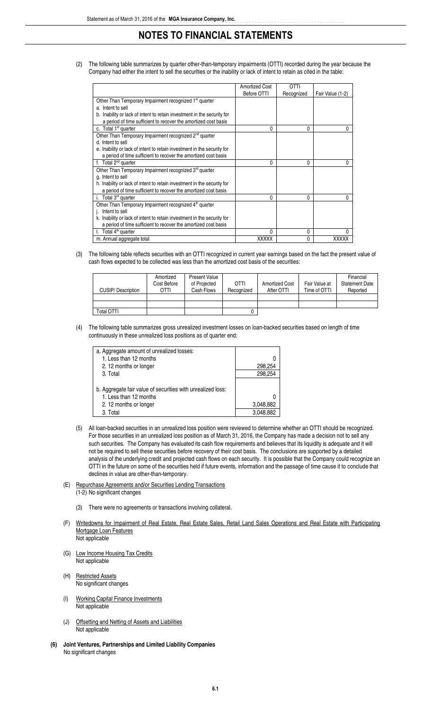(2) The following table summarizes by quarter other-than-temporary impairments (OTTI) recorded during the year because the Company had either the intent to sell the securities or the inability or lack of intent to retain as cited in the table:

|                                                                         | <b>Amortized Cost</b> | <b>OTTI</b>  |                  |
|-------------------------------------------------------------------------|-----------------------|--------------|------------------|
|                                                                         |                       |              |                  |
|                                                                         | Before OTTI           | Recognized   | Fair Value (1-2) |
| Other Than Temporary Impairment recognized 1 <sup>st</sup> quarter      |                       |              |                  |
| a. Intent to sell                                                       |                       |              |                  |
| b. Inability or lack of intent to retain investment in the security for |                       |              |                  |
| a period of time sufficient to recover the amortized cost basis         |                       |              |                  |
| c. Total 1 <sup>st</sup> quarter                                        | 0                     | 0            | 0                |
| Other Than Temporary Impairment recognized 2 <sup>nd</sup> quarter      |                       |              |                  |
| d. Intent to sell                                                       |                       |              |                  |
| e. Inability or lack of intent to retain investment in the security for |                       |              |                  |
| a period of time sufficient to recover the amortized cost basis         |                       |              |                  |
| f. Total $2^{nd}$ quarter                                               | 0                     | 0            | 0                |
| Other Than Temporary Impairment recognized 3 <sup>rd</sup> quarter      |                       |              |                  |
| g. Intent to sell                                                       |                       |              |                  |
| h. Inability or lack of intent to retain investment in the security for |                       |              |                  |
| a period of time sufficient to recover the amortized cost basis         |                       |              |                  |
| Total 3 <sup>rd</sup> quarter<br>i.                                     | 0                     | 0            | 0                |
| Other Than Temporary Impairment recognized 4 <sup>th</sup> quarter      |                       |              |                  |
| Intent to sell                                                          |                       |              |                  |
| k. Inability or lack of intent to retain investment in the security for |                       |              |                  |
| a period of time sufficient to recover the amortized cost basis         |                       |              |                  |
| Total 4 <sup>th</sup> quarter                                           | 0                     | 0            | U                |
| m. Annual aggregate total                                               | <b>XXXXX</b>          | $\mathbf{0}$ | <b>XXXXX</b>     |

(3) The following table reflects securities with an OTTI recognized in current year earnings based on the fact the present value of cash flows expected to be collected was less than the amortized cost basis of the securities:

| CUSIP/Description | Amortized<br>Cost Before<br>OTTI | <b>Present Value</b><br>of Projected<br>Cash Flows | <b>OTTI</b><br>Recognized | Amortized Cost<br>After OTTI | Fair Value at<br>Time of OTTI | Financial<br><b>Statement Date</b><br>Reported |
|-------------------|----------------------------------|----------------------------------------------------|---------------------------|------------------------------|-------------------------------|------------------------------------------------|
|                   |                                  |                                                    |                           |                              |                               |                                                |
| Total OTTI        |                                  |                                                    |                           |                              |                               |                                                |

(4) The following table summarizes gross unrealized investment losses on loan-backed securities based on length of time continuously in these unrealized loss positions as of quarter end:

| a. Aggregate amount of unrealized losses:                   |           |
|-------------------------------------------------------------|-----------|
| 1. Less than 12 months                                      |           |
| 2.12 months or longer                                       | 298,254   |
| 3. Total                                                    | 298,254   |
|                                                             |           |
| b. Aggregate fair value of securities with unrealized loss: |           |
| 1. Less than 12 months                                      |           |
| 2.12 months or longer                                       | 3,048,882 |
| 3. Total                                                    | 3.048.882 |
|                                                             |           |

- (5) All loan-backed securities in an unrealized loss position were reviewed to determine whether an OTTI should be recognized. For those securities in an unrealized loss position as of March 31, 2016, the Company has made a decision not to sell any such securities. The Company has evaluated its cash flow requirements and believes that its liquidity is adequate and it will not be required to sell these securities before recovery of their cost basis. The conclusions are supported by a detailed analysis of the underlying credit and projected cash flows on each security. It is possible that the Company could recognize an OTTI in the future on some of the securities held if future events, information and the passage of time cause it to conclude that declines in value are other-than-temporary.
- (E) Repurchase Agreements and/or Securities Lending Transactions (1-2) No significant changes
	- - (3) There were no agreements or transactions involving collateral.
- (F) Writedowns for |mpairment of Real Estate, Real Estate Sales, Retail Land Sales Operations and Real Estate with Participating Mortgage Loan Features Not applicable
- (G) Low Income Housing Tax Credits Not applicable
- (H) Restricted Assets No significant changes
- (I) Working Capital Finance Investments Not applicable
- (J) Offsetting and Netting of Assets and Liabilities Not applicable
- **(6) Joint Ventures, Partnerships and Limited Liability Companies** No significant changes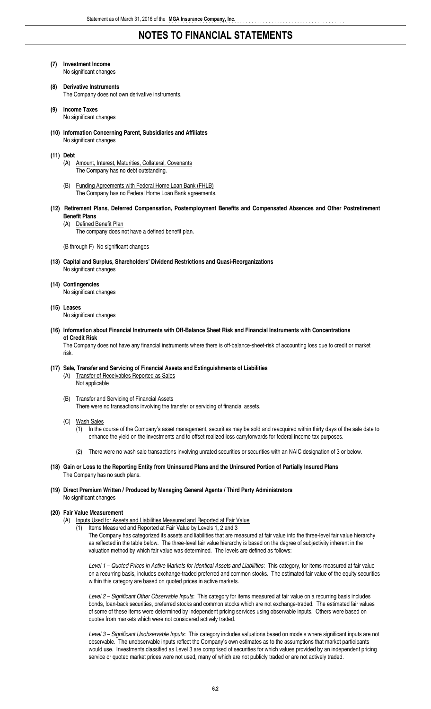- **(7) Investment Income** No significant changes
- **(8) Derivative Instruments** The Company does not own derivative instruments.
- **(9) Income Taxes** No significant changes
- **(10) Information Concerning Parent, Subsidiaries and Affiliates** No significant changes
- **(11) Debt**
	- (A) Amount, Interest, Maturities, Collateral, Covenants The Company has no debt outstanding.
	- (B) Funding Agreements with Federal Home Loan Bank (FHLB) The Company has no Federal Home Loan Bank agreements.
- **(12) Retirement Plans, Deferred Compensation, Postemployment Benefits and Compensated Absences and Other Postretirement Benefit Plans**

#### (A) Defined Benefit Plan

The company does not have a defined benefit plan.

(B through F) No significant changes

**(13) Capital and Surplus, Shareholders' Dividend Restrictions and Quasi-Reorganizations** No significant changes

#### **(14) Contingencies**

No significant changes

**(15) Leases**

No significant changes

**(16) Information about Financial Instruments with Off-Balance Sheet Risk and Financial Instruments with Concentrations of Credit Risk**

The Company does not have any financial instruments where there is off-balance-sheet-risk of accounting loss due to credit or market risk.

#### **(17) Sale, Transfer and Servicing of Financial Assets and Extinguishments of Liabilities**

(A) Transfer of Receivables Reported as Sales Not applicable

- (B) Transfer and Servicing of Financial Assets There were no transactions involving the transfer or servicing of financial assets.
- (C) Wash Sales
	- (1) In the course of the Company's asset management, securities may be sold and reacquired within thirty days of the sale date to enhance the yield on the investments and to offset realized loss carryforwards for federal income tax purposes.
	- (2) There were no wash sale transactions involving unrated securities or securities with an NAIC designation of 3 or below.
- **(18) Gain or Loss to the Reporting Entity from Uninsured Plans and the Uninsured Portion of Partially Insured Plans** The Company has no such plans.

valuation method by which fair value was determined. The levels are defined as follows:

**(19) Direct Premium Written / Produced by Managing General Agents / Third Party Administrators** No significant changes

#### **(20) Fair Value Measurement**

- (A) Inputs Used for Assets and Liabilities Measured and Reported at Fair Value
	- (1) Items Measured and Reported at Fair Value by Levels 1, 2 and 3 The Company has categorized its assets and liabilities that are measured at fair value into the three-level fair value hierarchy as reflected in the table below. The three-level fair value hierarchy is based on the degree of subjectivity inherent in the

*Level 1 – Quoted Prices in Active Markets for Identical Assets and Liabilities*: This category, for items measured at fair value on a recurring basis, includes exchange-traded preferred and common stocks. The estimated fair value of the equity securities within this category are based on quoted prices in active markets.

*Level 2 – Significant Other Observable Inputs*: This category for items measured at fair value on a recurring basis includes bonds, loan-back securities, preferred stocks and common stocks which are not exchange-traded. The estimated fair values of some of these items were determined by independent pricing services using observable inputs. Others were based on quotes from markets which were not considered actively traded.

*Level 3 – Significant Unobservable Inputs*: This category includes valuations based on models where significant inputs are not observable. The unobservable inputs reflect the Company's own estimates as to the assumptions that market participants would use. Investments classified as Level 3 are comprised of securities for which values provided by an independent pricing service or quoted market prices were not used, many of which are not publicly traded or are not actively traded.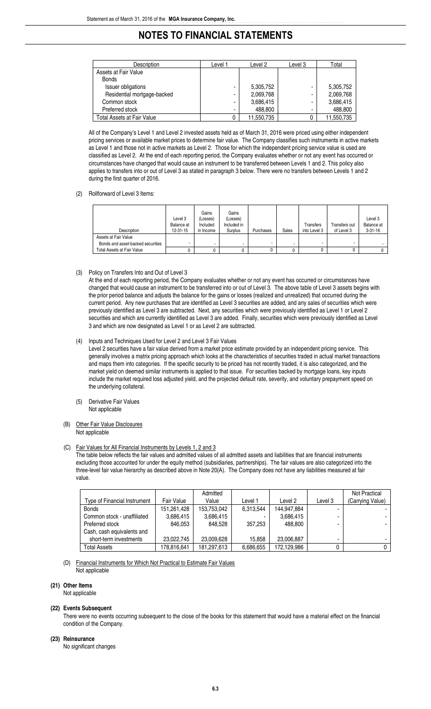| Description                 | Level 1        | Level 2    | Level 3 | Total      |
|-----------------------------|----------------|------------|---------|------------|
| Assets at Fair Value        |                |            |         |            |
| <b>Bonds</b>                |                |            |         |            |
| Issuer obligations          | -              | 5,305,752  | -       | 5,305,752  |
| Residential mortgage-backed | $\blacksquare$ | 2,069,768  | ۰       | 2,069,768  |
| Common stock                | $\blacksquare$ | 3,686,415  |         | 3,686,415  |
| Preferred stock             | $\blacksquare$ | 488,800    | -       | 488,800    |
| Total Assets at Fair Value  | 0              | 11,550,735 | 0       | 11,550,735 |

All of the Company's Level 1 and Level 2 invested assets held as of March 31, 2016 were priced using either independent pricing services or available market prices to determine fair value. The Company classifies such instruments in active markets as Level 1 and those not in active markets as Level 2. Those for which the independent pricing service value is used are classified as Level 2. At the end of each reporting period, the Company evaluates whether or not any event has occurred or circumstances have changed that would cause an instrument to be transferred between Levels 1 and 2. This policy also applies to transfers into or out of Level 3 as stated in paragraph 3 below. There were no transfers between Levels 1 and 2 during the first quarter of 2016.

#### (2) Rollforward of Level 3 Items:

| Description                       | Level 3<br>Balance at<br>$12 - 31 - 15$ | Gains<br>(Losses)<br>Included<br>in Income | Gains<br>(Losses)<br>Included in<br>Surplus | Purchases | Sales | Transfers<br>into Level 3 | Transfers out<br>of Level 3 | Level 3<br>Balance at<br>$3 - 31 - 16$ |
|-----------------------------------|-----------------------------------------|--------------------------------------------|---------------------------------------------|-----------|-------|---------------------------|-----------------------------|----------------------------------------|
| Assets at Fair Value              |                                         |                                            |                                             |           |       |                           |                             |                                        |
| Bonds and asset-backed securities |                                         |                                            | -                                           |           |       | ۰                         |                             |                                        |
| Total Assets at Fair Value        |                                         |                                            | 0                                           |           |       |                           |                             |                                        |

(3) Policy on Transfers Into and Out of Level 3

At the end of each reporting period, the Company evaluates whether or not any event has occurred or circumstances have changed that would cause an instrument to be transferred into or out of Level 3. The above table of Level 3 assets begins with the prior period balance and adjusts the balance for the gains or losses (realized and unrealized) that occurred during the current period. Any new purchases that are identified as Level 3 securities are added, and any sales of securities which were previously identified as Level 3 are subtracted. Next, any securities which were previously identified as Level 1 or Level 2 securities and which are currently identified as Level 3 are added. Finally, securities which were previously identified as Level 3 and which are now designated as Level 1 or as Level 2 are subtracted.

(4) Inputs and Techniques Used for Level 2 and Level 3 Fair Values

Level 2 securities have a fair value derived from a market price estimate provided by an independent pricing service. This generally involves a matrix pricing approach which looks at the characteristics of securities traded in actual market transactions and maps them into categories. If the specific security to be priced has not recently traded, it is also categorized, and the market yield on deemed similar instruments is applied to that issue. For securities backed by mortgage loans, key inputs include the market required loss adjusted yield, and the projected default rate, severity, and voluntary prepayment speed on the underlying collateral.

- (5) Derivative Fair Values Not applicable
- (B) Other Fair Value Disclosures Not applicable

#### (C) Fair Values for All Financial Instruments by Levels 1, 2 and 3

The table below reflects the fair values and admitted values of all admitted assets and liabilities that are financial instruments excluding those accounted for under the equity method (subsidiaries, partnerships). The fair values are also categorized into the three-level fair value hierarchy as described above in Note 20(A). The Company does not have any liabilities measured at fair value.

|                              |                   | Admitted    |           |             |         | <b>Not Practical</b> |
|------------------------------|-------------------|-------------|-----------|-------------|---------|----------------------|
| Type of Financial Instrument | <b>Fair Value</b> | Value       | Level 1   | Level 2     | Level 3 | (Carrying Value)     |
| <b>Bonds</b>                 | 151,261,428       | 153,753,042 | 6.313.544 | 144.947.884 |         |                      |
| Common stock - unaffiliated  | 3,686,415         | 3,686,415   |           | 3,686,415   |         |                      |
| Preferred stock              | 846.053           | 848.528     | 357.253   | 488.800     |         |                      |
| Cash, cash equivalents and   |                   |             |           |             |         |                      |
| short-term investments       | 23.022.745        | 23,009,628  | 15.858    | 23,006,887  | -       |                      |
| <b>Total Assets</b>          | 178.816.641       | 181,297,613 | 6.686.655 | 172,129,986 |         |                      |

(D) Financial Instruments for Which Not Practical to Estimate Fair Values Not applicable

#### **(21) Other Items**

Not applicable

#### **(22) Events Subsequent**

There were no events occurring subsequent to the close of the books for this statement that would have a material effect on the financial condition of the Company.

#### **(23) Reinsurance**

No significant changes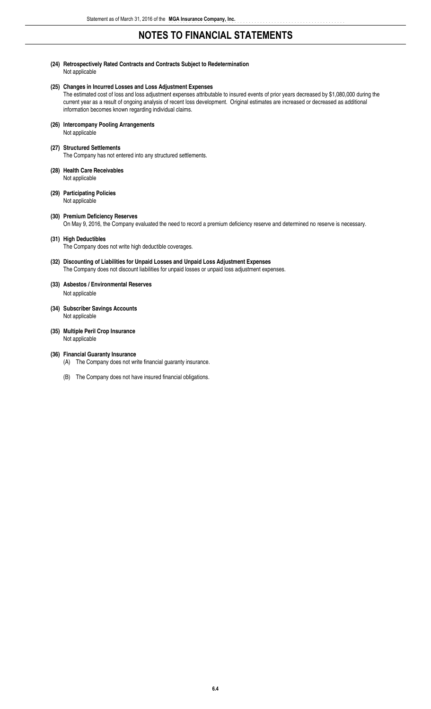**(24) Retrospectively Rated Contracts and Contracts Subject to Redetermination** Not applicable

#### **(25) Changes in Incurred Losses and Loss Adjustment Expenses**

The estimated cost of loss and loss adjustment expenses attributable to insured events of prior years decreased by \$1,080,000 during the current year as a result of ongoing analysis of recent loss development. Original estimates are increased or decreased as additional information becomes known regarding individual claims.

- **(26) Intercompany Pooling Arrangements** Not applicable
- **(27) Structured Settlements** The Company has not entered into any structured settlements.
- **(28) Health Care Receivables** Not applicable
- **(29) Participating Policies** Not applicable
- **(30) Premium Deficiency Reserves** On May 9, 2016, the Company evaluated the need to record a premium deficiency reserve and determined no reserve is necessary.

#### **(31) High Deductibles**

The Company does not write high deductible coverages.

- **(32) Discounting of Liabilities for Unpaid Losses and Unpaid Loss Adjustment Expenses** The Company does not discount liabilities for unpaid losses or unpaid loss adjustment expenses.
- **(33) Asbestos / Environmental Reserves** Not applicable
- **(34) Subscriber Savings Accounts** Not applicable
- **(35) Multiple Peril Crop Insurance** Not applicable

#### **(36) Financial Guaranty Insurance**

- (A) The Company does not write financial guaranty insurance.
- (B) The Company does not have insured financial obligations.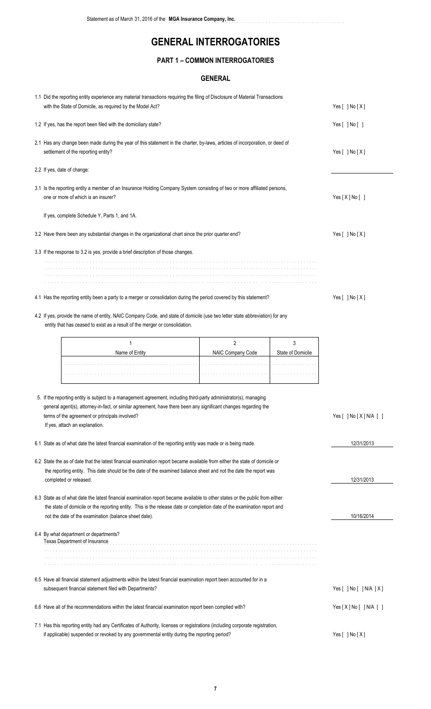..............................................................

### **PART 1 – COMMON INTERROGATORIES**

### **GENERAL**

| 1.1 Did the reporting entity experience any material transactions requiring the filing of Disclosure of Material Transactions<br>with the State of Domicile, as required by the Model Act?                                   |                   | Yes $[ ]$ No $[X]$                   |                              |  |  |
|------------------------------------------------------------------------------------------------------------------------------------------------------------------------------------------------------------------------------|-------------------|--------------------------------------|------------------------------|--|--|
| 1.2 If yes, has the report been filed with the domiciliary state?                                                                                                                                                            |                   |                                      | Yes [ ] No [ ]               |  |  |
| 2.1 Has any change been made during the year of this statement in the charter, by-laws, articles of incorporation, or deed of<br>settlement of the reporting entity?                                                         |                   |                                      | Yes [ ] No [X]               |  |  |
| 2.2 If yes, date of change:                                                                                                                                                                                                  |                   |                                      |                              |  |  |
| 3.1 Is the reporting entity a member of an Insurance Holding Company System consisting of two or more affiliated persons,<br>one or more of which is an insurer?                                                             |                   |                                      | Yes [X] No []                |  |  |
| If yes, complete Schedule Y, Parts 1, and 1A.                                                                                                                                                                                |                   |                                      |                              |  |  |
| 3.2 Have there been any substantial changes in the organizational chart since the prior quarter end?                                                                                                                         |                   |                                      | Yes $[ ]$ No $[X]$           |  |  |
| 3.3 If the response to 3.2 is yes, provide a brief description of those changes.                                                                                                                                             |                   |                                      |                              |  |  |
|                                                                                                                                                                                                                              |                   |                                      |                              |  |  |
|                                                                                                                                                                                                                              |                   |                                      |                              |  |  |
| 4.1 Has the reporting entity been a party to a merger or consolidation during the period covered by this statement?                                                                                                          |                   |                                      | Yes [ ] No [X]               |  |  |
| 4.2 If yes, provide the name of entity, NAIC Company Code, and state of domicile (use two letter state abbreviation) for any<br>entity that has ceased to exist as a result of the merger or consolidation.                  |                   |                                      |                              |  |  |
| 1                                                                                                                                                                                                                            | $\overline{2}$    | 3                                    |                              |  |  |
| Name of Entity                                                                                                                                                                                                               | NAIC Company Code | State of Domicile                    |                              |  |  |
|                                                                                                                                                                                                                              | and a state and a |                                      |                              |  |  |
| 5. If the reporting entity is subject to a management agreement, including third-party administrator(s), managing                                                                                                            |                   |                                      |                              |  |  |
| general agent(s), attorney-in-fact, or similar agreement, have there been any significant changes regarding the<br>terms of the agreement or principals involved?                                                            |                   |                                      | Yes $[$ ] No $[X]$ N/A $[$ ] |  |  |
| If yes, attach an explanation.                                                                                                                                                                                               |                   |                                      |                              |  |  |
| 6.1 State as of what date the latest financial examination of the reporting entity was made or is being made.                                                                                                                |                   |                                      | 12/31/2013                   |  |  |
| 6.2 State the as of date that the latest financial examination report became available from either the state of domicile or                                                                                                  |                   |                                      |                              |  |  |
| the reporting entity. This date should be the date of the examined balance sheet and not the date the report was<br>completed or released.                                                                                   |                   |                                      | 12/31/2013                   |  |  |
| 6.3 State as of what date the latest financial examination report became available to other states or the public from either                                                                                                 |                   |                                      |                              |  |  |
| the state of domicile or the reporting entity. This is the release date or completion date of the examination report and<br>not the date of the examination (balance sheet date).                                            | 10/16/2014        |                                      |                              |  |  |
| 6.4 By what department or departments?<br>Texas Department of Insurance                                                                                                                                                      |                   |                                      |                              |  |  |
|                                                                                                                                                                                                                              |                   |                                      |                              |  |  |
| 6.5 Have all financial statement adjustments within the latest financial examination report been accounted for in a<br>subsequent financial statement filed with Departments?                                                |                   | Yes $[$ $]$ No $[$ $]$ N/A $[$ X $]$ |                              |  |  |
| 6.6 Have all of the recommendations within the latest financial examination report been complied with?                                                                                                                       |                   |                                      | Yes[X] No[ ] N/A [ ]         |  |  |
| 7.1 Has this reporting entity had any Certificates of Authority, licenses or registrations (including corporate registration,<br>if applicable) suspended or revoked by any governmental entity during the reporting period? |                   | Yes $[ ]$ No $[X]$                   |                              |  |  |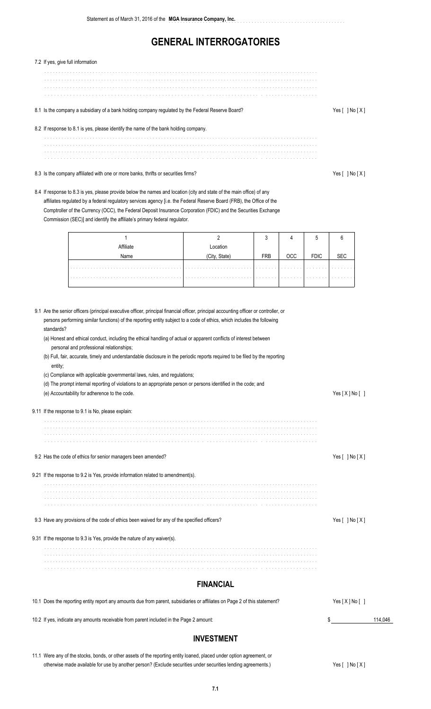| 7.2 If yes, give full information                                                                                                                                                                                                                                                                                                                                                                                                              |                           |            |     |             |                |         |
|------------------------------------------------------------------------------------------------------------------------------------------------------------------------------------------------------------------------------------------------------------------------------------------------------------------------------------------------------------------------------------------------------------------------------------------------|---------------------------|------------|-----|-------------|----------------|---------|
|                                                                                                                                                                                                                                                                                                                                                                                                                                                |                           |            |     |             |                |         |
| 8.1 Is the company a subsidiary of a bank holding company regulated by the Federal Reserve Board?                                                                                                                                                                                                                                                                                                                                              |                           |            |     |             | Yes [ ] No [X] |         |
| 8.2 If response to 8.1 is yes, please identify the name of the bank holding company.                                                                                                                                                                                                                                                                                                                                                           |                           |            |     |             |                |         |
| 8.3 Is the company affiliated with one or more banks, thrifts or securities firms?                                                                                                                                                                                                                                                                                                                                                             |                           |            |     |             | Yes [ ] No [X] |         |
| 8.4 If response to 8.3 is yes, please provide below the names and location (city and state of the main office) of any<br>affiliates regulated by a federal regulatory services agency [i.e. the Federal Reserve Board (FRB), the Office of the<br>Comptroller of the Currency (OCC), the Federal Deposit Insurance Corporation (FDIC) and the Securities Exchange<br>Commission (SEC)] and identify the affiliate's primary federal regulator. |                           |            |     |             |                |         |
| 1                                                                                                                                                                                                                                                                                                                                                                                                                                              | $\overline{2}$            | 3          | 4   | 5           | 6              |         |
| Affiliate<br>Name                                                                                                                                                                                                                                                                                                                                                                                                                              | Location<br>(City, State) | <b>FRB</b> | OCC | <b>FDIC</b> | <b>SEC</b>     |         |
|                                                                                                                                                                                                                                                                                                                                                                                                                                                |                           |            |     |             |                |         |
|                                                                                                                                                                                                                                                                                                                                                                                                                                                |                           |            |     |             |                |         |
| (b) Full, fair, accurate, timely and understandable disclosure in the periodic reports required to be filed by the reporting<br>entity:<br>(c) Compliance with applicable governmental laws, rules, and regulations;<br>(d) The prompt internal reporting of violations to an appropriate person or persons identified in the code; and<br>(e) Accountability for adherence to the code.<br>9.11 If the response to 9.1 is No, please explain: |                           |            |     |             | Yes [X] No []  |         |
|                                                                                                                                                                                                                                                                                                                                                                                                                                                |                           |            |     |             |                |         |
| 9.2 Has the code of ethics for senior managers been amended?                                                                                                                                                                                                                                                                                                                                                                                   |                           |            |     |             | Yes [ ] No [X] |         |
| 9.21 If the response to 9.2 is Yes, provide information related to amendment(s).                                                                                                                                                                                                                                                                                                                                                               |                           |            |     |             |                |         |
|                                                                                                                                                                                                                                                                                                                                                                                                                                                |                           |            |     |             |                |         |
| 9.3 Have any provisions of the code of ethics been waived for any of the specified officers?                                                                                                                                                                                                                                                                                                                                                   |                           |            |     |             | Yes [ ] No [X] |         |
| 9.31 If the response to 9.3 is Yes, provide the nature of any waiver(s).                                                                                                                                                                                                                                                                                                                                                                       |                           |            |     |             |                |         |
|                                                                                                                                                                                                                                                                                                                                                                                                                                                |                           |            |     |             |                |         |
|                                                                                                                                                                                                                                                                                                                                                                                                                                                | <b>FINANCIAL</b>          |            |     |             |                |         |
| 10.1 Does the reporting entity report any amounts due from parent, subsidiaries or affiliates on Page 2 of this statement?                                                                                                                                                                                                                                                                                                                     |                           |            |     |             | Yes [X] No []  |         |
| 10.2 If yes, indicate any amounts receivable from parent included in the Page 2 amount:                                                                                                                                                                                                                                                                                                                                                        |                           |            |     |             | \$             | 114.046 |

### **INVESTMENT**

11.1 Were any of the stocks, bonds, or other assets of the reporting entity loaned, placed under option agreement, or otherwise made available for use by another person? (Exclude securities under securities lending agreements.) Yes [ ] No [X]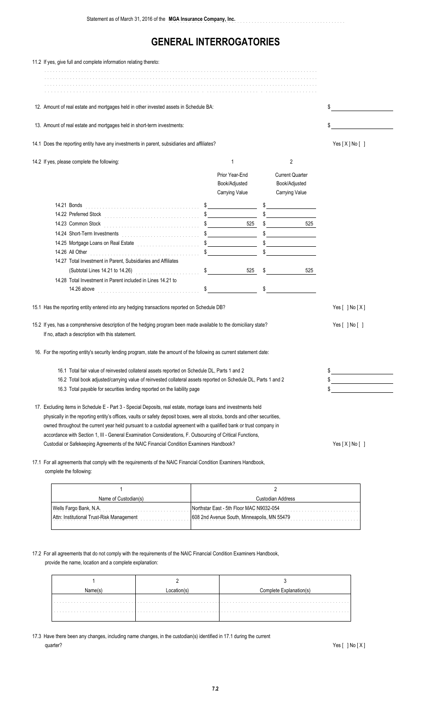| 11.2 If yes, give full and complete information relating thereto:                                                                                                                                                                                                                                                                                                                                                                                                                |                                 |                                         |                                                          |
|----------------------------------------------------------------------------------------------------------------------------------------------------------------------------------------------------------------------------------------------------------------------------------------------------------------------------------------------------------------------------------------------------------------------------------------------------------------------------------|---------------------------------|-----------------------------------------|----------------------------------------------------------|
|                                                                                                                                                                                                                                                                                                                                                                                                                                                                                  |                                 |                                         |                                                          |
|                                                                                                                                                                                                                                                                                                                                                                                                                                                                                  |                                 |                                         |                                                          |
| 12. Amount of real estate and mortgages held in other invested assets in Schedule BA:                                                                                                                                                                                                                                                                                                                                                                                            |                                 | \$                                      |                                                          |
| 13. Amount of real estate and mortgages held in short-term investments:                                                                                                                                                                                                                                                                                                                                                                                                          |                                 | \$                                      |                                                          |
| 14.1 Does the reporting entity have any investments in parent, subsidiaries and affiliates?                                                                                                                                                                                                                                                                                                                                                                                      |                                 |                                         | Yes [X] No []                                            |
| 14.2 If yes, please complete the following:                                                                                                                                                                                                                                                                                                                                                                                                                                      | 1                               | 2                                       |                                                          |
|                                                                                                                                                                                                                                                                                                                                                                                                                                                                                  | Prior Year-End<br>Book/Adjusted | <b>Current Quarter</b><br>Book/Adjusted |                                                          |
| 14.22 Preferred Stock <b>2000 Preferred Stock</b>                                                                                                                                                                                                                                                                                                                                                                                                                                | Carrying Value<br>$\frac{1}{2}$ | Carrying Value<br>$\frac{1}{2}$         |                                                          |
| 14.24 Short-Term Investments (1999) 14.24 Short-Term Investments (1999) 1999<br>14.25 Mortgage Loans on Real Estate                                                                                                                                                                                                                                                                                                                                                              | $\frac{1}{2}$                   | 525                                     |                                                          |
| 14.26 All Other <b>Manual According to All Other Property According to All Other</b><br>14.27 Total Investment in Parent, Subsidiaries and Affiliates                                                                                                                                                                                                                                                                                                                            |                                 | $\frac{1}{2}$                           |                                                          |
| (Subtotal Lines 14.21 to 14.26)<br>14.28 Total Investment in Parent included in Lines 14.21 to                                                                                                                                                                                                                                                                                                                                                                                   | $\sim$                          | $525 \quad $$<br>525<br>$\mathsf{\$}$   |                                                          |
| 15.1 Has the reporting entity entered into any hedging transactions reported on Schedule DB?                                                                                                                                                                                                                                                                                                                                                                                     |                                 |                                         | Yes $[ ]$ No $[X]$                                       |
| 15.2 If yes, has a comprehensive description of the hedging program been made available to the domiciliary state?<br>If no, attach a description with this statement.                                                                                                                                                                                                                                                                                                            |                                 |                                         | Yes [ ] No [ ]                                           |
| 16. For the reporting entity's security lending program, state the amount of the following as current statement date:                                                                                                                                                                                                                                                                                                                                                            |                                 |                                         |                                                          |
| 16.1 Total fair value of reinvested collateral assets reported on Schedule DL, Parts 1 and 2<br>16.2 Total book adjusted/carrying value of reinvested collateral assets reported on Schedule DL, Parts 1 and 2                                                                                                                                                                                                                                                                   |                                 |                                         | \$<br>\$<br>the control of the control of the control of |
| 16.3 Total payable for securities lending reported on the liability page                                                                                                                                                                                                                                                                                                                                                                                                         |                                 |                                         | \$                                                       |
| 17. Excluding items in Schedule E - Part 3 - Special Deposits, real estate, mortage loans and investments held<br>physically in the reporting entity's offices, vaults or safety deposit boxes, were all stocks, bonds and other securities,<br>owned throughout the current year held pursuant to a custodial agreement with a qualified bank or trust company in<br>accordance with Section 1, III - General Examination Considerations, F. Outsourcing of Critical Functions, |                                 |                                         |                                                          |
| Custodial or Safekeeping Agreements of the NAIC Financial Condition Examiners Handbook?                                                                                                                                                                                                                                                                                                                                                                                          |                                 | Yes[X] No[]                             |                                                          |

17.1 For all agreements that comply with the requirements of the NAIC Financial Condition Examiners Handbook, complete the following:

| Name of Custodian(s)                      | Custodian Address                           |
|-------------------------------------------|---------------------------------------------|
| Wells Fargo Bank, N.A.                    | Northstar East - 5th Floor MAC N9032-054    |
| Attn: Institutional Trust-Risk Management | 608 2nd Avenue South, Minneapolis, MN 55479 |
|                                           |                                             |

### 17.2 For all agreements that do not comply with the requirements of the NAIC Financial Condition Examiners Handbook,

provide the name, location and a complete explanation:

|  | Complete Explanation(s) |
|--|-------------------------|
|  |                         |
|  |                         |
|  |                         |

17.3 Have there been any changes, including name changes, in the custodian(s) identified in 17.1 during the current quarter? Yes [ ] No [ X ]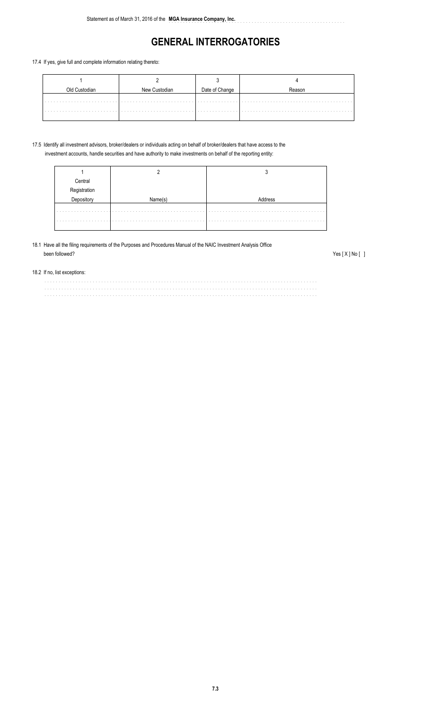..............................................................

#### 17.4 If yes, give full and complete information relating thereto:

|  | Date of Change |  |
|--|----------------|--|
|  |                |  |

#### 17.5 Identify all investment advisors, broker/dealers or individuals acting on behalf of broker/dealers that have access to the investment accounts, handle securities and have authority to make investments on behalf of the reporting entity:

| Central<br>Pegistration |  |
|-------------------------|--|
|                         |  |
| $\frac{1}{2}$           |  |
|                         |  |
|                         |  |
|                         |  |

### 18.1 Have all the filing requirements of the Purposes and Procedures Manual of the NAIC Investment Analysis Office been followed? Yes [ X ] No [ ]

#### 18.2 If no, list exceptions:

................................................................................................ ................................................................................................ ................................................................................................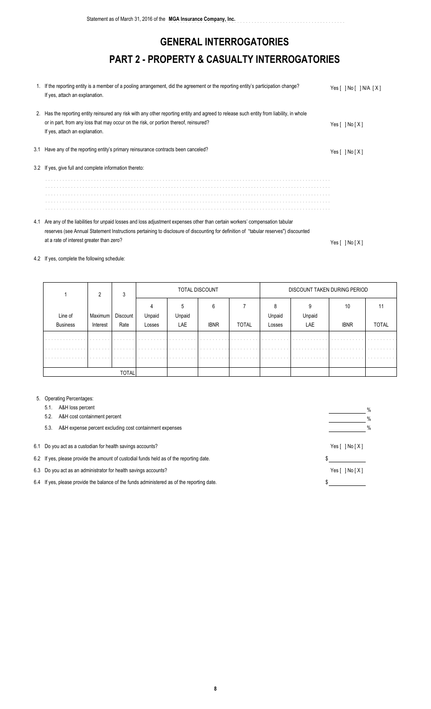# **GENERAL INTERROGATORIES PART 2 - PROPERTY & CASUALTY INTERROGATORIES**

| 1. If the reporting entity is a member of a pooling arrangement, did the agreement or the reporting entity's participation change?<br>If yes, attach an explanation.                                                                                                | Yes[ ]No[ ]N/A [X] |
|---------------------------------------------------------------------------------------------------------------------------------------------------------------------------------------------------------------------------------------------------------------------|--------------------|
| 2. Has the reporting entity reinsured any risk with any other reporting entity and agreed to release such entity from liability, in whole<br>or in part, from any loss that may occur on the risk, or portion thereof, reinsured?<br>If yes, attach an explanation. | Yes[ ]No[X]        |
| 3.1 Have any of the reporting entity's primary reinsurance contracts been canceled?                                                                                                                                                                                 | Yes $[ ]$ No $[X]$ |
| 3.2 If yes, give full and complete information thereto:                                                                                                                                                                                                             |                    |
|                                                                                                                                                                                                                                                                     |                    |
|                                                                                                                                                                                                                                                                     |                    |
|                                                                                                                                                                                                                                                                     |                    |
|                                                                                                                                                                                                                                                                     |                    |
|                                                                                                                                                                                                                                                                     |                    |
| 4.1 Are any of the liabilities for unpaid losses and loss adjustment expenses other than certain workers' compensation tabular                                                                                                                                      |                    |

reserves (see Annual Statement Instructions pertaining to disclosure of discounting for definition of "tabular reserves") discounted at a rate of interest greater than zero? Yes [ ] No [ X ]

### 4.2 If yes, complete the following schedule:

|                 |                                           | 3            |        |             | TOTAL DISCOUNT |              | DISCOUNT TAKEN DURING PERIOD                                                  |                                                     |                                               |              |  |  |  |  |
|-----------------|-------------------------------------------|--------------|--------|-------------|----------------|--------------|-------------------------------------------------------------------------------|-----------------------------------------------------|-----------------------------------------------|--------------|--|--|--|--|
| Line of         | Maximum I                                 | Discount     | Unpaid | Unpaid      | h              |              | Unpaid                                                                        | Unpaid                                              | 10                                            |              |  |  |  |  |
| <b>Business</b> | Interest                                  | Rate         | Losses | LAE         | <b>IBNR</b>    | <b>TOTAL</b> | Losses                                                                        | LAE                                                 | <b>IBNR</b>                                   | <b>TOTAL</b> |  |  |  |  |
| .<br>.          | the contract of the contract of<br>.<br>. | .<br>.<br>.  | .<br>. | .<br>.<br>. | .<br>.         | .<br>.       | the contract of the contract of the<br>the company's company's company's<br>. | the company's company's company's and the<br>.<br>. | the contract of the contract of the con-<br>. | .<br>.       |  |  |  |  |
|                 |                                           | <b>TOTAL</b> |        |             |                |              |                                                                               |                                                     |                                               |              |  |  |  |  |

#### 5. Operating Percentages:

| A&H loss percent<br>5.1.                                                                   | % |
|--------------------------------------------------------------------------------------------|---|
| A&H cost containment percent<br>5.2.                                                       | % |
| A&H expense percent excluding cost containment expenses<br>5.3.                            | % |
| 6.1 Do you act as a custodian for health savings accounts?                                 |   |
| 6.2 If yes, please provide the amount of custodial funds held as of the reporting date.    |   |
| 6.3 Do you act as an administrator for health savings accounts?                            |   |
| 6.4 If yes, please provide the balance of the funds administered as of the reporting date. |   |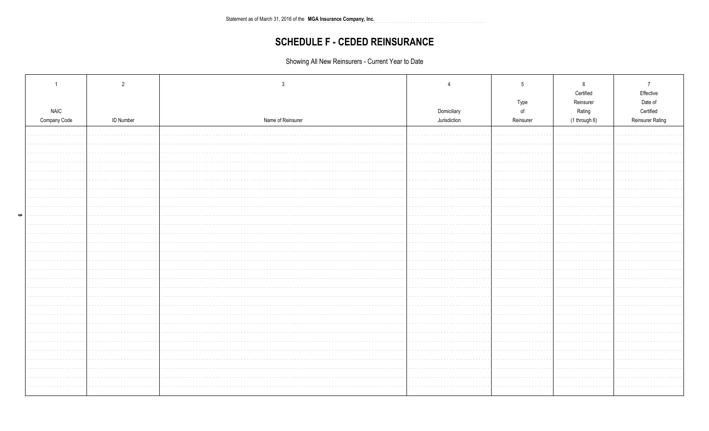Statement as of March 31, 2016 of the MGA Insurance Company, Inc. 

## **SCHEDULE F - CEDED REINSURANCE**

Showing All New Reinsurers - Current Year to Date

|   |                             | $\overline{2}$   |                   |                             | -5                    | 6                   | $\overline{7}$          |
|---|-----------------------------|------------------|-------------------|-----------------------------|-----------------------|---------------------|-------------------------|
|   |                             |                  |                   |                             |                       | Certified           | Effective               |
|   |                             |                  |                   |                             | Type<br>$\mathsf{of}$ | Reinsurer<br>Rating | Date of<br>Certified    |
|   | <b>NAIC</b><br>Company Code | <b>ID Number</b> | Name of Reinsurer | Domiciliary<br>Jurisdiction | Reinsurer             | (1 through 6)       | <b>Reinsurer Rating</b> |
|   |                             |                  |                   |                             |                       |                     |                         |
|   |                             |                  |                   |                             |                       |                     |                         |
|   |                             |                  |                   |                             |                       |                     |                         |
|   |                             |                  |                   |                             |                       |                     |                         |
|   |                             |                  |                   |                             |                       |                     |                         |
|   |                             |                  |                   |                             |                       |                     |                         |
|   |                             |                  |                   |                             |                       |                     |                         |
|   |                             |                  |                   |                             |                       |                     |                         |
|   | contractors and             |                  |                   |                             |                       |                     |                         |
| ဖ | .                           |                  |                   |                             |                       |                     |                         |
|   |                             |                  |                   |                             |                       |                     |                         |
|   |                             |                  |                   |                             |                       |                     |                         |
|   | .<br>.                      |                  |                   |                             |                       |                     |                         |
|   | <b>Contract</b>             |                  |                   |                             |                       |                     |                         |
|   |                             |                  |                   |                             |                       |                     |                         |
|   | <b>Service</b> and          |                  |                   |                             |                       |                     |                         |
|   | contractor and a series     |                  |                   |                             | .                     |                     |                         |
|   |                             |                  |                   |                             |                       |                     |                         |
|   |                             |                  |                   |                             |                       |                     |                         |
|   |                             |                  |                   |                             |                       |                     |                         |
|   | <b>Service</b> State        |                  |                   |                             |                       |                     |                         |
|   | .                           |                  |                   |                             |                       |                     |                         |
|   |                             |                  |                   |                             |                       |                     |                         |
|   |                             |                  |                   |                             |                       |                     |                         |
|   |                             |                  |                   |                             |                       |                     |                         |
|   |                             |                  |                   |                             |                       |                     |                         |
|   | contractors.                |                  |                   |                             |                       |                     |                         |
|   |                             |                  |                   |                             |                       |                     |                         |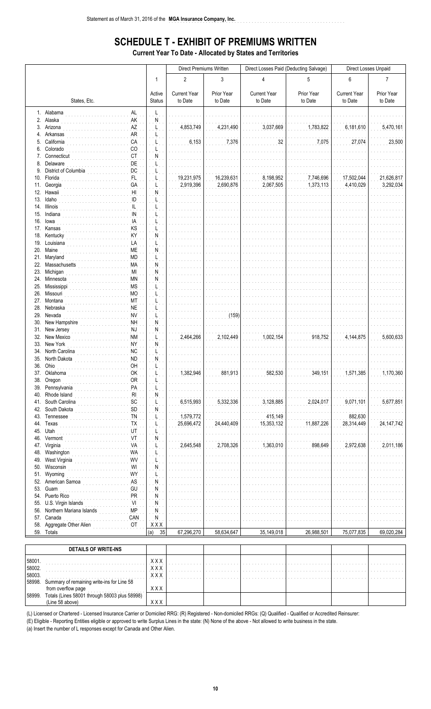## **SCHEDULE T - EXHIBIT OF PREMIUMS WRITTEN**

a dia anala dia

**Current Year To Date - Allocated by States and Territories** 

|            |                                                             |                         | Direct Premiums Written        |                       | Direct Losses Paid (Deducting Salvage) |                       | Direct Losses Unpaid           |                       |  |  |
|------------|-------------------------------------------------------------|-------------------------|--------------------------------|-----------------------|----------------------------------------|-----------------------|--------------------------------|-----------------------|--|--|
|            |                                                             | 1                       | $\overline{2}$                 | 3                     | 4                                      | 5                     | 6                              | $\overline{7}$        |  |  |
|            | States, Etc.                                                | Active<br><b>Status</b> | <b>Current Year</b><br>to Date | Prior Year<br>to Date | <b>Current Year</b><br>to Date         | Prior Year<br>to Date | <b>Current Year</b><br>to Date | Prior Year<br>to Date |  |  |
|            | 1. Alabama<br>AL                                            | Ļ                       |                                |                       |                                        |                       |                                |                       |  |  |
|            | 2. Alaska<br>AK                                             | ${\sf N}$               |                                |                       |                                        |                       |                                |                       |  |  |
|            | 3. Arizona<br>AZ<br>4. Arkansas<br><b>AR</b>                |                         | 4,853,749                      | 4,231,490             | 3,037,669                              | 1,783,822             | 6,181,610                      | 5,470,161             |  |  |
|            | 5. California<br>CA                                         |                         | 6,153                          | 7,376                 | 32                                     | 7,075                 | 27,074                         | 23,500                |  |  |
|            | 6. Colorado<br>CO                                           |                         |                                |                       |                                        |                       |                                |                       |  |  |
|            | 7. Connecticut<br>CT<br>DE<br>8. Delaware                   | N                       |                                |                       |                                        |                       |                                |                       |  |  |
|            | 9. District of Columbia<br>DC                               |                         |                                |                       |                                        |                       |                                |                       |  |  |
|            | 10. Florida<br>FL.                                          |                         | 19,231,975                     | 16,239,631            | 8,198,952                              | 7,746,696             | 17,502,044                     | 21,626,817            |  |  |
| 11.        | Georgia<br>GA<br>12. Hawaii<br>H <sub>l</sub>               | N                       | 2,919,396                      | 2,690,876             | 2,067,505                              | 1,373,113             | 4,410,029                      | 3,292,034             |  |  |
|            | ID<br>13. Idaho                                             |                         |                                |                       |                                        |                       |                                |                       |  |  |
|            | 14. Illinois<br>IL.                                         |                         |                                |                       |                                        |                       |                                |                       |  |  |
|            | <b>IN</b><br>15. Indiana<br>IA<br>16. lowa                  |                         |                                |                       |                                        |                       |                                |                       |  |  |
|            | 17. Kansas<br>KS                                            |                         |                                |                       |                                        |                       |                                |                       |  |  |
|            | KY<br>18. Kentucky                                          | N                       |                                |                       |                                        |                       |                                |                       |  |  |
|            | 19. Louisiana<br>LA<br>20. Maine<br><b>ME</b>               | N                       |                                |                       |                                        |                       |                                |                       |  |  |
|            | 21. Maryland<br><b>MD</b>                                   |                         |                                |                       |                                        |                       |                                |                       |  |  |
|            | 22. Massachusetts<br>MA                                     | N                       |                                |                       |                                        |                       |                                |                       |  |  |
|            | 23. Michigan<br>MI<br>24. Minnesota<br>МN                   | N<br>N                  |                                |                       |                                        |                       |                                |                       |  |  |
|            | 25. Mississippi<br><b>MS</b>                                |                         |                                |                       |                                        |                       |                                |                       |  |  |
|            | 26. Missouri<br><b>MO</b>                                   |                         |                                |                       |                                        |                       |                                |                       |  |  |
|            | 27. Montana<br>МT<br><b>NE</b><br>28. Nebraska              |                         |                                |                       |                                        |                       |                                |                       |  |  |
| 29.        | Nevada<br><b>NV</b>                                         |                         |                                | (159)                 |                                        |                       |                                |                       |  |  |
| 30.        | New Hampshire<br>NH                                         | N                       |                                |                       |                                        |                       |                                |                       |  |  |
| 32.        | 31. New Jersey<br>NJ<br><b>NM</b><br>New Mexico             | Ν                       | 2,464,266                      | 2.102.449             | 1,002,154                              | 918,752               | 4,144,875                      | 5,600,633             |  |  |
|            | 33. New York<br><b>NY</b>                                   | N                       |                                |                       |                                        |                       |                                |                       |  |  |
|            | NC<br>34. North Carolina                                    | L                       |                                |                       |                                        |                       |                                |                       |  |  |
| 36.        | 35. North Dakota<br><b>ND</b><br>Ohio<br>OH                 | N                       |                                |                       |                                        |                       |                                |                       |  |  |
|            | OK<br>37. Oklahoma                                          |                         | 1,382,946                      | 881,913               | 582,530                                | 349,151               | 1,571,385                      | 1,170,360             |  |  |
|            | <b>OR</b><br>38. Oregon                                     |                         |                                |                       |                                        |                       |                                |                       |  |  |
| 39.<br>40. | Pennsylvania<br>PA<br>Rhode Island<br>R <sub>l</sub>        | N                       |                                |                       |                                        |                       |                                |                       |  |  |
| 41.        | South Carolina<br>SC                                        |                         | 6,515,993                      | 5,332,336             | 3,128,885                              | 2,024,017             | 9,071,101                      | 5,677,851             |  |  |
| 42.        | South Dakota<br>SD                                          | N                       |                                |                       |                                        |                       |                                |                       |  |  |
| 43.<br>44. | Tennessee<br>TN<br>Texas<br><b>TX</b>                       |                         | 1,579,772<br>25,696,472        | 24,440,409            | 415,149<br>15,353,132                  | 11,887,226            | 882,630<br>28,314,449          | 24, 147, 742          |  |  |
| 45.        | Utah<br>UT                                                  |                         |                                |                       |                                        |                       |                                |                       |  |  |
| 46.        | Vermont<br>VT                                               | N                       |                                |                       |                                        |                       |                                |                       |  |  |
| 47.<br>48. | VA<br>Virginia<br>Washington<br>WA                          |                         | 2,645,548                      | 2,708,326             | 1,363,010                              | 898,649               | 2,972,638                      | 2,011,186             |  |  |
| 49.        | West Virginia<br>WV                                         |                         |                                |                       |                                        |                       |                                |                       |  |  |
| 50.        | $\mathsf{W}\mathsf{I}$<br>Wisconsin                         | N                       |                                |                       |                                        |                       |                                |                       |  |  |
| 51.<br>52. | WY<br>Wyoming<br>${\sf AS}$<br>American Samoa               |                         |                                |                       |                                        |                       |                                |                       |  |  |
| 53.        | GU<br>Guam                                                  | N<br>N                  |                                |                       |                                        |                       |                                |                       |  |  |
| 54.        | Puerto Rico<br>PR                                           | N                       |                                |                       |                                        |                       |                                |                       |  |  |
| 55.        | VI<br>U.S. Virgin Islands<br>Northern Mariana Islands<br>MP | N                       |                                |                       |                                        |                       |                                |                       |  |  |
| 56.<br>57. | Canada<br>CAN                                               | N<br>Ņ                  |                                |                       |                                        |                       |                                |                       |  |  |
| 58.        | Aggregate Other Alien<br>OT                                 | <b>XXX</b>              |                                |                       |                                        |                       |                                |                       |  |  |
|            | 59. Totals                                                  | (a)<br>35               | 67,296,270                     | 58,634,647            | 35,149,018                             | 26,988,501            | 75,077,835                     | 69,020,284            |  |  |
|            | <b>DETAILS OF WRITE-INS</b>                                 |                         |                                |                       |                                        |                       |                                |                       |  |  |
|            |                                                             |                         |                                |                       |                                        |                       |                                |                       |  |  |

|        | <b>DETAILS OF WRITE-INS</b>                                 |            |  |   |   |   |  |
|--------|-------------------------------------------------------------|------------|--|---|---|---|--|
| 58001. |                                                             | x x x      |  |   |   |   |  |
| 58002. |                                                             | x x x      |  | . | . | . |  |
| 58003. | .                                                           | x x x<br>. |  |   |   |   |  |
| 58998. | Summary of remaining write-ins for Line 58                  |            |  |   |   |   |  |
|        |                                                             | <b>XXX</b> |  |   |   |   |  |
|        | ا<br>  58999. Totals (Lines 58001 through 58003 plus 58998) |            |  |   |   |   |  |
|        | (Line 58 above)                                             | xxx        |  |   |   |   |  |

(L) Licensed or Chartered - Licensed Insurance Carrier or Domiciled RRG: (R) Registered - Non-domiciled RRGs: (Q) Qualified - Qualified or Accredited Reinsurer:

(E) Eligible - Reporting Entities eligible or approved to write Surplus Lines in the state: (N) None of the above - Not allowed to write business in the state.<br>(a) Insert the number of L responses except for Canada and Oth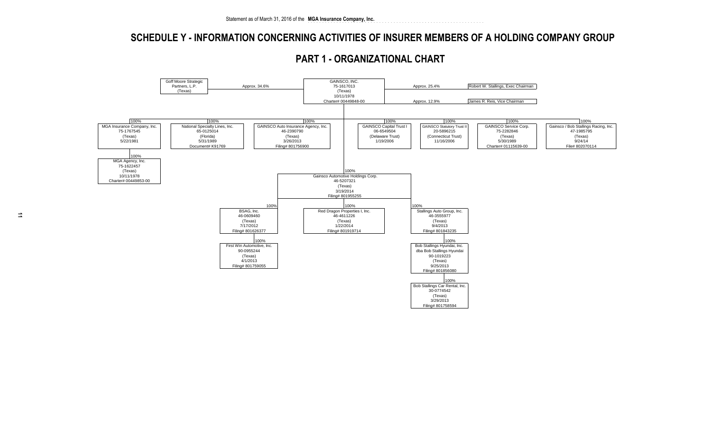### **SCHEDULE Y - INFORMATION CONCERNING ACTIVITIES OF INSURER MEMBERS OF A HOLDING COMPANY GROUP**



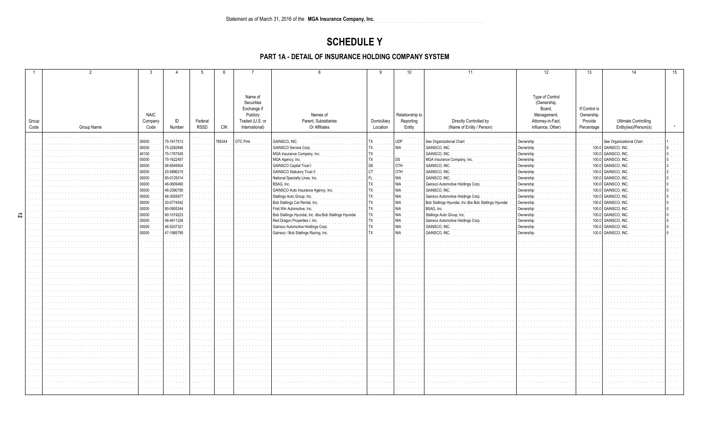### **SCHEDULE Y**

### PART 1A - DETAIL OF INSURANCE HOLDING COMPANY SYSTEM

|        |       |            |                                         |            |                                                                                           | -6                   |                 |                                                      |                                                      | 10              | 11                                                  | 12                | 13            | 14                          | 15 |
|--------|-------|------------|-----------------------------------------|------------|-------------------------------------------------------------------------------------------|----------------------|-----------------|------------------------------------------------------|------------------------------------------------------|-----------------|-----------------------------------------------------|-------------------|---------------|-----------------------------|----|
|        |       |            |                                         |            |                                                                                           |                      |                 |                                                      |                                                      |                 |                                                     |                   |               |                             |    |
|        |       |            |                                         |            |                                                                                           |                      |                 |                                                      |                                                      |                 |                                                     |                   |               |                             |    |
|        |       |            |                                         |            |                                                                                           |                      |                 |                                                      |                                                      |                 |                                                     |                   |               |                             |    |
|        |       |            |                                         |            |                                                                                           |                      | Name of         |                                                      |                                                      |                 |                                                     | Type of Control   |               |                             |    |
|        |       |            |                                         |            |                                                                                           |                      | Securities      |                                                      |                                                      |                 |                                                     | (Ownership,       |               |                             |    |
|        |       |            |                                         |            |                                                                                           |                      | Exchange if     |                                                      |                                                      |                 |                                                     | Board,            | If Control is |                             |    |
|        |       |            | <b>NAIC</b>                             |            |                                                                                           |                      | Publicly        | Names of                                             |                                                      | Relationship to |                                                     | Management,       | Ownership     |                             |    |
|        | Group |            | Company                                 | ID         | Federal                                                                                   |                      | Traded (U.S. or | Parent. Subsidiaries                                 | Domiciliary                                          | Reporting       | Directly Controlled by                              | Attorney-in-Fact, | Provide       | <b>Ultimate Controlling</b> |    |
|        | Code  | Group Name | Code                                    | Number     | RSSD                                                                                      | CIK                  | International)  | Or Affiliates                                        | Location                                             | Entity          | (Name of Entity / Person)                           | Influence, Other) | Percentage    | Entity(ies)/Person(s)       |    |
|        |       |            |                                         |            |                                                                                           |                      |                 |                                                      |                                                      |                 |                                                     |                   |               |                             |    |
|        |       |            | 00000                                   | 75-1617013 |                                                                                           | 786344               | OTC Pink        | GAINSCO, INC.                                        |                                                      | UDP             | See Organizational Chart                            | Ownership         |               | See Organizational Chart    |    |
|        |       |            | 00000                                   | 75-2282846 | $\mathcal{L}^{\mathcal{A}}$ , $\mathcal{L}^{\mathcal{A}}$ , $\mathcal{L}^{\mathcal{A}}$ , |                      |                 | <b>GAINSCO Service Corp</b>                          |                                                      | NIA             | GAINSCO, INC.                                       | Ownership         |               | 100.0 GAINSCO, INC.         |    |
|        |       |            | 40150                                   | 75-1767545 | and the                                                                                   |                      |                 | MGA Insurance Company, Ind                           |                                                      |                 | GAINSCO, INC                                        | Ownershi          |               | 100.0 GAINSCO, INC          |    |
|        |       |            | 00000                                   | 75-1622457 | $\alpha$ , $\alpha$ , $\alpha$ , $\alpha$ , $\alpha$                                      | $\sim$ $\sim$        |                 | MGA Agency, Inc.                                     |                                                      |                 | MGA Insurance Company, Inc                          | Ownership         |               | 100.0 GAINSCO, INC          |    |
|        |       |            | 00000                                   | 06-6549504 | .                                                                                         |                      |                 | <b>GAINSCO Capital Trust I</b>                       |                                                      | DТH             | GAINSCO, INC.                                       | Ownership         |               | 100.0 GAINSCO, INC          |    |
|        |       |            | 00000                                   | 20-5896215 | and an                                                                                    |                      |                 | <b>GAINSCO Statutory Trust II</b>                    |                                                      | OTH             | GAINSCO, INC                                        | Ownership         |               | 100.0 GAINSCO, INC          |    |
|        |       |            | 00000                                   | 65-0125014 |                                                                                           |                      |                 | National Specialty Lines, Inc.                       |                                                      |                 | GAINSCO, INC                                        | Ownership         |               | 100.0 GAINSCO, INC          |    |
|        |       |            | 00000                                   | 46-0609460 | .                                                                                         |                      |                 | BSAG, Inc.                                           |                                                      |                 | Gainsco Automotive Holdings Corp                    | Ownership         |               | 100.0 GAINSCO, INC          |    |
|        |       |            | 00000                                   | 46-2390790 | $\alpha$ , $\alpha$ , $\alpha$ , $\alpha$                                                 |                      |                 | GAINSCO Auto Insurance Agency, Inc.                  |                                                      |                 | GAINSCO, INC                                        | Ownershij         |               | 100.0 GAINSCO, INC          |    |
|        |       |            | 00000                                   | 46-3555977 |                                                                                           |                      |                 | Stallings Auto Group, Inc.                           |                                                      |                 | Gainsco Automotive Holdings Corp                    | Ownership         |               | 100.0 GAINSCO, INC          |    |
|        |       |            | 00000                                   | 30-0774542 | $\alpha$ , $\alpha$ , $\alpha$ , $\alpha$                                                 |                      |                 | Bob Stallings Car Rental, Inc.                       |                                                      |                 | Bob Stallings Hyundai, Inc dba Bob Stallings Hyunda | Ownership         |               | 100.0 GAINSCO, INC          |    |
|        |       |            | 00000                                   | 90-0955244 | .                                                                                         |                      |                 | First Win Automotive, Inc.                           |                                                      |                 | BSAG, Inc.                                          | Ownership         |               | 100.0 GAINSCO, INC          |    |
| 。<br>2 |       |            | 00000                                   | 90-1019223 |                                                                                           |                      |                 | Bob Stallings Hyundai, Inc. dba Bob Stallings Hyunda |                                                      |                 | Stallings Auto Group, Inc.                          | Ownership         |               | 100.0 GAINSCO, INC          |    |
|        |       |            | 00000                                   | 46-4611226 | and a series                                                                              | $\sim 100$           |                 | Red Dragon Properties I, Inc.                        |                                                      |                 | Gainsco Automotive Holdings Corp                    | Ownership         |               | 100.0 GAINSCO, INC          |    |
|        |       |            | 00000                                   | 46-5207321 | $\alpha$ , $\alpha$ , $\alpha$                                                            |                      |                 | Gainsco Automotive Holdings Corp                     |                                                      |                 | GAINSCO, INC.                                       | Ownership         |               | 100.0 GAINSCO, INC          |    |
|        |       |            | $\begin{matrix}\n00000 \\ \end{matrix}$ | 47-1985795 | $\alpha$ , $\alpha$ , $\alpha$ , $\alpha$ , $\alpha$                                      | $\sim 100$           |                 | Gainsco / Bob Stallings Racing, Ind                  |                                                      | <b>NIA</b>      | <b>GAINSCO, INC</b>                                 | Ownershir         | 100.0         | GAINSCO, INC                |    |
|        |       |            |                                         |            | and a series                                                                              |                      |                 |                                                      |                                                      |                 |                                                     |                   |               |                             |    |
|        |       |            |                                         |            | 1.1.1.1                                                                                   | $\sim$ $\sim$        |                 |                                                      | $\cdots$                                             |                 |                                                     |                   |               |                             |    |
|        |       |            |                                         |            | and a state                                                                               | $\sim$ $ \sim$       |                 |                                                      | and a state of                                       |                 |                                                     |                   |               |                             |    |
|        |       |            |                                         |            |                                                                                           |                      |                 |                                                      | a sa sala                                            |                 |                                                     |                   |               |                             |    |
|        |       |            |                                         |            | and a state                                                                               | $\sim$ $\sim$        |                 |                                                      | $\alpha$ , $\alpha$ , $\alpha$ , $\alpha$ , $\alpha$ |                 |                                                     |                   |               |                             |    |
|        |       |            |                                         |            | $\alpha$ , $\alpha$ , $\alpha$ , $\alpha$ , $\alpha$                                      | $\sim$ $\sim$        |                 |                                                      | $\alpha$ , $\alpha$ , $\alpha$ , $\alpha$ , $\alpha$ |                 |                                                     |                   |               |                             |    |
|        |       |            |                                         |            |                                                                                           |                      |                 |                                                      | $\sim$ $\sim$ $\sim$ $\sim$                          |                 |                                                     |                   |               |                             |    |
|        |       |            |                                         |            | .                                                                                         | $\sim$               |                 |                                                      | and a state                                          |                 |                                                     |                   |               |                             |    |
|        |       |            |                                         |            |                                                                                           |                      |                 |                                                      | and a state                                          |                 |                                                     |                   |               |                             |    |
|        |       |            |                                         |            |                                                                                           |                      |                 |                                                      |                                                      |                 |                                                     |                   |               |                             |    |
|        |       |            |                                         |            | .                                                                                         |                      |                 |                                                      | and a state<br>and a series                          |                 |                                                     |                   |               |                             |    |
|        |       |            |                                         |            | .                                                                                         | $\sim$               |                 |                                                      | and a state                                          |                 |                                                     |                   |               |                             |    |
|        |       |            |                                         |            |                                                                                           |                      |                 |                                                      | .                                                    |                 |                                                     |                   |               |                             |    |
|        |       |            |                                         |            |                                                                                           |                      |                 |                                                      | $\alpha$ , $\alpha$ , $\alpha$ , $\alpha$            |                 |                                                     |                   |               |                             |    |
|        |       |            |                                         |            | .                                                                                         | $\sim$               |                 |                                                      | and a state                                          |                 |                                                     |                   |               |                             |    |
|        |       |            |                                         |            |                                                                                           |                      |                 |                                                      | and a series                                         |                 |                                                     |                   |               |                             |    |
|        |       |            |                                         |            | and a state                                                                               | $\sim$ $\sim$ $\sim$ |                 |                                                      | and a series                                         |                 |                                                     |                   |               |                             |    |
|        |       |            |                                         |            |                                                                                           |                      |                 |                                                      | and a series                                         |                 |                                                     |                   |               |                             |    |
|        |       |            |                                         |            |                                                                                           |                      |                 |                                                      | $\alpha$ , $\alpha$ , $\alpha$ , $\alpha$            |                 |                                                     |                   |               |                             |    |
|        |       |            |                                         |            |                                                                                           |                      |                 |                                                      | and a series                                         |                 |                                                     |                   |               |                             |    |
|        |       |            | .                                       |            | and a state                                                                               | $\sim 100$           |                 |                                                      | and a series                                         | and a state     |                                                     |                   |               |                             |    |
|        |       |            |                                         |            | .                                                                                         | $\sim$ $\sim$        |                 |                                                      | and a series                                         |                 |                                                     |                   |               |                             |    |
|        |       |            |                                         |            |                                                                                           |                      |                 |                                                      | and a series                                         |                 |                                                     |                   |               |                             |    |
|        |       |            |                                         |            |                                                                                           |                      |                 |                                                      |                                                      |                 |                                                     |                   |               |                             |    |
|        |       |            |                                         |            |                                                                                           |                      |                 |                                                      |                                                      |                 |                                                     |                   |               |                             |    |
|        |       |            |                                         |            |                                                                                           |                      |                 |                                                      |                                                      |                 |                                                     |                   |               |                             |    |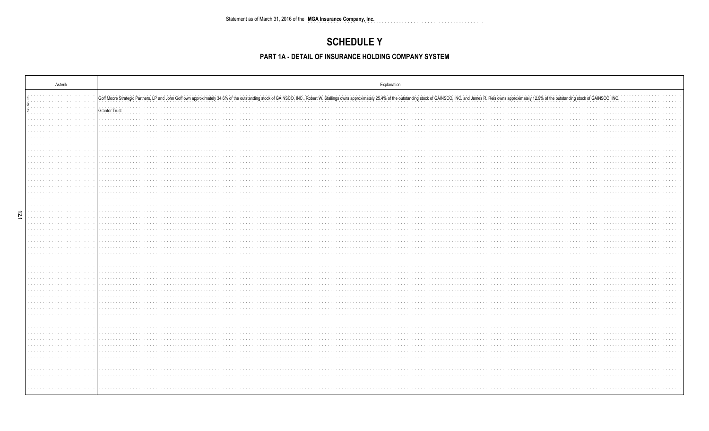## **SCHEDULE Y**

### PART 1A - DETAIL OF INSURANCE HOLDING COMPANY SYSTEM

|      | Asterik                            | Explanation                                                                                                                                                                                                                    |
|------|------------------------------------|--------------------------------------------------------------------------------------------------------------------------------------------------------------------------------------------------------------------------------|
|      |                                    | Goff Moore Strategic Partners, LP and John Goff own approximately 34.6% of the outstanding stock of GAINSCO, INC., Robert W. Stallings owns approximately 25.4% of the outstanding stock of GAINSCO, INC. and James R. Reis ow |
|      |                                    | Grantor Trust                                                                                                                                                                                                                  |
|      |                                    |                                                                                                                                                                                                                                |
|      |                                    | .                                                                                                                                                                                                                              |
|      |                                    |                                                                                                                                                                                                                                |
|      |                                    |                                                                                                                                                                                                                                |
|      |                                    |                                                                                                                                                                                                                                |
|      | the company's com-                 |                                                                                                                                                                                                                                |
|      |                                    |                                                                                                                                                                                                                                |
|      |                                    |                                                                                                                                                                                                                                |
|      | .                                  |                                                                                                                                                                                                                                |
|      |                                    |                                                                                                                                                                                                                                |
|      |                                    |                                                                                                                                                                                                                                |
|      |                                    |                                                                                                                                                                                                                                |
|      | contractor and a series            |                                                                                                                                                                                                                                |
|      |                                    |                                                                                                                                                                                                                                |
|      | the company's com-<br>and a series |                                                                                                                                                                                                                                |
| 12.1 |                                    |                                                                                                                                                                                                                                |
|      |                                    |                                                                                                                                                                                                                                |
|      |                                    |                                                                                                                                                                                                                                |
|      |                                    |                                                                                                                                                                                                                                |
|      |                                    |                                                                                                                                                                                                                                |
|      |                                    |                                                                                                                                                                                                                                |
|      |                                    |                                                                                                                                                                                                                                |
|      |                                    |                                                                                                                                                                                                                                |
|      |                                    |                                                                                                                                                                                                                                |
|      |                                    |                                                                                                                                                                                                                                |
|      |                                    |                                                                                                                                                                                                                                |
|      | the company's company's            | .                                                                                                                                                                                                                              |
|      |                                    |                                                                                                                                                                                                                                |
|      |                                    |                                                                                                                                                                                                                                |
|      |                                    |                                                                                                                                                                                                                                |
|      |                                    | .                                                                                                                                                                                                                              |
|      |                                    |                                                                                                                                                                                                                                |
|      |                                    |                                                                                                                                                                                                                                |
|      |                                    |                                                                                                                                                                                                                                |
|      |                                    |                                                                                                                                                                                                                                |
|      |                                    |                                                                                                                                                                                                                                |
|      |                                    |                                                                                                                                                                                                                                |
|      |                                    |                                                                                                                                                                                                                                |
|      |                                    |                                                                                                                                                                                                                                |
|      |                                    |                                                                                                                                                                                                                                |
|      |                                    |                                                                                                                                                                                                                                |
|      |                                    |                                                                                                                                                                                                                                |
|      |                                    |                                                                                                                                                                                                                                |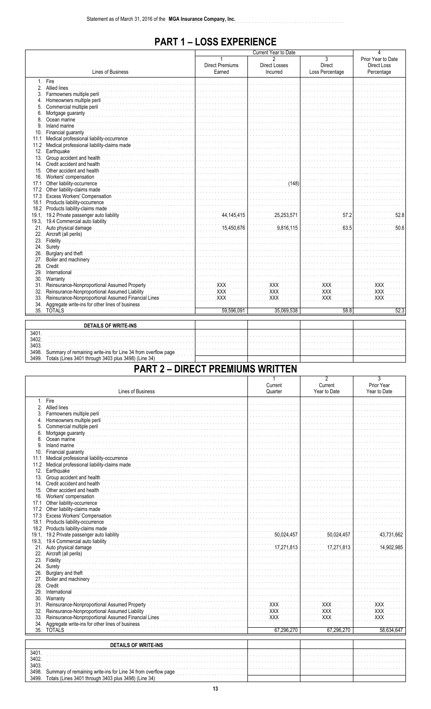## **PART 1-LOSS EXPERIENCE**

|       |                                                               |                                  | 4                         |                                                    |                                                        |
|-------|---------------------------------------------------------------|----------------------------------|---------------------------|----------------------------------------------------|--------------------------------------------------------|
|       | Lines of Business                                             | <b>Direct Premiums</b><br>Earned | Direct Losses<br>Incurred | $\overline{3}$<br><b>Direct</b><br>Loss Percentage | Prior Year to Date<br><b>Direct Loss</b><br>Percentage |
|       | 1. Fire                                                       |                                  |                           |                                                    |                                                        |
|       | 2. Allied lines                                               |                                  |                           |                                                    |                                                        |
| 3.    | Farmowners multiple peril                                     |                                  |                           |                                                    |                                                        |
|       | 4. Homeowners multiple peril                                  |                                  |                           |                                                    |                                                        |
| 5.    | Commercial multiple peril                                     |                                  |                           |                                                    |                                                        |
| 6.    | Mortgage guaranty                                             |                                  |                           |                                                    |                                                        |
| 8.    | Ocean marine                                                  |                                  |                           |                                                    |                                                        |
| 9     | Inland marine                                                 |                                  |                           |                                                    |                                                        |
| 10.   | Financial guaranty                                            |                                  |                           |                                                    |                                                        |
| 11.1  | Medical professional liability-occurrence                     |                                  |                           |                                                    |                                                        |
| 11.2  | Medical professional liability-claims made                    |                                  |                           |                                                    |                                                        |
|       | 12. Earthquake                                                |                                  |                           |                                                    |                                                        |
|       | 13. Group accident and health                                 |                                  |                           |                                                    |                                                        |
|       | 14. Credit accident and health                                |                                  |                           |                                                    |                                                        |
| 15.   | Other accident and health                                     |                                  |                           |                                                    |                                                        |
| 16.   | Workers' compensation                                         |                                  |                           |                                                    |                                                        |
| 17.1  | Other liability-occurrence                                    |                                  | (148)                     |                                                    |                                                        |
| 17.2  | Other liability-claims made                                   |                                  |                           |                                                    |                                                        |
|       | 17.3 Excess Workers' Compensation                             |                                  |                           |                                                    |                                                        |
| 18.1  | Products liability-occurrence                                 |                                  |                           |                                                    |                                                        |
|       | 18.2 Products liability-claims made                           |                                  |                           |                                                    |                                                        |
|       | 19.1, 19.2 Private passenger auto liability                   | 44, 145, 415                     | 25,253,571                | 57.2                                               | 52.8                                                   |
|       | 19.3, 19.4 Commercial auto liability                          |                                  |                           |                                                    |                                                        |
|       | 21. Auto physical damage                                      | 15,450,676                       | 9.816.115                 | 63.5                                               | 50.6                                                   |
|       | 22. Aircraft (all perils)                                     |                                  |                           |                                                    |                                                        |
|       | 23. Fidelity                                                  |                                  |                           |                                                    |                                                        |
| 24.   | Surety                                                        |                                  |                           |                                                    |                                                        |
|       | 26. Burglary and theft                                        |                                  |                           |                                                    |                                                        |
|       | 27. Boiler and machinery                                      |                                  |                           |                                                    |                                                        |
|       | 28. Credit                                                    |                                  |                           |                                                    |                                                        |
| 29.   | International                                                 |                                  |                           |                                                    |                                                        |
| 30.   | Warranty                                                      |                                  |                           |                                                    |                                                        |
| 31.   | Reinsurance-Nonproportional Assumed Property                  | <b>XXX</b>                       | <b>XXX</b>                | <b>XXX</b>                                         | XXX                                                    |
| 32.   | Reinsurance-Nonproportional Assumed Liability                 | XXX                              | <b>XXX</b>                | XXX                                                | XXX                                                    |
| 33.   | Reinsurance-Nonproportional Assumed Financial Lines           | XXX                              | <b>XXX</b>                | XXX                                                | XXX                                                    |
| 34.   | Aggregate write-ins for other lines of business               |                                  |                           |                                                    |                                                        |
|       | 35. TOTALS                                                    | 59.596.091                       | 35,069,538                | 58.8                                               | 52.3                                                   |
|       |                                                               |                                  |                           |                                                    |                                                        |
|       | <b>DETAILS OF WRITE-INS</b>                                   |                                  |                           |                                                    |                                                        |
| 3401. |                                                               |                                  |                           |                                                    |                                                        |
| 3402. |                                                               |                                  |                           |                                                    |                                                        |
| 3403. |                                                               |                                  |                           |                                                    |                                                        |
| 3498. | Summary of remaining write-ins for Line 34 from overflow page |                                  |                           |                                                    |                                                        |
| 3499. | Totals (Lines 3401 through 3403 plus 3498) (Line 34)          |                                  |                           |                                                    |                                                        |
|       |                                                               |                                  |                           |                                                    |                                                        |

# **PART 2 - DIRECT PREMIUMS WRITTEN**

|       |                                                               | Current    | z<br>Current | 3<br>Prior Year |
|-------|---------------------------------------------------------------|------------|--------------|-----------------|
|       | <b>Lines of Business</b>                                      | Quarter    | Year to Date | Year to Date    |
|       | 1. Fire                                                       |            |              |                 |
|       | 2. Allied lines                                               |            |              |                 |
|       | 3. Farmowners multiple peril                                  |            |              |                 |
|       | 4. Homeowners multiple peril                                  |            |              |                 |
| 5.    | Commercial multiple peril                                     |            |              |                 |
| 6.    | Mortgage guaranty                                             |            |              |                 |
| 8.    | Ocean marine                                                  |            |              |                 |
| 9.    | Inland marine                                                 |            |              |                 |
| 10.   | Financial guaranty                                            |            |              |                 |
| 11.1  | Medical professional liability-occurrence                     |            |              |                 |
|       | 11.2 Medical professional liability-claims made               |            |              |                 |
|       | 12. Earthquake                                                |            |              |                 |
|       | 13. Group accident and health                                 |            |              |                 |
|       | 14. Credit accident and health                                |            |              |                 |
|       | 15. Other accident and health                                 |            |              |                 |
|       | 16. Workers' compensation                                     |            |              |                 |
| 17.1  | Other liability-occurrence                                    |            |              |                 |
|       | 17.2 Other liability-claims made                              |            |              |                 |
|       | 17.3 Excess Workers' Compensation                             |            |              |                 |
| 18.1  | Products liability-occurrence                                 |            |              |                 |
|       | 18.2 Products liability-claims made                           |            |              |                 |
|       | 19.1, 19.2 Private passenger auto liability                   | 50,024,457 | 50,024,457   | 43,731,662      |
|       | 19.3, 19.4 Commercial auto liability                          |            |              |                 |
|       | 21. Auto physical damage                                      | 17,271,813 | 17,271,813   | 14,902,985      |
|       | 22. Aircraft (all perils)                                     |            |              |                 |
|       | 23. Fidelity                                                  |            |              |                 |
|       | 24. Surety                                                    |            |              |                 |
|       | 26. Burglary and theft                                        |            |              |                 |
|       | 27. Boiler and machinery                                      |            |              |                 |
| 28.   | Credit                                                        |            |              |                 |
| 29.   | International                                                 |            |              |                 |
| 30.   | Warranty                                                      |            |              |                 |
|       | 31. Reinsurance-Nonproportional Assumed Property              | XXX        | XXX          | XXX             |
|       | 32. Reinsurance-Nonproportional Assumed Liability             | <b>XXX</b> | <b>XXX</b>   | <b>XXX</b>      |
| 33.   | Reinsurance-Nonproportional Assumed Financial Lines           | <b>XXX</b> | <b>XXX</b>   | <b>XXX</b>      |
| 34.   | Aggregate write-ins for other lines of business               |            |              |                 |
|       | 35. TOTALS                                                    | 67,296,270 | 67,296,270   | 58,634,647      |
|       |                                                               |            |              |                 |
|       | <b>DETAILS OF WRITE-INS</b>                                   |            |              |                 |
| 3401. |                                                               |            |              |                 |
| 3402. |                                                               |            |              |                 |
| 3403. |                                                               |            |              |                 |
| 3498. | Summary of remaining write-ins for Line 34 from overflow page |            |              |                 |
| 3499. | Totals (Lines 3401 through 3403 plus 3498) (Line 34)          |            |              |                 |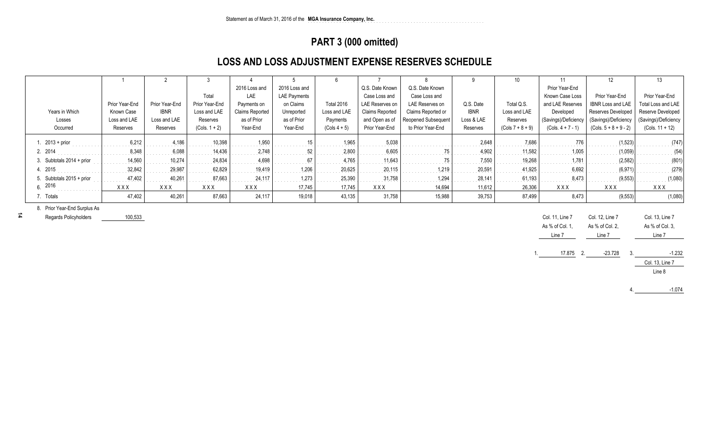## **PART 3 (000 omitted)**

## **LOSS AND LOSS ADJUSTMENT EXPENSE RESERVES SCHEDULE**

|                              |                |                |                 |                 |                     |                |                        |                            |             |                    |                      | 12                       | 13                   |
|------------------------------|----------------|----------------|-----------------|-----------------|---------------------|----------------|------------------------|----------------------------|-------------|--------------------|----------------------|--------------------------|----------------------|
|                              |                |                |                 | 2016 Loss and   | 2016 Loss and       |                | Q.S. Date Known        | Q.S. Date Known            |             |                    | Prior Year-End       |                          |                      |
|                              |                |                | Total           | LAE             | <b>LAE Payments</b> |                | Case Loss and          | Case Loss and              |             |                    | Known Case Loss      | Prior Year-End           | Prior Year-End       |
|                              | Prior Year-End | Prior Year-End | Prior Year-End  | Payments on     | on Claims           | Total 2016     | LAE Reserves on        | LAE Reserves on            | Q.S. Date   | Total Q.S.         | and LAE Reserves     | <b>IBNR Loss and LAE</b> | Total Loss and LAE   |
| Years in Which               | Known Case     | <b>IBNR</b>    | Loss and LAE    | Claims Reported | Unreported          | Loss and LAE   | <b>Claims Reported</b> | Claims Reported or         | <b>IBNR</b> | Loss and LAE       | Developed            | Reserves Developed       | Reserve Developed    |
| Losses                       | Loss and LAE   | Loss and LAE   | Reserves        | as of Prior     | as of Prior         | Payments       | and Open as of         | <b>Reopened Subsequent</b> | Loss & LAE  | Reserves           | (Savings)/Deficiency | (Savings)/Deficiency     | (Savings)/Deficiency |
| Occurred                     | Reserves       | Reserves       | $(Cols. 1 + 2)$ | Year-End        | Year-End            | $(Cols 4 + 5)$ | Prior Year-End         | to Prior Year-End          | Reserves    | $(Cols 7 + 8 + 9)$ | $(Cols. 4 + 7 - 1)$  | $(Cols. 5 + 8 + 9 - 2)$  | $(Cols. 11 + 12)$    |
| $. 2013 + prior$             | 6,212          | 4.186          | 10,398          | 1,950           |                     | 1,965          | 5.038                  |                            | 2.648       | 7.686              |                      | (1,523)                  | (747)                |
| 2. 2014                      | 8,348          | 6.088          | 14.436          | 2,748           |                     | 2,800          | 6.605                  |                            | 4,902       | 11,582             | 1.005                | (1.059)                  | (54)                 |
| 3. Subtotals $2014 + prior$  | 14,560         | 10.274         | 24.834          | 4.698           |                     | 4.765          | 11.643                 |                            | 7.550       | 19,268             | 1.781                | (2.582)                  | (801)                |
| 4. 2015                      | 32,842         | 29,987         | 62,829          | 19,419          | 1,206               | 20,625         | 20.115                 | 1.219                      | 20,591      | 41,925             | 6,692                | (6.971)                  | (279)                |
| 5. Subtotals 2015 + prior    | 47,402         | 40.261         | 87.663          | 24.117          | 1,273               | 25,390         | 31.758                 | 1.294                      | 28,141      | 61,193             | 8.473                | (9.553)                  | (1,080)              |
| 6.2016                       | <b>XXX</b>     | XXX            | <b>XXX</b>      | <b>XXX</b>      | 17,745              | 17,745         | XXX                    | 14,694                     | 11,612      | 26,306             | <b>XXX</b>           | <b>XXX</b>               | XXX                  |
| 7. Totals                    | 47,402         | 40,261         | 87,663          | 24,117          | 19,018              | 43,135         | 31,758                 | 15,988                     | 39,753      | 87,499             | 8,473                | (9, 553)                 | (1,080)              |
| 8. Prior Year-End Surplus As |                |                |                 |                 |                     |                |                        |                            |             |                    |                      |                          |                      |
| Penarde Policyholders        | 100 533        |                |                 |                 |                     |                |                        |                            |             |                    | $C_0$ 11 $\ln 7$     | $\sim$ 12 $\mu$ 2        | $C_0$ 13 $\ln 7$     |

Regards Policyholders100,533

|  | Col. 11, Line 7<br>As % of Col. 1,<br>Line 7 |        |    | Col. 12, Line 7<br>As % of Col. 2,<br>Line 7 | Col. 13, Line 7<br>As % of Col. 3,<br>Line 7 |
|--|----------------------------------------------|--------|----|----------------------------------------------|----------------------------------------------|
|  |                                              | 17.875 | ່າ | $-23.728$                                    | $-1.232$<br>Col. 13, Line 7<br>Line 8        |
|  |                                              |        |    |                                              |                                              |

4.-1.074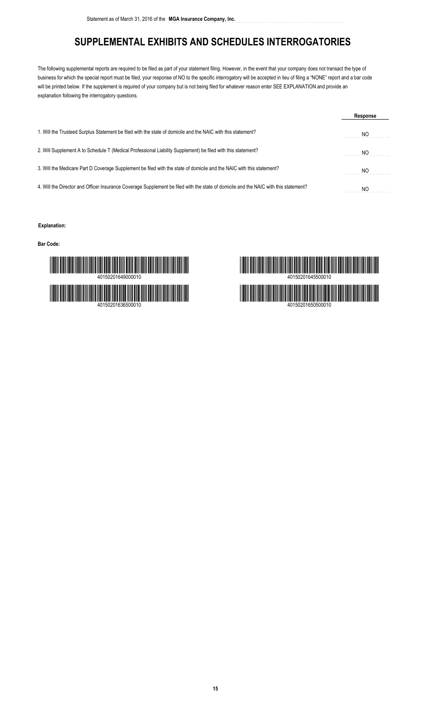## **SUPPLEMENTAL EXHIBITS AND SCHEDULES INTERROGATORIES**

The following supplemental reports are required to be filed as part of your statement filing. However, in the event that your company does not transact the type of business for which the special report must be filed, your response of NO to the specific interrogatory will be accepted in lieu of filing a "NONE" report and a bar code will be printed below. If the supplement is required of your company but is not being filed for whatever reason enter SEE EXPLANATION and provide an explanation following the interrogatory questions.

|                                                                                                                                      | Response |
|--------------------------------------------------------------------------------------------------------------------------------------|----------|
| 1. Will the Trusteed Surplus Statement be filed with the state of domicile and the NAIC with this statement?                         | NO       |
| 2. Will Supplement A to Schedule T (Medical Professional Liability Supplement) be filed with this statement?                         | NO.      |
| 3. Will the Medicare Part D Coverage Supplement be filed with the state of domicile and the NAIC with this statement?                | NO       |
| 4. Will the Director and Officer Insurance Coverage Supplement be filed with the state of domicile and the NAIC with this statement? | ΝO       |

#### **Explanation:**

**Bar Code:**



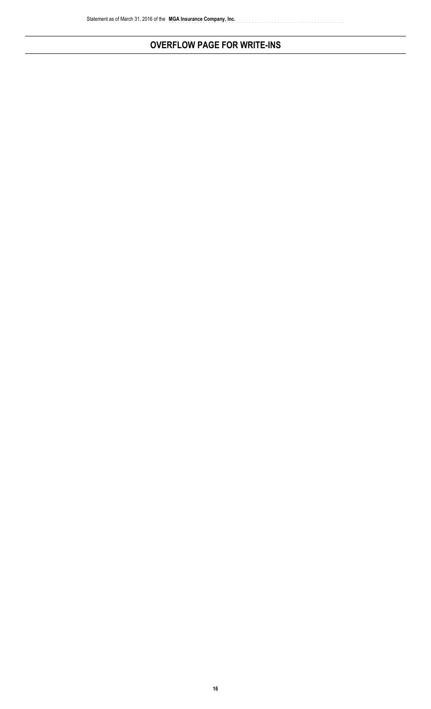# **OVERFLOW PAGE FOR WRITE-INS**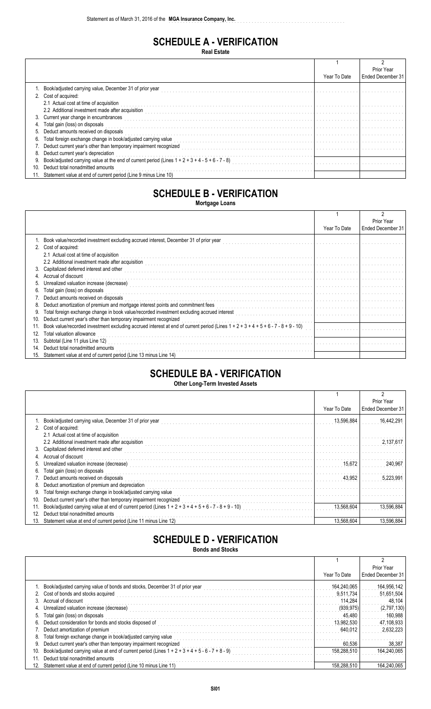## **SCHEDULE A - VERIFICATION**

**Real Estate**

|     |                                                                                                    |              | Prior Year        |
|-----|----------------------------------------------------------------------------------------------------|--------------|-------------------|
|     |                                                                                                    | Year To Date | Ended December 31 |
|     | Book/adjusted carrying value, December 31 of prior year                                            |              |                   |
|     | 2. Cost of acquired:                                                                               |              |                   |
|     | 2.1 Actual cost at time of acquisition                                                             |              |                   |
|     | 2.2 Additional investment made after acquisition                                                   |              |                   |
| 3.  | Current year change in encumbrances                                                                |              |                   |
|     | Total gain (loss) on disposals                                                                     |              |                   |
| 5.  | Deduct amounts received on disposals                                                               |              |                   |
|     | Total foreign exchange change in book/adjusted carrying value                                      |              |                   |
|     | 7. Deduct current year's other than temporary impairment recognized                                |              |                   |
| 8.  | Deduct current year's depreciation                                                                 |              |                   |
|     | Book/adjusted carrying value at the end of current period (Lines $1 + 2 + 3 + 4 - 5 + 6 - 7 - 8$ ) |              |                   |
| 10. | Deduct total nonadmitted amounts                                                                   |              |                   |
|     | Statement value at end of current period (Line 9 minus Line 10)                                    |              |                   |

# **SCHEDULE B - VERIFICATION**

**Mortgage Loans**

|     |                                                                                                                                                                                                                                   |              | Prior Year        |
|-----|-----------------------------------------------------------------------------------------------------------------------------------------------------------------------------------------------------------------------------------|--------------|-------------------|
|     |                                                                                                                                                                                                                                   | Year To Date | Ended December 31 |
|     | Book value/recorded investment excluding accrued interest, December 31 of prior year                                                                                                                                              |              |                   |
|     | 2. Cost of acquired:                                                                                                                                                                                                              |              |                   |
|     | 2.1 Actual cost at time of acquisition                                                                                                                                                                                            |              |                   |
|     | 2.2 Additional investment made after acquisition entity and the contract of the contract of the contract of the contract of the contract of the contract of the contract of the contract of the contract of the contract of th    |              |                   |
| 3.  | Capitalized deferred interest and other                                                                                                                                                                                           |              |                   |
|     | 4. Accrual of discount                                                                                                                                                                                                            |              |                   |
| 5.  |                                                                                                                                                                                                                                   |              |                   |
| 6.  | Total gain (loss) on disposals                                                                                                                                                                                                    |              |                   |
|     | 7. Deduct amounts received on disposals                                                                                                                                                                                           |              |                   |
| 8.  | Deduct amortization of premium and mortgage interest points and commitment fees                                                                                                                                                   |              |                   |
| 9.  | Total foreign exchange change in book value/recorded investment excluding accrued interest<br>Total foreign exchange change in book value/recorded investment excluding accrued interest<br>The contract interest interest in the |              |                   |
| 10. | Deduct current year's other than temporary impairment recognized                                                                                                                                                                  |              |                   |
|     | Book value/recorded investment excluding accrued interest at end of current period (Lines $1 + 2 + 3 + 4 + 5 + 6 - 7 - 8 + 9 - 10$                                                                                                |              |                   |
| 12. | Total valuation allowance                                                                                                                                                                                                         |              |                   |
| 13. | Subtotal (Line 11 plus Line 12)                                                                                                                                                                                                   |              |                   |
| 14  | Deduct total nonadmitted amounts                                                                                                                                                                                                  |              |                   |
|     | 15. Statement value at end of current period (Line 13 minus Line 14)                                                                                                                                                              |              |                   |

## **SCHEDULE BA - VERIFICATION**

**Other Long-Term Invested Assets**

|     |                                                                                                         |              | Prior Year        |
|-----|---------------------------------------------------------------------------------------------------------|--------------|-------------------|
|     |                                                                                                         | Year To Date | Ended December 31 |
|     | Book/adjusted carrying value, December 31 of prior year                                                 | 13,596,884   | 16,442,29         |
| 2.  | Cost of acquired:                                                                                       |              |                   |
|     | 2.1 Actual cost at time of acquisition                                                                  |              |                   |
|     | 2.2 Additional investment made after acquisition                                                        |              | 2.137.61          |
| 3.  | Capitalized deferred interest and other                                                                 |              |                   |
|     | Accrual of discount                                                                                     |              |                   |
|     | Unrealized valuation increase (decrease)                                                                | 15,672       | 240,967           |
| 6.  | Total gain (loss) on disposals                                                                          |              |                   |
|     | Deduct amounts received on disposals                                                                    | 43.952       |                   |
| 8.  | Deduct amortization of premium and depreciation                                                         |              |                   |
|     | Total foreign exchange change in book/adjusted carrying value                                           |              |                   |
| 10. | Deduct current year's other than temporary impairment recognized                                        |              |                   |
|     | Book/adjusted carrying value at end of current period (Lines $1 + 2 + 3 + 4 + 5 + 6 - 7 - 8 + 9 - 10$ ) | 13.568.604   | 13,596,884        |
| 12. | Deduct total nonadmitted amounts                                                                        |              |                   |
|     | Statement value at end of current period (Line 11 minus Line 12)                                        | 13.568.604   | 13,596,884        |

# **SCHEDULE D - VERIFICATION**

**Bonds and Stocks**

|     |                                                                                                    |              | Prior Year        |
|-----|----------------------------------------------------------------------------------------------------|--------------|-------------------|
|     |                                                                                                    | Year To Date | Ended December 31 |
|     | 1. Book/adjusted carrying value of bonds and stocks, December 31 of prior year                     | 164.240.065  | 164,956,142       |
|     | 2. Cost of bonds and stocks acquired                                                               | 9.511.734    | 51,651,504        |
|     | 3. Accrual of discount                                                                             | 114.284      | 48.104            |
|     |                                                                                                    | (939.975)    | (2,797,130)       |
| 5.  | Total gain (loss) on disposals                                                                     | 45.480       | 160.988           |
| 6.  | Deduct consideration for bonds and stocks disposed of                                              | 13.982.530   | 47,108,933        |
|     | Deduct amortization of premium                                                                     | 640.012      | 2,632,223         |
| 8.  | Total foreign exchange change in book/adjusted carrying value                                      |              |                   |
|     | Deduct current year's other than temporary impairment recognized                                   | 60.536       | 38.387            |
| 10. | Book/adjusted carrying value at end of current period (Lines $1 + 2 + 3 + 4 + 5 - 6 - 7 + 8 - 9$ ) | 158,288,510  | 164.240.065       |
| 11. | Deduct total nonadmitted amounts                                                                   |              |                   |
|     | 12. Statement value at end of current period (Line 10 minus Line 11)                               | 158.288.510  | 164.240.065       |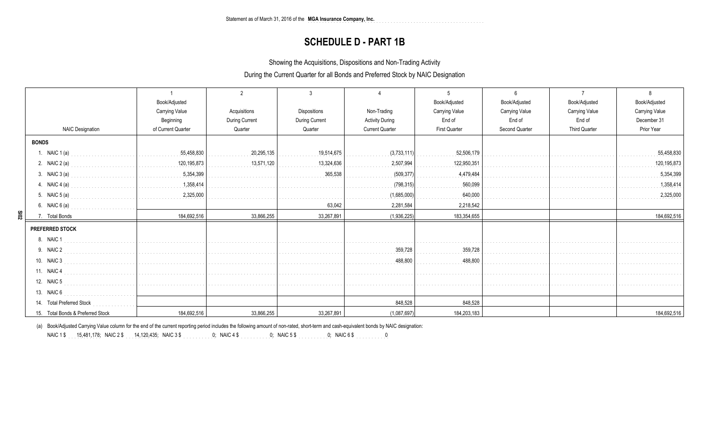### **SCHEDULE D - PART 1B**

Showing the Acquisitions, Dispositions and Non-Trading Activity

During the Current Quarter for all Bonds and Preferred Stock by NAIC Designation

|                                   | Book/Adjusted         |                       |                                                                                                             |                        | Book/Adjusted         | Book/Adjusted         | Book/Adjusted         | Book/Adjusted  |
|-----------------------------------|-----------------------|-----------------------|-------------------------------------------------------------------------------------------------------------|------------------------|-----------------------|-----------------------|-----------------------|----------------|
|                                   | <b>Carrying Value</b> | Acquisitions          | <b>Dispositions</b>                                                                                         | Non-Trading            | <b>Carrying Value</b> | <b>Carrying Value</b> | <b>Carrying Value</b> | Carrying Value |
|                                   | Beginning             | <b>During Current</b> | During Current                                                                                              | <b>Activity During</b> | End of                | End of                | End of                | December 31    |
| <b>NAIC Designation</b>           | of Current Quarter    | Quarter               | Quarter                                                                                                     | <b>Current Quarter</b> | <b>First Quarter</b>  | Second Quarter        | <b>Third Quarter</b>  | Prior Year     |
| <b>BONDS</b>                      |                       |                       |                                                                                                             |                        |                       |                       |                       |                |
| 1. NAIC 1 (a)                     |                       | 20,295,135            | 19,514,675<br>$\begin{array}{cccccccccccccc} . & . & . & . & . & . & . & . & . & . & . & . & . \end{array}$ | (3,733,111)            | 52,506,179            |                       |                       | 55,458,830     |
| 2. NAIC 2 (a)                     |                       | 13,571,120            | 13,324,636<br>.                                                                                             | 2,507,994              | 122,950,351           |                       |                       | 120,195,873    |
| 3. NAIC 3 (a) $5,354,399$         |                       |                       | 365,538                                                                                                     | (509,377)              | 4,479,484<br>.        |                       |                       | 5,354,399      |
| 4. NAIC 4 (a) $1,358,414$         |                       |                       |                                                                                                             | (798, 315)             | 560,099               |                       |                       | 1,358,414      |
| 5. NAIC 5 (a) $2,325,000$         |                       |                       |                                                                                                             | (1,685,000)            | 640,000<br>.          |                       |                       | 2,325,000      |
| 6. NAIC 6 (a) $\qquad \qquad$     |                       |                       | 63,042                                                                                                      | 2,281,584              | 2,218,542             |                       |                       |                |
| $\frac{5}{102}$<br>7. Total Bonds | 184,692,516           | 33,866,255            | 33,267,891                                                                                                  | (1,936,225)            | 183,354,655           |                       |                       | 184,692,516    |
| <b>PREFERRED STOCK</b>            |                       |                       |                                                                                                             |                        |                       |                       |                       |                |
| 8. NAIC 1                         |                       |                       |                                                                                                             |                        |                       |                       |                       |                |
| 9. NAIC 2                         |                       |                       |                                                                                                             | 359,728                | 359.728               |                       |                       |                |
| 10. NAIC 3                        |                       |                       |                                                                                                             | 488,800                | 488.800               |                       |                       |                |
| 11. NAIC 4                        |                       |                       |                                                                                                             |                        |                       |                       |                       |                |
| 12. NAIC 5                        |                       |                       |                                                                                                             |                        |                       |                       |                       |                |
| 13. NAIC 6                        |                       |                       |                                                                                                             |                        |                       |                       |                       |                |
| 14. Total Preferred Stock         |                       |                       |                                                                                                             | 848,528                | 848,528               |                       |                       |                |
| 15. Total Bonds & Preferred Stock | 184,692,516           | 33,866,255            | 33,267,891                                                                                                  | (1,087,697)            | 184, 203, 183         |                       |                       | 184,692,516    |

(a) Book/Adjusted Carrying Value column for the end of the current reporting period includes the following amount of non-rated, short-term and cash-equivalent bonds by NAIC designation:

15,481,178 ........... 14,120,435 ........... 0 ........... 0 ........... 0 ........... 0NAIC 1 \$ ........... ; NAIC 2 \$ ; NAIC 3 \$ ; NAIC 4 \$ ; NAIC 5 \$ ; NAIC 6 \$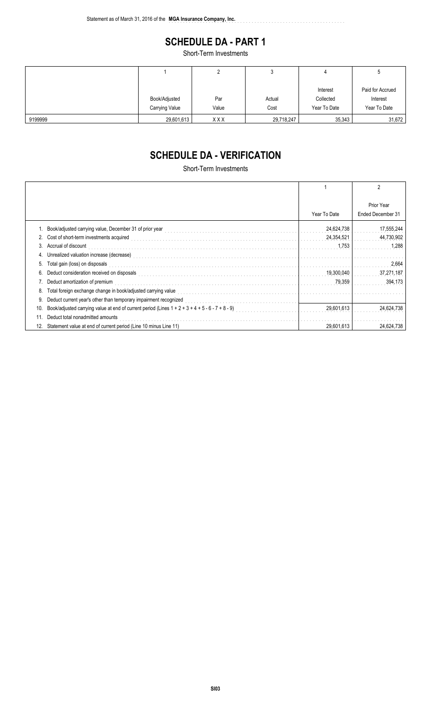## **SCHEDULE DA - PART 1**

..............................................................

Short-Term Investments

|         |                |            | J          | 4            | J                |
|---------|----------------|------------|------------|--------------|------------------|
|         |                |            |            | Interest     | Paid for Accrued |
|         | Book/Adjusted  | Par        | Actual     | Collected    | Interest         |
|         | Carrying Value | Value      | Cost       | Year To Date | Year To Date     |
| 9199999 | 29,601,613     | <b>XXX</b> | 29,718,247 | 35,343       | 31,672           |

# **SCHEDULE DA - VERIFICATION**

Short-Term Investments

|     |                                                                                                    |              | 2                               |
|-----|----------------------------------------------------------------------------------------------------|--------------|---------------------------------|
|     |                                                                                                    | Year To Date | Prior Year<br>Ended December 31 |
|     | Book/adjusted carrying value, December 31 of prior year                                            | 24,624,738   | 17,555,244                      |
|     | 2. Cost of short-term investments acquired                                                         | 24,354,521   | 44,730,902                      |
| 3.  | Accrual of discount                                                                                | 1,753        | 1,288                           |
| 4.  |                                                                                                    |              |                                 |
| 5.  | Total gain (loss) on disposals                                                                     |              | 2,664                           |
| 6.  | Deduct consideration received on disposals                                                         | 19,300,040   | 37,271,187                      |
|     | Deduct amortization of premium                                                                     | 79.359       | 394,173                         |
| 8.  | Total foreign exchange change in book/adjusted carrying value                                      |              |                                 |
| 9.  | Deduct current year's other than temporary impairment recognized                                   |              |                                 |
| 10. | Book/adjusted carrying value at end of current period (Lines $1 + 2 + 3 + 4 + 5 - 6 - 7 + 8 - 9$ ) | 29,601,613   | 24,624,738                      |
| 11  | Deduct total nonadmitted amounts                                                                   |              |                                 |
| 12. | Statement value at end of current period (Line 10 minus Line 11)                                   | 29.601.613   | 24,624,738                      |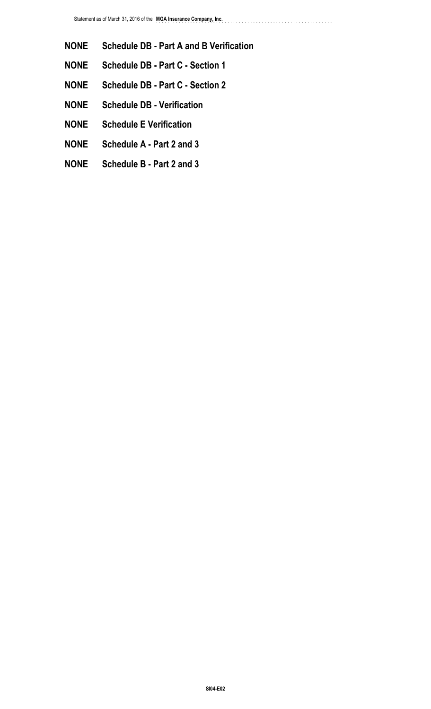**NONE Schedule DB - Part A and B Verification**

- **NONE Schedule DB Part C Section 1**
- **NONE Schedule DB Part C Section 2**
- **NONE Schedule DB Verification**
- **NONE Schedule E Verification**
- **NONE Schedule A Part 2 and 3**
- **NONE Schedule B Part 2 and 3**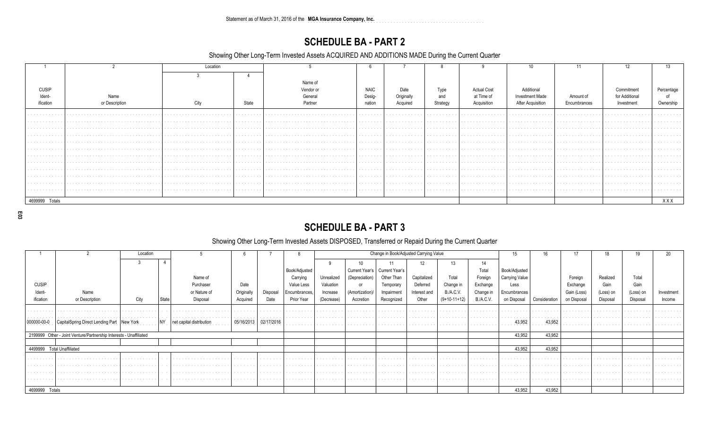Statement as of March 31, 2016 of the MGA Insurance Company, Inc.

## **SCHEDULE BA - PART 2**

Showing Other Long-Term Invested Assets ACQUIRED AND ADDITIONS MADE During the Current Quarter

|                                        |                | Location                          |           |             |          |          |                                                                                                                                                                                                                                |                                                                                                                                                                                                                                |                                                                                                                                                                                                                                     |                                                                                                                                                                                                                                |                             |
|----------------------------------------|----------------|-----------------------------------|-----------|-------------|----------|----------|--------------------------------------------------------------------------------------------------------------------------------------------------------------------------------------------------------------------------------|--------------------------------------------------------------------------------------------------------------------------------------------------------------------------------------------------------------------------------|-------------------------------------------------------------------------------------------------------------------------------------------------------------------------------------------------------------------------------------|--------------------------------------------------------------------------------------------------------------------------------------------------------------------------------------------------------------------------------|-----------------------------|
|                                        |                |                                   |           |             |          |          |                                                                                                                                                                                                                                |                                                                                                                                                                                                                                |                                                                                                                                                                                                                                     |                                                                                                                                                                                                                                |                             |
|                                        |                |                                   | Name of   |             |          |          |                                                                                                                                                                                                                                |                                                                                                                                                                                                                                |                                                                                                                                                                                                                                     |                                                                                                                                                                                                                                |                             |
| <b>CUSIP</b>                           |                |                                   | Vendor oı | <b>NAIC</b> | Date     | Type     | <b>Actual Cost</b>                                                                                                                                                                                                             | Additional                                                                                                                                                                                                                     |                                                                                                                                                                                                                                     | Commitmen                                                                                                                                                                                                                      | Percentage                  |
| Ident                                  |                |                                   | Geners    | Desia-      | Original | and      | at Time of                                                                                                                                                                                                                     |                                                                                                                                                                                                                                | Amount of                                                                                                                                                                                                                           |                                                                                                                                                                                                                                |                             |
| ification                              | or Description | State                             |           | nation      | Acquired | Strategy | Acquisition                                                                                                                                                                                                                    | After Acquisition                                                                                                                                                                                                              | Encumbrances                                                                                                                                                                                                                        | Investment                                                                                                                                                                                                                     | Ownership                   |
|                                        |                |                                   |           |             | .        | .        | .                                                                                                                                                                                                                              | .                                                                                                                                                                                                                              | .                                                                                                                                                                                                                                   |                                                                                                                                                                                                                                |                             |
| .                                      |                |                                   |           |             | .        | .        | the contract of the contract of the contract of the contract of the contract of the contract of the contract of the contract of the contract of the contract of the contract of the contract of the contract of the contract o | .                                                                                                                                                                                                                              | .                                                                                                                                                                                                                                   |                                                                                                                                                                                                                                |                             |
| .                                      |                |                                   |           |             |          |          |                                                                                                                                                                                                                                |                                                                                                                                                                                                                                | the contract of the contract of the contract of the contract of the contract of the contract of the contract of the contract of the contract of the contract of the contract of the contract of the contract of the contract o      | .                                                                                                                                                                                                                              |                             |
| .                                      |                | the company's company's company's |           |             | .        | .        | .                                                                                                                                                                                                                              | .                                                                                                                                                                                                                              | .                                                                                                                                                                                                                                   | the contract of the contract of the contract of the contract of the contract of the contract of the contract of the contract of the contract of the contract of the contract of the contract of the contract of the contract o |                             |
| .                                      |                |                                   |           |             |          |          |                                                                                                                                                                                                                                |                                                                                                                                                                                                                                | the contract of the contract of the contract of the contract of the contract of the contract of the contract of the contract of the contract of the contract of the contract of the contract of the contract of the contract o      | .                                                                                                                                                                                                                              | and the company's company's |
| the contract of the contract of the    |                |                                   |           |             | . 1      |          |                                                                                                                                                                                                                                | .                                                                                                                                                                                                                              | .                                                                                                                                                                                                                                   | the contract of the contract of the contract of the contract of the contract of the contract of the contract of the contract of the contract of the contract of the contract of the contract of the contract of the contract o | .                           |
| .                                      |                |                                   |           |             | .        |          |                                                                                                                                                                                                                                | .                                                                                                                                                                                                                              | .                                                                                                                                                                                                                                   |                                                                                                                                                                                                                                |                             |
| .                                      |                |                                   |           |             | . 1      |          |                                                                                                                                                                                                                                | .                                                                                                                                                                                                                              | .                                                                                                                                                                                                                                   | .                                                                                                                                                                                                                              |                             |
| .                                      |                |                                   |           |             |          |          | .                                                                                                                                                                                                                              | and the company's company's company's and                                                                                                                                                                                      | .                                                                                                                                                                                                                                   | .                                                                                                                                                                                                                              | .                           |
| .                                      |                | .                                 |           |             | .<br>. 1 | .        | .                                                                                                                                                                                                                              | a construction of the contract of the contract of the contract of the contract of the contract of the contract of the contract of the contract of the contract of the contract of the contract of the contract of the contract | the contract of the contract of the contract of the contract of the contract of the contract of the contract of the contract of the contract of the contract of the contract of the contract of the contract of the contract o<br>. | .                                                                                                                                                                                                                              | .                           |
| the company's company's company's<br>. |                |                                   |           |             |          |          |                                                                                                                                                                                                                                |                                                                                                                                                                                                                                | .                                                                                                                                                                                                                                   | .                                                                                                                                                                                                                              | .                           |
|                                        |                |                                   |           |             |          |          |                                                                                                                                                                                                                                |                                                                                                                                                                                                                                |                                                                                                                                                                                                                                     |                                                                                                                                                                                                                                |                             |
| 4699999 Totals                         |                |                                   |           |             |          |          |                                                                                                                                                                                                                                |                                                                                                                                                                                                                                |                                                                                                                                                                                                                                     |                                                                                                                                                                                                                                | XXX                         |

E03

## **SCHEDULE BA - PART 3**

### Showing Other Long-Term Invested Assets DISPOSED, Transferred or Repaid During the Current Quarter

|                         |                                                                    | Location      |                          |                                               |                   |                               |            |                               |                                 | Change in Book/Adjusted Carrying Value |                                 |                  | 15             | 16                                  | 17          | 18        | 19                                |            |
|-------------------------|--------------------------------------------------------------------|---------------|--------------------------|-----------------------------------------------|-------------------|-------------------------------|------------|-------------------------------|---------------------------------|----------------------------------------|---------------------------------|------------------|----------------|-------------------------------------|-------------|-----------|-----------------------------------|------------|
|                         |                                                                    |               |                          |                                               |                   |                               |            |                               |                                 |                                        | 13                              | 14               |                |                                     |             |           |                                   |            |
|                         |                                                                    |               |                          |                                               |                   | Book/Adjusted                 |            |                               | Current Year's   Current Year's |                                        |                                 | Total            | Book/Adjusted  |                                     |             |           |                                   |            |
|                         |                                                                    |               | Name of                  |                                               |                   | Carrying                      | Unrealized | (Depreciation)                | Other Than                      | Capitalized                            | Total                           | Foreign          | Carrying Value |                                     | Foreign     | Realized  | Total                             |            |
| <b>CUSIP</b>            |                                                                    |               | Purchaser                | Date                                          |                   | Value Less                    | Valuation  | or                            | Temporary                       | Deferred                               | Change in                       | Exchange         | Less           |                                     | Exchange    | Gain      | Gain                              |            |
| Ident-                  | Name                                                               |               | or Nature of             | Originally                                    | Disposal          | Encumbrances,                 | Increase   | (Amortization)/               | Impairment                      | Interest and                           | <b>B./A.C.V.</b>                | Change in        | Encumbrances   |                                     | Gain (Loss) | (Loss) on | (Loss) on                         | Investment |
| ification               | or Description                                                     | City          | State<br>Disposal        | Acquired                                      | Date              | Prior Year                    | (Decrease) | Accretion                     | Recognized                      | Other                                  | $(9+10-11+12)$                  | <b>B./A.C.V.</b> | on Disposal    | Consideration                       | on Disposal | Disposal  | Disposal                          | Income     |
|                         |                                                                    |               |                          |                                               |                   |                               |            |                               |                                 |                                        |                                 |                  |                |                                     |             |           |                                   |            |
| the company's company's |                                                                    | .             | .                        | .                                             | and the company's | the company's company's       | .          |                               |                                 | .                                      | .                               | .                | .              | the contract of the contract of the | .           | .         | the company of the company of the | .          |
| 000000-00-0<br>.        | Direct Lending Part                                                | New York<br>. |                          | 05/16/2013<br>the contract of the contract of | 02/17/2016<br>.   | .                             | .          | the company of the company of | .                               | the contract of the contract of        | the contract of the contract of | .                | 43,952<br>.    | 43,952<br>.                         | .           | .         | the company's company's company's | .          |
|                         | 2199999 Other - Joint Venture/Partnership Interests - Unaffiliated |               |                          |                                               |                   |                               |            |                               |                                 |                                        |                                 |                  | 43.952         | 43.952                              |             |           |                                   |            |
|                         |                                                                    |               |                          |                                               |                   |                               |            |                               |                                 |                                        |                                 |                  |                |                                     |             |           |                                   |            |
|                         | 4499999 Total Unaffiliated                                         |               |                          |                                               |                   |                               |            |                               |                                 |                                        |                                 |                  | 43.952         | 43,952                              |             |           |                                   |            |
| .                       |                                                                    | .             | .                        | .                                             | .                 | the company of the company of |            |                               |                                 |                                        | .                               |                  |                | the company's company's company's   |             |           | the company of the company of the |            |
|                         |                                                                    |               |                          |                                               |                   |                               |            |                               |                                 |                                        |                                 |                  |                |                                     |             |           |                                   |            |
|                         |                                                                    | .             | the contract of the con- | the company of the company                    | .                 | .                             | .          | .                             |                                 | .                                      | the contract of the contract of |                  |                |                                     |             |           | the company's company's company's |            |
|                         |                                                                    |               |                          |                                               | .                 | .                             |            |                               |                                 |                                        |                                 |                  |                |                                     |             |           |                                   |            |
| 4699999 Totals          |                                                                    |               |                          |                                               |                   |                               |            |                               |                                 |                                        |                                 |                  | 43,952         | 43,952                              |             |           |                                   |            |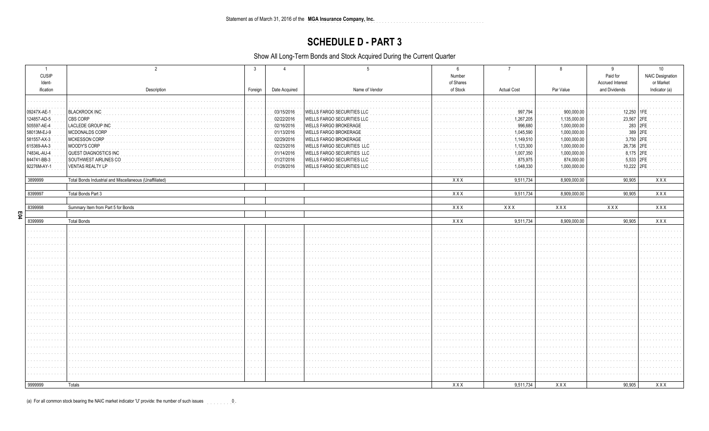Statement as of March 31, 2016 of the MGA Insurance Company, Inc. 

### **SCHEDULE D - PART 3**

Show All Long-Term Bonds and Stock Acquired During the Current Quarter

| $\overline{1}$<br><b>CUSIP</b><br>Ident-<br>ification | Description                                             | Foreign       | Date Acquired | Name of Vendor               | 6<br>Number<br>of Shares<br>of Stock | <b>Actual Cost</b> | Par Value    | 9<br>Paid for<br>Accrued Interest<br>and Dividends | 10<br><b>NAIC Designation</b><br>or Market<br>Indicator (a) |  |
|-------------------------------------------------------|---------------------------------------------------------|---------------|---------------|------------------------------|--------------------------------------|--------------------|--------------|----------------------------------------------------|-------------------------------------------------------------|--|
|                                                       |                                                         |               |               |                              |                                      |                    |              |                                                    |                                                             |  |
|                                                       |                                                         |               |               |                              |                                      |                    |              |                                                    |                                                             |  |
| 09247X-AE-1                                           | <b>BLACKROCK INC</b>                                    |               | 03/15/2016    | WELLS FARGO SECURITIES LLC   |                                      | 997,794            | 900,000.00   | 12,250                                             |                                                             |  |
| 124857-AD-5                                           | CBS CORP                                                |               | 02/22/2016    | WELLS FARGO SECURITIES LLC   |                                      | 1,267,205          | 1,135,000.00 | 23,567                                             | 2FE                                                         |  |
| 505597-AE-4                                           | LACLEDE GROUP INC                                       |               | 02/16/2016    | WELLS FARGO BROKERAGE        |                                      | 996,680            | 1,000,000.00 | 283 2FE                                            |                                                             |  |
| 58013M-EJ-9                                           | MCDONALDS CORP                                          |               | 01/13/2016    | <b>WELLS FARGO BROKERAGE</b> |                                      | 1,045,590          | 1,000,000.00 | 389 2FE                                            |                                                             |  |
| 581557-AX-3                                           | MCKESSON CORP                                           |               | 02/29/2016    | WELLS FARGO BROKERAGE        |                                      | 1,149,510          | 1,000,000.00 | 3,750 2FE                                          |                                                             |  |
| 615369-AA-3                                           | MOODY'S CORP                                            |               | 02/23/2016    | WELLS FARGO SECURITIES LLC   |                                      | 1,123,300          | 1,000,000.00 | 26,736 2FE                                         |                                                             |  |
| 74834L-AU-4                                           | QUEST DIAGNOSTICS INC                                   |               | 01/14/2016    | WELLS FARGO SECURITIES LLC   |                                      | 1,007,350          | 1,000,000.00 | 8,175 2FE                                          |                                                             |  |
| 844741-BB-3                                           | SOUTHWEST AIRLINES CO                                   |               | 01/27/2016    | WELLS FARGO SECURITIES LLC   |                                      | 875,975            | 874,000.00   | 5,533 2FE                                          |                                                             |  |
| 92276M-AY-1                                           | VENTAS REALTY LP                                        |               | 01/28/2016    | WELLS FARGO SECURITIES LLC   |                                      | 1,048,330          | 1,000,000.00 | 10,222 2FE                                         |                                                             |  |
|                                                       |                                                         |               |               |                              |                                      |                    |              |                                                    |                                                             |  |
| 3899999                                               | Total Bonds Industrial and Miscellaneous (Unaffiliated) |               |               |                              | XXX                                  | 9,511,734          | 8,909,000.00 | 90,905                                             | XXX                                                         |  |
| 8399997                                               | Total Bonds Part 3                                      |               |               |                              | XXX                                  | 9,511,734          | 8,909,000.00 | 90,905                                             | XXX                                                         |  |
|                                                       |                                                         |               |               |                              |                                      |                    |              |                                                    |                                                             |  |
| 8399998                                               | Summary Item from Part 5 for Bonds                      |               |               |                              | <b>XXX</b>                           | XXX                | XXX          | XXX                                                | XXX                                                         |  |
| E04                                                   |                                                         |               |               |                              |                                      |                    |              |                                                    |                                                             |  |
| 8399999                                               | <b>Total Bonds</b>                                      |               |               |                              | XXX                                  | 9,511,734          | 8,909,000.00 | 90,905                                             | XXX                                                         |  |
|                                                       |                                                         | $\sim$ $\sim$ |               |                              |                                      |                    |              |                                                    |                                                             |  |
|                                                       |                                                         |               |               |                              |                                      |                    |              |                                                    |                                                             |  |
|                                                       |                                                         |               |               |                              |                                      |                    |              |                                                    |                                                             |  |
|                                                       |                                                         |               |               |                              |                                      |                    |              |                                                    |                                                             |  |
|                                                       |                                                         |               |               |                              |                                      |                    |              |                                                    |                                                             |  |
|                                                       |                                                         |               |               |                              |                                      |                    |              |                                                    |                                                             |  |
|                                                       |                                                         |               |               |                              |                                      |                    |              |                                                    |                                                             |  |
|                                                       |                                                         |               |               |                              |                                      |                    |              |                                                    |                                                             |  |
|                                                       |                                                         |               |               |                              |                                      |                    |              |                                                    |                                                             |  |
|                                                       |                                                         |               |               |                              |                                      |                    |              |                                                    |                                                             |  |
|                                                       |                                                         |               |               |                              |                                      |                    |              |                                                    |                                                             |  |
|                                                       |                                                         |               |               |                              |                                      |                    |              |                                                    |                                                             |  |
|                                                       |                                                         |               |               |                              |                                      |                    |              |                                                    |                                                             |  |
|                                                       |                                                         |               |               |                              |                                      |                    |              |                                                    |                                                             |  |
|                                                       |                                                         |               |               |                              |                                      |                    |              |                                                    |                                                             |  |
|                                                       |                                                         |               |               |                              |                                      |                    |              |                                                    |                                                             |  |
|                                                       |                                                         |               |               |                              |                                      |                    |              |                                                    |                                                             |  |
|                                                       |                                                         |               |               |                              |                                      |                    |              |                                                    |                                                             |  |
|                                                       |                                                         |               |               |                              |                                      |                    |              |                                                    |                                                             |  |
|                                                       |                                                         |               |               |                              |                                      |                    |              |                                                    |                                                             |  |
|                                                       |                                                         |               |               |                              |                                      |                    |              |                                                    |                                                             |  |
|                                                       |                                                         |               |               |                              |                                      |                    |              |                                                    |                                                             |  |
| 9999999                                               | Totals                                                  |               |               |                              | <b>XXX</b>                           | 9,511,734          | XXX          | 90,905                                             | XXX                                                         |  |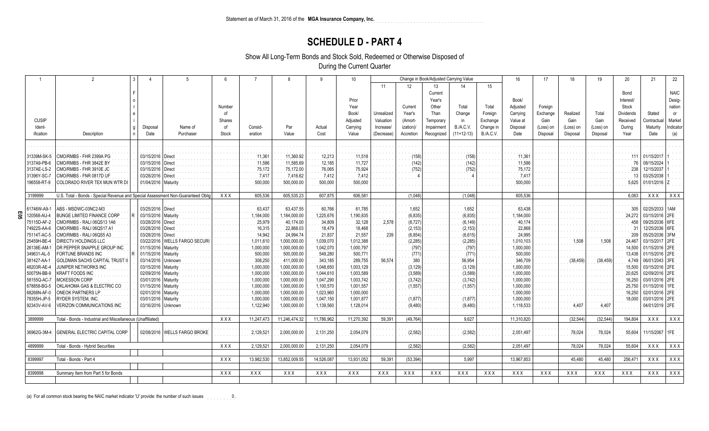### **SCHEDULE D - PART 4**

Show All Long-Term Bonds and Stock Sold, Redeemed or Otherwise Disposed of

During the Current Quarter

|                   | $\mathfrak{D}$                                                                  |                       |                                | $6\overline{6}$ |            | $\mathbf{8}$  | 9          | 10                |                         |           | Change in Book/Adjusted Carrying Value |              |                  | 16               | 17                    | 18                    | 19                    | 20               | 21                    | 22          |
|-------------------|---------------------------------------------------------------------------------|-----------------------|--------------------------------|-----------------|------------|---------------|------------|-------------------|-------------------------|-----------|----------------------------------------|--------------|------------------|------------------|-----------------------|-----------------------|-----------------------|------------------|-----------------------|-------------|
|                   |                                                                                 |                       |                                |                 |            |               |            |                   | 11                      | 12        | 13                                     |              | 15               |                  |                       |                       |                       |                  |                       |             |
|                   |                                                                                 |                       |                                |                 |            |               |            |                   |                         |           | Current                                |              |                  |                  |                       |                       |                       | Bond             |                       | <b>NAIC</b> |
|                   |                                                                                 |                       |                                |                 |            |               |            | Prior             |                         |           | Year's                                 |              |                  | Book/            |                       |                       |                       | Interest/        |                       | Desig-      |
|                   |                                                                                 |                       |                                | Number          |            |               |            | Year              |                         | Current   | Other                                  | Total        | Total            | Adjusted         | Foreign               |                       |                       | Stock            |                       | nation      |
|                   |                                                                                 |                       |                                | 0f              |            |               |            | Book/             | Unrealized              | Year's    | Than                                   | Change       | Foreign          | Carrying         | Exchange              | Realized              | Total                 | <b>Dividends</b> | Stated                | <b>or</b>   |
| <b>CUSIP</b>      |                                                                                 |                       |                                | Shares          |            |               |            | Adjusted          | Valuation               | (Amort-   | Temporary                              | in           | Exchange         | Value at         | Gain                  | Gain                  | Gain                  | Received         | Contractua            | Market      |
| Ident-            |                                                                                 |                       | Name of                        | of              | Consid-    | Par           | Actual     |                   |                         | ization)/ | Impairment                             | B./A.C.V.    | Change in        |                  |                       |                       |                       |                  | Maturity              | ndicator    |
| ification         | Description                                                                     | Disposal<br>Date      | Purchaser                      | Stock           | eration    | Value         | Cost       | Carrying<br>Value | Increase/<br>(Decrease) | Accretion |                                        | $(11+12-13)$ | <b>B./A.C.V.</b> | Disposal<br>Date | (Loss) on<br>Disposal | (Loss) on<br>Disposal | (Loss) on<br>Disposal | During<br>Year   | Date                  |             |
|                   |                                                                                 |                       |                                |                 |            |               |            |                   |                         |           | Recognized                             |              |                  |                  |                       |                       |                       |                  |                       | (a)         |
|                   |                                                                                 |                       |                                |                 |            |               |            |                   |                         |           |                                        |              |                  |                  |                       |                       |                       |                  |                       |             |
|                   |                                                                                 |                       |                                |                 |            |               |            |                   |                         |           |                                        |              |                  |                  |                       |                       |                       |                  |                       |             |
| 31339M-SK-5       | CMO/RMBS - FHR 2399A PG                                                         | 03/15/2016   Direct   |                                |                 | 11,361     | 11,360.92     | 12,213     | 11,518            |                         | (158      |                                        | (158)        |                  | 11,361           |                       |                       |                       |                  | 01/15/2017            |             |
| 3137A9-PB-6       | CMO/RMBS - FHR 3842E BY                                                         | 03/15/2016   Direct   |                                |                 | 11,586     | 11,585.69     | 12,185     | 11,727            |                         | (142)     |                                        | (142)        |                  | 11,586           |                       |                       |                       | 76               | 08/15/2024            |             |
| 3137AE-LS-2       | CMO/RMBS - FHR 3910E JC                                                         | 03/15/2016   Direct   |                                |                 | 75,172     | 75,172.00     | 76,065     | 75,924            |                         | (752)     |                                        | (752)        |                  | 75,172           |                       |                       |                       | 238              | 12/15/2037            |             |
| 31396Y-SC-7       | CMO/RMBS - FNR 0817D UF                                                         | 03/28/2016   Direct   |                                |                 | 7,417      | 7,416.62      | 7,412      | 7,412             |                         |           |                                        |              |                  | 7,41             |                       |                       |                       | 13               | 03/25/2038            |             |
| 196558-RT-9       | COLORADO RIVER TEX MUN WTR DI                                                   | 01/04/2016   Maturity |                                |                 | 500,000    | 500,000.00    | 500,000    | 500,000           |                         |           |                                        |              |                  | 500,000          |                       |                       |                       | 5,625            | 01/01/2016 Z          |             |
|                   |                                                                                 |                       |                                |                 |            |               |            |                   |                         |           |                                        |              |                  |                  |                       |                       |                       |                  |                       |             |
| 3199999           | U.S. Total - Bonds - Special Revenue and Special Assessment Non-Guaranteed Obli |                       |                                | <b>XXX</b>      | 605,536    | 605,535.23    | 607,875    | 606,581           |                         | (1,048)   |                                        | (1,048)      |                  | 605,536          |                       |                       |                       | 6,063            | XXX                   | XXX         |
|                   |                                                                                 |                       |                                |                 |            |               |            |                   |                         |           |                                        |              |                  |                  |                       |                       |                       |                  |                       |             |
| 61746W-A9-1       | ABS - MSDWC-03NC2-M3                                                            | 03/25/2016   Direct   |                                |                 | 63,437     | 63,437.55     | 60,766     | 61,785            |                         | 1,652     |                                        | 1,652        |                  | 63,438           |                       |                       |                       | 305              | 02/25/2033   1AM      |             |
| ទួ<br>120568-AU-4 | <b>BUNGE LIMITED FINANCE CORP</b>                                               | 03/15/2016   Maturity |                                |                 | 1,184,000  | ,184,000.00   | 1,225,676  | 1,190,835         |                         | (6, 835)  |                                        | (6, 835)     |                  | 1,184,000        |                       |                       |                       | 24,272           | 03/15/2016 2FE        |             |
| 75115D-AF-2       | CMO/RMBS - RALI 06QS13 1A6                                                      | 03/28/2016   Direct   |                                |                 | 25,979     | 40,174.00     | 34,809     | 32,128            | 2,578                   | (8, 727)  |                                        | (6, 149)     |                  | 40,174           |                       |                       |                       | 458              | 09/25/2036   6FE      |             |
| 74922S-AA-6       | CMO/RMBS - RALI 06QS17 A1                                                       | 03/28/2016   Direct   |                                |                 | 16,315     | 22,868.03     | 18,479     | 18,468            |                         | (2, 153)  |                                        | (2, 153)     |                  | 22,868           |                       |                       |                       | 31               | 12/25/2036   6FE      |             |
| 75114T-AC-5       | CMO/RMBS - RALI 06QS5 A3                                                        | 03/28/2016   Direct   |                                |                 | 14,942     | 24,994.74     | 21,837     | 21,557            | 239                     | (6, 854)  |                                        | (6, 615)     |                  | 24,995           |                       |                       |                       | 209              | 05/25/2036 3FM        |             |
| 25459H-BE-4       | DIRECTV HOLDINGS LLC                                                            |                       | 03/22/2016   WELLS FARGO SECUR |                 | 1,011,610  | 1,000,000.00  | 1,039,070  | 1,012,388         |                         | (2, 285)  |                                        | (2, 285)     |                  | 1,010,103        |                       | 1,508                 | 1,508                 | 24,467           | 03/15/2017 2FE        |             |
| 26138E-AM-1       | DR PEPPER SNAPPLE GROUP INC                                                     | 01/15/2016   Maturity |                                |                 | 1,000,000  | 1,000,000.00  | 1,042,070  | 1,000,797         |                         | (797)     |                                        | (797         |                  | 1,000,000        |                       |                       |                       | 14.500           | 01/15/2016 2FE        |             |
| 349631-AL-5       | FORTUNE BRANDS INC                                                              | 01/15/2016   Maturity |                                |                 | 500,000    | 500,000.00    | 549,280    | 500,771           |                         | (77)      |                                        | (77)         |                  | 500,000          |                       |                       |                       |                  | 13,438 01/15/2016 2FE |             |
| 381427-AA-1       | <b>GOLDMAN SACHS CAPITAL TRUST II</b>                                           | 03/14/2016 Unknown    |                                |                 | 308,250    | 411,000.00    | 343,185    | 289,755           | 56,574                  | 380       |                                        | 56,954       |                  | 346,709          |                       | (38, 459)             | (38, 459)             | 4.749            | 06/01/2043 3FE        |             |
| 48203R-AE-4       | JUNIPER NETWORKS INC                                                            | 03/15/2016   Maturity |                                |                 | 1,000,000  | 1,000,000.00  | 1,048,650  | 1,003,129         |                         | (3, 129)  |                                        | (3, 129)     |                  | 1,000,000        |                       |                       |                       | 15.500           | 03/15/2016 2FE        |             |
| 50075N-BB-9       | KRAFT FOODS INC                                                                 | 02/09/2016   Maturity |                                |                 | 1,000,000  | 1,000,000.00  | 1,044,610  | 1,003,589         |                         | (3,589)   |                                        | (3,589)      |                  | 1,000,000        |                       |                       |                       | 20,625           | 02/09/2016 2FE        |             |
| 58155Q-AC-7       | <b>MCKESSON CORP</b>                                                            | 03/01/2016   Maturity |                                |                 | 1,000,000  | 1,000,000.00  | 1,047,290  | 1,003,742         |                         | (3,742)   |                                        | (3,742)      |                  | 1,000,000        |                       |                       |                       | 16,250           | 03/01/2016 2FE        |             |
| 678858-BG-5       | OKLAHOMA GAS & ELECTRIC CO                                                      | 01/15/2016   Maturity |                                |                 | 1,000,000  | 1,000,000.00  | 1,100,570  | 1,001,557         |                         | (1, 557)  |                                        | (1, 557)     |                  | 1,000,000        |                       |                       |                       | 25,750           | 01/15/2016   1FE      |             |
| 68268N-AF-0       | <b>ONEOK PARTNERS LP</b>                                                        | 02/01/2016   Maturity |                                |                 | 1,000,000  | 1,000,000.00  | 1,023,960  | 1,000,000         |                         |           |                                        |              |                  | 1,000,000        |                       |                       |                       | 16,250           | 02/01/2016 2FE        |             |
| 78355H-JP-5       | RYDER SYSTEM, INC.                                                              | 03/01/2016   Maturity |                                |                 | 1,000,000  | 1,000,000.00  | 1,047,150  | 1,001,877         |                         | (1, 877)  |                                        | (1,877)      |                  | 1,000,000        |                       |                       |                       | 18,000           | 03/01/2016 2FE        |             |
| 92343V-AV-6       | VERIZON COMMUNICATIONS INC                                                      |                       | 03/16/2016 Unknown             |                 | 1,122,940  | 1,000,000.00  | 1,139,560  | 1,128,014         |                         | (9,480)   |                                        | (9,480)      |                  | 1,118,533        |                       | 4,407                 | 4,407                 |                  | 04/01/2019 2FE        |             |
|                   |                                                                                 |                       |                                |                 |            |               |            |                   |                         |           |                                        |              |                  |                  |                       |                       |                       |                  |                       |             |
| 3899999           | Total - Bonds - Industrial and Miscellaneous (Unaffiliated)                     |                       |                                | XXX             | 11,247,473 | 11,246,474.32 | 11,786,962 | 11,270,392        | 59,391                  | (49, 764) |                                        | 9,627        |                  | 11,310,820       |                       | (32, 544)             | (32, 544)             | 194,804          | <b>XXX</b>            | XXX         |
|                   |                                                                                 |                       |                                |                 |            |               |            |                   |                         |           |                                        |              |                  |                  |                       |                       |                       |                  |                       |             |
| 36962G-3M-4       | GENERAL ELECTRIC CAPITAL CORP                                                   |                       | 02/08/2016   WELLS FARGO BROKE |                 | 2,129,521  | 2,000,000.00  | 2,131,250  | 2,054,079         |                         | (2, 582)  |                                        | (2, 582)     |                  | 2,051,497        |                       | 78,024                | 78,024                | 55,604           | 11/15/2067   1FE      |             |
| 4899999           | Total - Bonds - Hybrid Securities                                               |                       |                                | <b>XXX</b>      | 2,129,521  | 2,000,000.00  | 2,131,250  | 2,054,079         |                         | (2, 582)  |                                        | (2, 582)     |                  | 2,051,497        |                       | 78,024                | 78,024                | 55,604           | XXX                   | XXX         |
|                   |                                                                                 |                       |                                |                 |            |               |            |                   |                         |           |                                        |              |                  |                  |                       |                       |                       |                  |                       |             |
| 8399997           | Total - Bonds - Part 4                                                          |                       |                                | XXX             | 13,982,530 | 13,852,009.55 | 14,526,087 | 13,931,052        | 59,391                  | (53, 394) |                                        | 5,997        |                  | 13,967,853       |                       | 45,480                | 45,480                | 256,471          | XXX                   | XXX         |
|                   |                                                                                 |                       |                                |                 |            |               |            |                   |                         |           |                                        |              |                  |                  |                       |                       |                       |                  |                       |             |
| 8399998           | Summary Item from Part 5 for Bonds                                              |                       |                                | <b>XXX</b>      | XXX        | XXX           | XXX        | XXX               | <b>XXX</b>              | XXX       | <b>XXX</b>                             | <b>XXX</b>   | <b>XXX</b>       | XXX              | <b>XXX</b>            | XXX                   | XXX                   | <b>XXX</b>       | XXX                   | XXX         |
|                   |                                                                                 |                       |                                |                 |            |               |            |                   |                         |           |                                        |              |                  |                  |                       |                       |                       |                  |                       |             |
|                   |                                                                                 |                       |                                |                 |            |               |            |                   |                         |           |                                        |              |                  |                  |                       |                       |                       |                  |                       |             |

0 ......... (a) For all common stock bearing the NAIC market indicator 'U' provide: the number of such issues .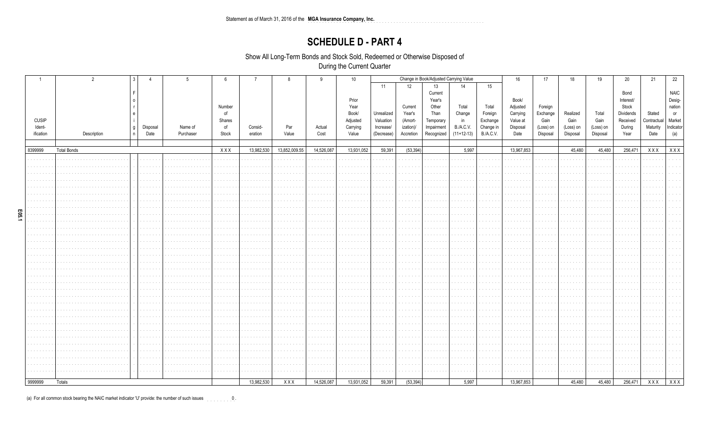### **SCHEDULE D - PART 4**

Show All Long-Term Bonds and Stock Sold, Redeemed or Otherwise Disposed of

During the Current Quarter

|              | $\overline{2}$     |       |                             |           | 6            | $\overline{7}$ | 8             | 9          | 10 <sup>°</sup> | Change in Book/Adjusted Carrying Value |           |            |              | 16        | 17         | 18        | 19        | 20        | 21        | 22          |             |
|--------------|--------------------|-------|-----------------------------|-----------|--------------|----------------|---------------|------------|-----------------|----------------------------------------|-----------|------------|--------------|-----------|------------|-----------|-----------|-----------|-----------|-------------|-------------|
|              |                    |       |                             |           |              |                |               |            |                 | 11                                     | 12        | 13         | 14           | 15        |            |           |           |           |           |             |             |
|              |                    |       |                             |           |              |                |               |            |                 |                                        |           | Current    |              |           |            |           |           |           | Bond      |             | <b>NAIC</b> |
|              |                    |       |                             |           |              |                |               |            | Prior           |                                        |           | Year's     |              |           | Book/      |           |           |           | Interest/ |             | Desig-      |
|              |                    |       |                             |           | Number       |                |               |            | Year            |                                        | Current   | Other      | Total        | Total     | Adjusted   | Foreign   |           |           | Stock     |             | nation      |
|              |                    |       |                             |           | of           |                |               |            | Book/           | Unrealized                             | Year's    | Than       | Change       | Foreign   | Carrying   | Exchange  | Realized  | Total     | Dividends | Stated      | or          |
| <b>CUSIP</b> |                    |       |                             |           | Shares       |                |               |            | Adjusted        | Valuation                              | (Amort-   | Temporary  | in           | Exchange  | Value at   | Gain      | Gain      | Gain      | Received  | Contractual | Market      |
| Ident-       |                    | l 9 I | Disposal                    | Name of   | of           | Consid-        | Par           | Actual     | Carrying        | Increase/                              | ization)/ | Impairment | B./A.C.V.    | Change in | Disposal   | (Loss) on | (Loss) on | (Loss) on | During    | Maturity    | Indicator   |
| ification    | Description        | l n   | Date                        | Purchaser | Stock        | eration        | Value         | Cost       | Value           | (Decrease)                             | Accretion | Recognized | $(11+12-13)$ | B./A.C.V. | Date       | Disposal  | Disposal  | Disposal  | Year      | Date        | (a)         |
|              |                    |       |                             |           |              |                |               |            |                 |                                        |           |            |              |           |            |           |           |           |           |             |             |
| 8399999      | <b>Total Bonds</b> |       |                             |           | XXX          | 13,982,530     | 13,852,009.55 | 14,526,087 | 13,931,052      | 59,391                                 | (53, 394) |            | 5,997        |           | 13,967,853 |           | 45,480    | 45,480    | 256,471   | XXX         | XXX         |
|              |                    |       |                             |           |              |                |               |            |                 |                                        |           |            |              |           |            |           |           |           |           |             |             |
|              |                    |       | .                           |           | .            |                |               |            |                 |                                        |           |            |              |           |            |           |           |           |           |             |             |
|              |                    |       |                             |           |              |                |               |            |                 |                                        |           |            |              |           |            |           |           |           |           |             |             |
|              |                    |       | المناور والمناور            |           |              |                |               |            |                 |                                        |           |            |              |           |            |           |           |           |           |             |             |
|              |                    |       | .                           |           |              |                |               |            |                 |                                        |           |            |              |           |            |           |           |           |           |             |             |
|              |                    |       |                             |           |              |                |               |            |                 |                                        |           |            |              |           |            |           |           |           |           |             |             |
|              |                    |       | .                           |           |              |                |               |            |                 |                                        |           |            |              |           |            |           |           |           |           |             |             |
|              |                    |       | $\sim$ $\sim$ $\sim$        |           |              |                |               |            |                 |                                        |           |            |              |           |            |           |           |           |           |             |             |
|              |                    |       | .                           |           |              |                |               |            |                 |                                        |           |            |              |           |            |           |           |           |           |             |             |
|              |                    |       | .                           |           |              |                |               |            |                 |                                        |           |            |              |           |            |           |           |           |           |             |             |
|              |                    |       |                             |           |              |                |               |            |                 |                                        |           |            |              |           |            |           |           |           |           |             |             |
|              |                    |       | للمائي والمناور             |           | .            |                |               |            |                 |                                        |           |            |              |           |            |           |           |           |           |             |             |
|              |                    |       | بالبابات                    |           |              |                |               |            |                 |                                        |           |            |              |           |            |           |           |           |           |             |             |
|              |                    |       |                             |           |              |                |               |            |                 |                                        |           |            |              |           |            |           |           |           |           |             |             |
|              |                    |       | بالمناصبات                  |           |              |                |               |            |                 |                                        |           |            |              |           |            |           |           |           |           |             |             |
|              |                    |       | .                           |           |              |                |               |            |                 |                                        |           |            |              |           |            |           |           |           |           |             |             |
|              |                    |       |                             |           |              |                |               |            |                 |                                        |           |            |              |           |            |           |           |           |           |             |             |
|              |                    |       | <b>Service</b>              |           |              |                |               |            |                 |                                        |           |            |              |           |            |           |           |           |           |             |             |
|              |                    |       | المتعاطين<br><b>Service</b> |           | .            |                |               |            |                 | and and                                |           |            |              | and and   |            |           |           |           |           |             |             |
|              |                    |       | a shekara                   |           |              |                |               |            |                 |                                        |           |            |              |           |            |           |           |           |           |             |             |
|              |                    |       | <b>Service</b>              |           | contractors. |                |               |            |                 |                                        |           |            |              |           |            |           |           |           |           |             |             |
|              |                    |       | $\cdots$                    |           |              |                |               |            |                 |                                        |           |            |              |           |            |           |           |           |           |             |             |
|              |                    |       | .                           |           | and a state  |                |               |            |                 |                                        |           |            |              |           |            |           |           |           |           |             |             |
|              |                    |       |                             |           |              |                |               |            |                 |                                        |           |            |              |           |            |           |           |           |           |             |             |
|              |                    |       |                             |           |              |                |               |            |                 |                                        |           |            |              |           |            |           |           |           |           |             |             |
|              |                    |       | a sa sa                     |           |              |                |               |            |                 |                                        |           |            |              |           |            |           |           |           |           |             |             |
|              |                    |       |                             |           |              |                |               |            |                 |                                        |           |            |              |           |            |           |           |           |           |             |             |
|              |                    |       | والمناورة والمناور          |           | .            |                |               |            |                 |                                        |           |            |              |           |            |           |           |           |           |             |             |
|              |                    |       | .                           |           |              |                |               |            |                 |                                        |           |            |              |           |            |           |           |           |           |             |             |
|              |                    |       |                             |           |              |                |               |            |                 |                                        |           |            |              |           |            |           |           |           |           |             |             |
|              |                    |       | المناسبات                   |           |              |                |               |            |                 |                                        |           |            |              |           |            |           |           |           |           |             |             |
| 9999999      | Totals             |       |                             |           |              | 13,982,530     | XXX           | 14,526,087 | 13,931,052      | 59,391                                 | (53, 394) |            | 5,997        |           | 13,967,853 |           | 45,480    | 45,480    | 256,471   | XXX         | <b>XXX</b>  |
|              |                    |       |                             |           |              |                |               |            |                 |                                        |           |            |              |           |            |           |           |           |           |             |             |

(a) For all common stock bearing the NAIC market indicator 'U' provide: the number of such issues  $\begin{array}{cccc} 0 & 0 & 1 \end{array}$ 

E05.1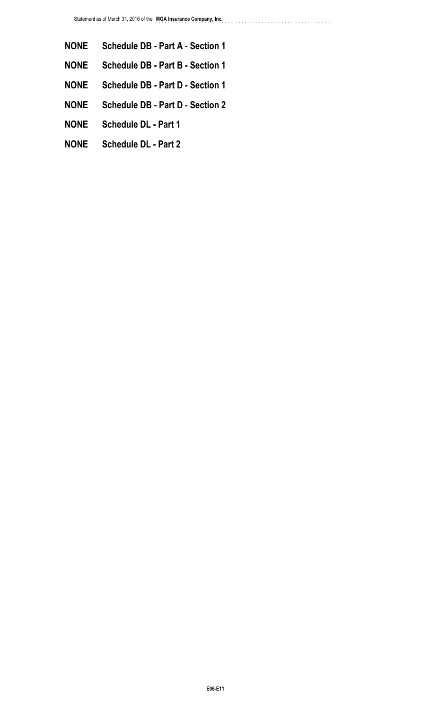- **NONE Schedule DB Part A Section 1**
- **NONE Schedule DB Part B Section 1**
- **NONE Schedule DB Part D Section 1**
- **NONE Schedule DB Part D Section 2**
- **NONE Schedule DL Part 1**
- **NONE Schedule DL Part 2**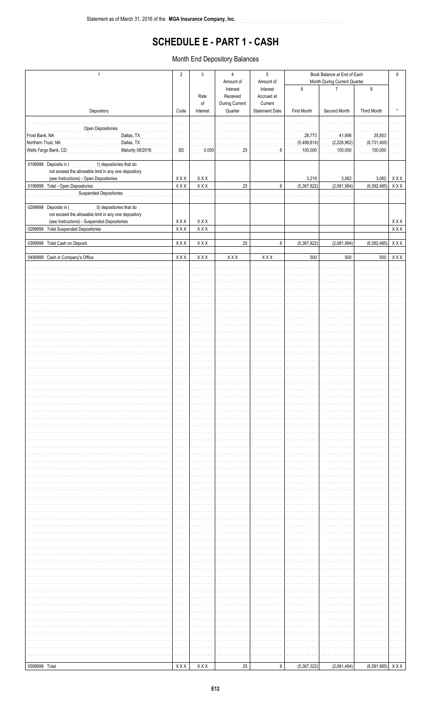# **SCHEDULE E - PART 1 - CASH**

. . . . . . . . . . . . . . . . . . . .

Month End Depository Balances

| $\mathbf{1}$<br>Depository                        |                                                                                                |                             | $\mathbf{3}$              | $\overline{4}$<br>Amount of | $\sqrt{5}$<br>Amount of | Book Balance at End of Each<br>Month During Current Quarter |                |                   |                                                                                |  |
|---------------------------------------------------|------------------------------------------------------------------------------------------------|-----------------------------|---------------------------|-----------------------------|-------------------------|-------------------------------------------------------------|----------------|-------------------|--------------------------------------------------------------------------------|--|
|                                                   |                                                                                                |                             |                           | Interest                    | Interest                | $\boldsymbol{6}$                                            | $\overline{7}$ | $\bf 8$           |                                                                                |  |
|                                                   |                                                                                                |                             | Rate<br>of                | Received<br>During Current  | Accrued at<br>Current   |                                                             |                |                   |                                                                                |  |
|                                                   |                                                                                                |                             | Interest                  | Quarter                     | <b>Statement Date</b>   | First Month                                                 | Second Month   | Third Month       | $\star$                                                                        |  |
|                                                   |                                                                                                |                             |                           |                             |                         |                                                             |                |                   |                                                                                |  |
| Open Depositories<br>Frost Bank, NA<br>Dallas, TX |                                                                                                |                             |                           |                             |                         | 28,773                                                      | 41,906         | 35,853            |                                                                                |  |
| Northern Trust, NA                                | Dallas, TX                                                                                     |                             |                           |                             |                         | (5,499,814)                                                 | (2,226,962)    | (6,731,400)       |                                                                                |  |
|                                                   | Wells Fargo Bank, CD<br>Maturity 08/2016                                                       | SD                          | 0.050                     | 25                          | 6                       | 100,000                                                     | 100,000        | 100,000           |                                                                                |  |
|                                                   | 0199998 Deposits in (<br>1) depositories that do                                               |                             |                           |                             |                         |                                                             |                |                   |                                                                                |  |
|                                                   | not exceed the allowable limit in any one depository<br>(see Instructions) - Open Depositories | XXX                         | XXX                       |                             |                         | 3,219                                                       | 3,062          | 3,062             | XXX                                                                            |  |
|                                                   | 0199999 Total - Open Depositories                                                              | $\overline{X} \overline{X}$ | $X$ $X$ $X$               | 25                          | 6                       | (5,367,822)                                                 | (2,081,994)    | (6, 592, 485)     | <b>XXX</b>                                                                     |  |
|                                                   | Suspended Depositories                                                                         |                             |                           |                             |                         |                                                             |                |                   |                                                                                |  |
|                                                   | 0299998 Deposits in (<br>0) depositories that do                                               |                             |                           |                             |                         |                                                             |                |                   |                                                                                |  |
|                                                   | not exceed the allowable limit in any one depository                                           |                             |                           |                             |                         |                                                             |                |                   |                                                                                |  |
| 0299999                                           | (see Instructions) - Suspended Depositories<br><b>Total Suspended Depositories</b>             | XXX<br>XXX                  | $X$ $X$ $X$<br><b>XXX</b> |                             |                         |                                                             |                |                   | $\mathsf{X}\, \mathsf{X}\, \mathsf{X}$<br>$\mathsf{X}\,\mathsf{X}\,\mathsf{X}$ |  |
|                                                   |                                                                                                |                             |                           |                             |                         |                                                             |                |                   |                                                                                |  |
|                                                   | 0399999 Total Cash on Deposit                                                                  | XXX                         | XXX                       | 25                          | 6                       | (5,367,822)                                                 | (2,081,994)    | (6, 592, 485)     | $X$ $X$ $X$                                                                    |  |
|                                                   | 0499999 Cash in Company's Office                                                               | XXX                         | XXX                       | XXX                         | XXX                     | 500                                                         | 500            | 500               | <b>XXX</b>                                                                     |  |
|                                                   |                                                                                                |                             |                           |                             |                         |                                                             |                |                   |                                                                                |  |
|                                                   |                                                                                                |                             |                           |                             |                         |                                                             |                |                   |                                                                                |  |
|                                                   |                                                                                                |                             |                           |                             |                         |                                                             |                |                   |                                                                                |  |
|                                                   |                                                                                                |                             |                           |                             |                         |                                                             |                |                   |                                                                                |  |
|                                                   |                                                                                                |                             |                           |                             |                         |                                                             |                |                   |                                                                                |  |
|                                                   |                                                                                                |                             |                           |                             |                         |                                                             |                |                   |                                                                                |  |
|                                                   |                                                                                                |                             |                           |                             |                         |                                                             |                |                   |                                                                                |  |
|                                                   |                                                                                                |                             |                           |                             |                         |                                                             |                |                   |                                                                                |  |
|                                                   |                                                                                                |                             |                           |                             |                         |                                                             |                |                   |                                                                                |  |
|                                                   |                                                                                                |                             |                           |                             |                         |                                                             |                |                   |                                                                                |  |
|                                                   |                                                                                                |                             |                           |                             |                         |                                                             |                |                   |                                                                                |  |
|                                                   |                                                                                                |                             |                           |                             |                         |                                                             |                |                   |                                                                                |  |
|                                                   |                                                                                                |                             |                           |                             |                         |                                                             |                |                   |                                                                                |  |
|                                                   |                                                                                                |                             |                           |                             |                         |                                                             |                |                   |                                                                                |  |
|                                                   |                                                                                                |                             |                           |                             |                         |                                                             |                |                   |                                                                                |  |
|                                                   |                                                                                                |                             |                           |                             |                         |                                                             |                |                   |                                                                                |  |
|                                                   |                                                                                                |                             |                           |                             |                         |                                                             |                |                   |                                                                                |  |
|                                                   |                                                                                                |                             |                           |                             |                         |                                                             |                |                   |                                                                                |  |
|                                                   |                                                                                                |                             |                           |                             |                         |                                                             |                |                   |                                                                                |  |
|                                                   |                                                                                                |                             |                           |                             |                         |                                                             |                |                   |                                                                                |  |
|                                                   |                                                                                                |                             |                           |                             |                         |                                                             |                |                   |                                                                                |  |
|                                                   |                                                                                                |                             |                           |                             |                         |                                                             |                |                   |                                                                                |  |
|                                                   |                                                                                                |                             |                           |                             |                         |                                                             |                |                   |                                                                                |  |
|                                                   |                                                                                                |                             |                           |                             |                         |                                                             |                |                   |                                                                                |  |
|                                                   |                                                                                                |                             |                           |                             |                         |                                                             |                |                   |                                                                                |  |
|                                                   |                                                                                                |                             |                           |                             |                         |                                                             |                |                   |                                                                                |  |
|                                                   |                                                                                                |                             |                           |                             |                         |                                                             |                |                   |                                                                                |  |
|                                                   |                                                                                                |                             |                           |                             |                         |                                                             |                |                   |                                                                                |  |
|                                                   |                                                                                                |                             |                           |                             |                         |                                                             |                |                   |                                                                                |  |
|                                                   |                                                                                                |                             |                           |                             |                         |                                                             |                |                   |                                                                                |  |
|                                                   |                                                                                                |                             |                           |                             |                         |                                                             |                |                   |                                                                                |  |
|                                                   |                                                                                                |                             |                           |                             |                         |                                                             |                |                   |                                                                                |  |
|                                                   |                                                                                                |                             |                           |                             |                         |                                                             |                |                   |                                                                                |  |
|                                                   |                                                                                                |                             |                           |                             |                         |                                                             |                |                   |                                                                                |  |
|                                                   |                                                                                                |                             |                           |                             |                         |                                                             |                |                   |                                                                                |  |
|                                                   |                                                                                                |                             |                           |                             |                         |                                                             |                |                   |                                                                                |  |
|                                                   |                                                                                                |                             |                           |                             |                         |                                                             |                |                   |                                                                                |  |
|                                                   |                                                                                                |                             |                           |                             |                         |                                                             |                |                   |                                                                                |  |
|                                                   |                                                                                                |                             |                           |                             |                         |                                                             |                |                   |                                                                                |  |
|                                                   |                                                                                                |                             |                           |                             |                         |                                                             |                |                   |                                                                                |  |
|                                                   |                                                                                                |                             |                           |                             |                         |                                                             |                |                   |                                                                                |  |
|                                                   |                                                                                                |                             |                           |                             |                         |                                                             |                |                   |                                                                                |  |
| 0599999 Total                                     |                                                                                                | XXX                         | $X$ $X$ $X$               | 25                          | 6                       | (5,367,322)                                                 | (2,081,494)    | $(6,591,985)$ XXX |                                                                                |  |